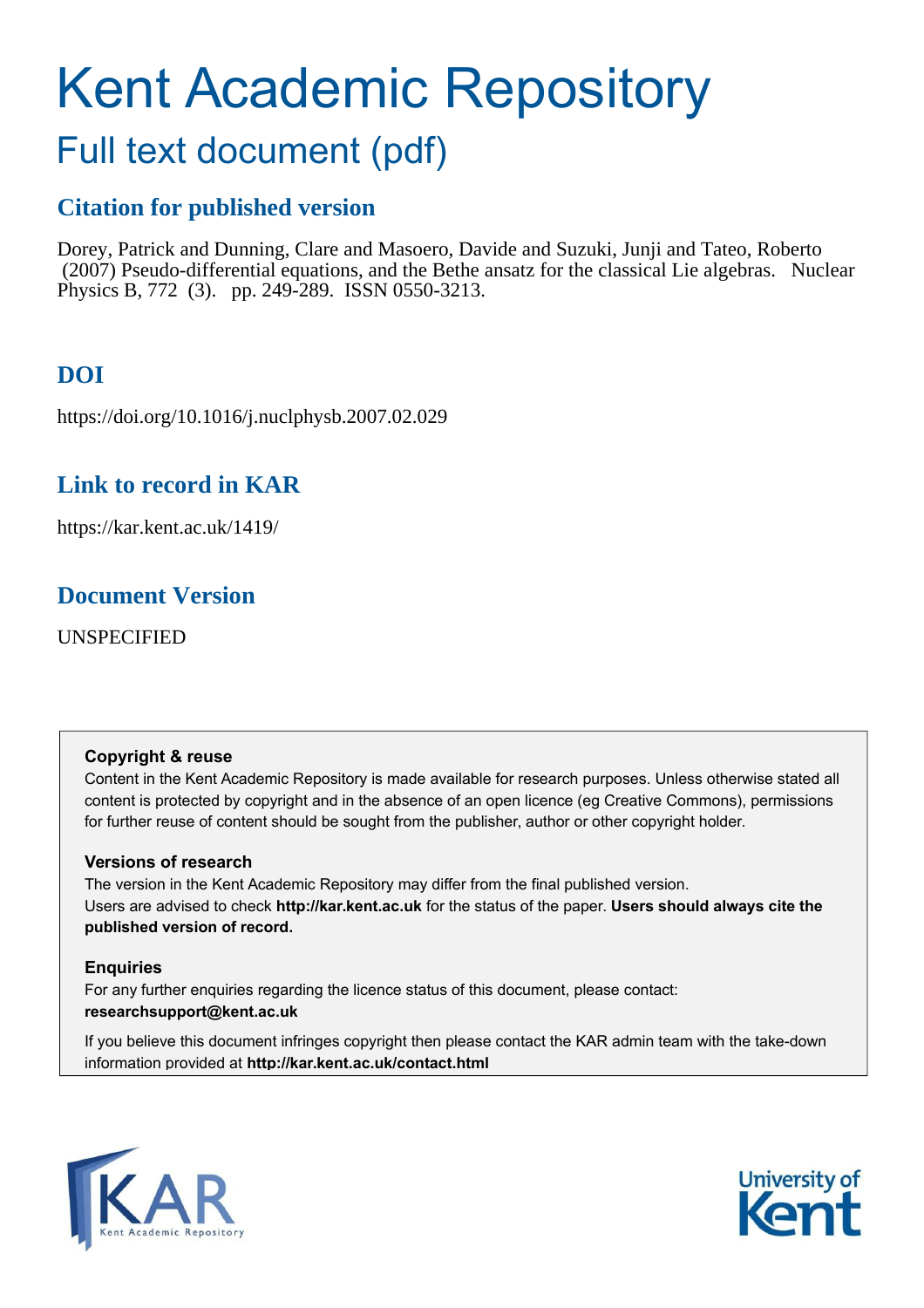# Kent Academic Repository

## Full text document (pdf)

## **Citation for published version**

Dorey, Patrick and Dunning, Clare and Masoero, Davide and Suzuki, Junji and Tateo, Roberto (2007) Pseudo-differential equations, and the Bethe ansatz for the classical Lie algebras. Nuclear Physics B, 772 (3). pp. 249-289. ISSN 0550-3213.

## **DOI**

https://doi.org/10.1016/j.nuclphysb.2007.02.029

## **Link to record in KAR**

https://kar.kent.ac.uk/1419/

## **Document Version**

UNSPECIFIED

#### **Copyright & reuse**

Content in the Kent Academic Repository is made available for research purposes. Unless otherwise stated all content is protected by copyright and in the absence of an open licence (eg Creative Commons), permissions for further reuse of content should be sought from the publisher, author or other copyright holder.

#### **Versions of research**

The version in the Kent Academic Repository may differ from the final published version. Users are advised to check **http://kar.kent.ac.uk** for the status of the paper. **Users should always cite the published version of record.**

#### **Enquiries**

For any further enquiries regarding the licence status of this document, please contact: **researchsupport@kent.ac.uk**

If you believe this document infringes copyright then please contact the KAR admin team with the take-down information provided at **http://kar.kent.ac.uk/contact.html**



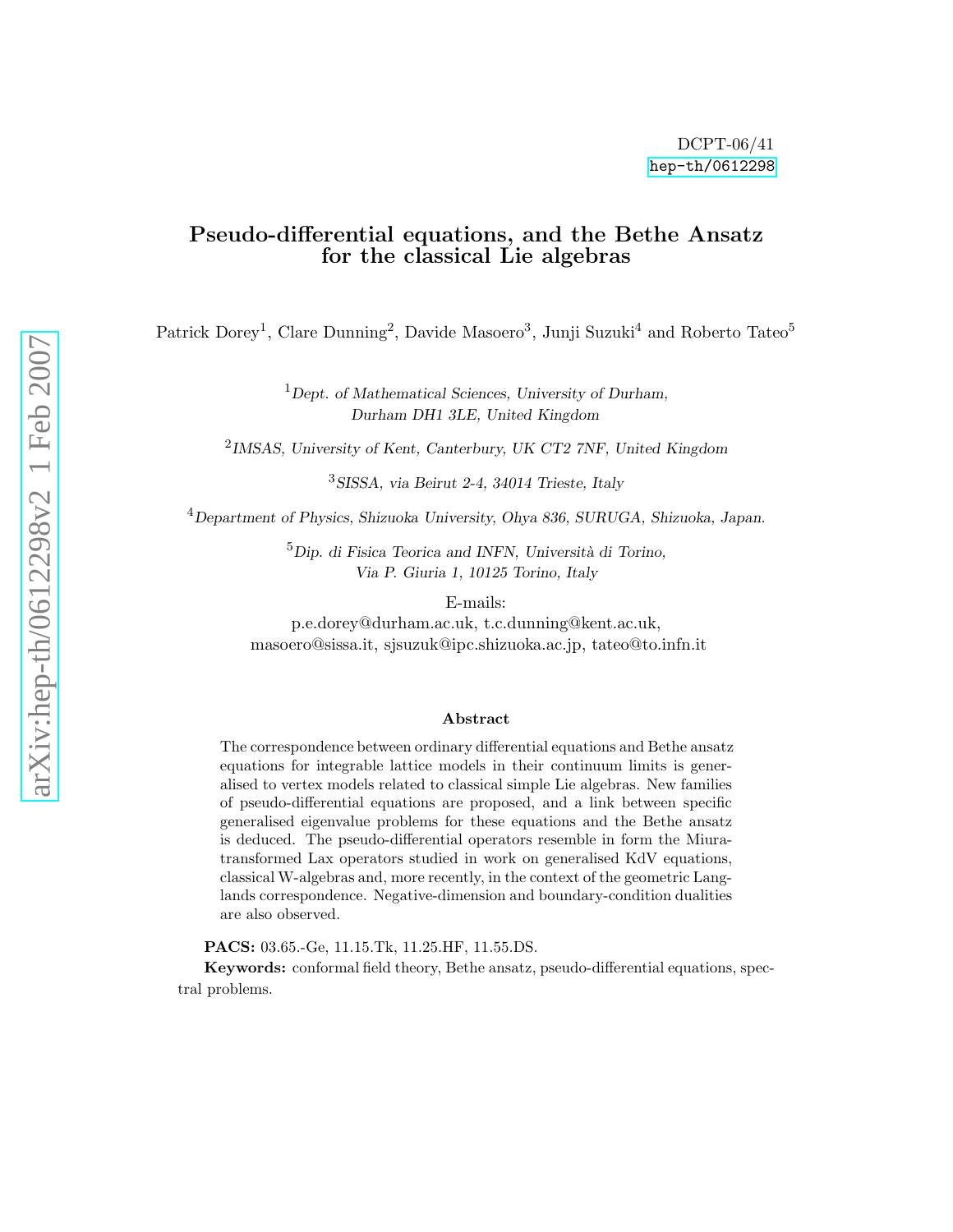#### Pseudo-differential equations, and the Bethe Ansatz for the classical Lie algebras

Patrick Dorey<sup>1</sup>, Clare Dunning<sup>2</sup>, Davide Masoero<sup>3</sup>, Junji Suzuki<sup>4</sup> and Roberto Tateo<sup>5</sup>

<sup>1</sup>Dept. of Mathematical Sciences, University of Durham, Durham DH1 3LE, United Kingdom

<sup>2</sup>IMSAS, University of Kent, Canterbury, UK CT2 7NF, United Kingdom

<sup>3</sup>SISSA, via Beirut 2-4, 34014 Trieste, Italy

 $^{4}$ Department of Physics, Shizuoka University, Ohya 836, SURUGA, Shizuoka, Japan.

 ${}^{5}$ Dip. di Fisica Teorica and INFN, Università di Torino, Via P. Giuria 1, 10125 Torino, Italy

E-mails:

p.e.dorey@durham.ac.uk, t.c.dunning@kent.ac.uk, masoero@sissa.it, sjsuzuk@ipc.shizuoka.ac.jp, tateo@to.infn.it

#### Abstract

The correspondence between ordinary differential equations and Bethe ansatz equations for integrable lattice models in their continuum limits is generalised to vertex models related to classical simple Lie algebras. New families of pseudo-differential equations are proposed, and a link between specific generalised eigenvalue problems for these equations and the Bethe ansatz is deduced. The pseudo-differential operators resemble in form the Miuratransformed Lax operators studied in work on generalised KdV equations, classical W-algebras and, more recently, in the context of the geometric Langlands correspondence. Negative-dimension and boundary-condition dualities are also observed.

PACS: 03.65.-Ge, 11.15.Tk, 11.25.HF, 11.55.DS.

Keywords: conformal field theory, Bethe ansatz, pseudo-differential equations, spectral problems.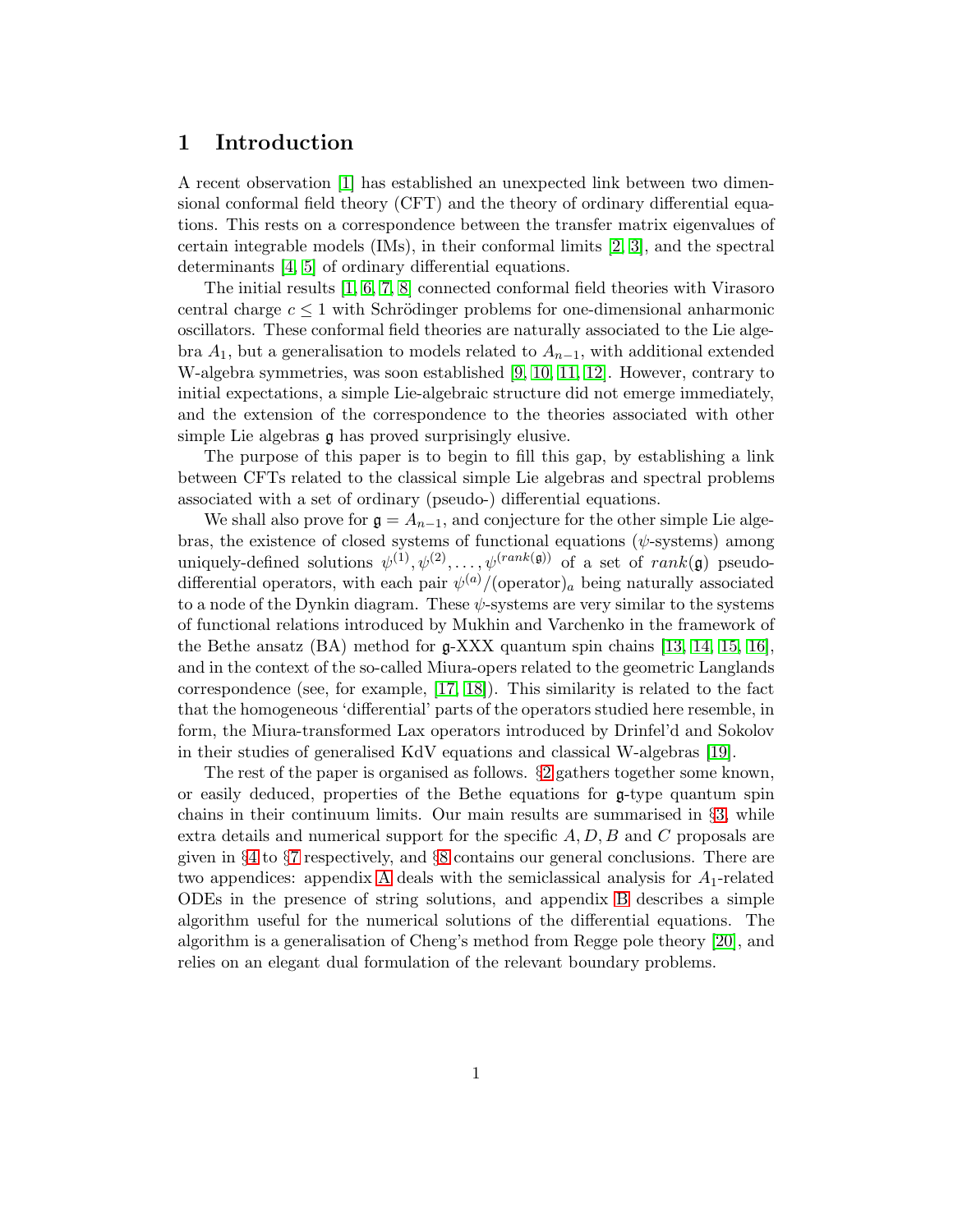#### <span id="page-2-0"></span>1 Introduction

A recent observation [\[1\]](#page-44-0) has established an unexpected link between two dimensional conformal field theory (CFT) and the theory of ordinary differential equations. This rests on a correspondence between the transfer matrix eigenvalues of certain integrable models (IMs), in their conformal limits [\[2,](#page-44-1) [3\]](#page-44-2), and the spectral determinants [\[4,](#page-44-3) [5\]](#page-44-4) of ordinary differential equations.

<span id="page-2-2"></span>The initial results [\[1,](#page-44-0) [6,](#page-44-5) [7,](#page-45-0) [8\]](#page-45-1) connected conformal field theories with Virasoro central charge  $c \leq 1$  with Schrödinger problems for one-dimensional anharmonic oscillators. These conformal field theories are naturally associated to the Lie algebra  $A_1$ , but a generalisation to models related to  $A_{n-1}$ , with additional extended W-algebra symmetries, was soon established [\[9,](#page-45-2) [10,](#page-45-3) [11,](#page-45-4) [12\]](#page-45-5). However, contrary to initial expectations, a simple Lie-algebraic structure did not emerge immediately, and the extension of the correspondence to the theories associated with other simple Lie algebras g has proved surprisingly elusive.

<span id="page-2-3"></span>The purpose of this paper is to begin to fill this gap, by establishing a link between CFTs related to the classical simple Lie algebras and spectral problems associated with a set of ordinary (pseudo-) differential equations.

<span id="page-2-6"></span>We shall also prove for  $\mathfrak{g} = A_{n-1}$ , and conjecture for the other simple Lie algebras, the existence of closed systems of functional equations ( $\psi$ -systems) among uniquely-defined solutions  $\psi^{(1)}, \psi^{(2)}, \dots, \psi^{(rank(\mathfrak{g}))}$  of a set of  $rank(\mathfrak{g})$  pseudodifferential operators, with each pair  $\psi^{(a)}$ /(operator)<sub>a</sub> being naturally associated to a node of the Dynkin diagram. These  $\psi$ -systems are very similar to the systems of functional relations introduced by Mukhin and Varchenko in the framework of the Bethe ansatz (BA) method for g-XXX quantum spin chains [\[13,](#page-45-6) [14,](#page-45-7) [15,](#page-45-8) [16\]](#page-45-9), and in the context of the so-called Miura-opers related to the geometric Langlands correspondence (see, for example, [\[17,](#page-45-10) [18\]](#page-45-11)). This similarity is related to the fact that the homogeneous 'differential' parts of the operators studied here resemble, in form, the Miura-transformed Lax operators introduced by Drinfel'd and Sokolov in their studies of generalised KdV equations and classical W-algebras [\[19\]](#page-45-12).

<span id="page-2-5"></span><span id="page-2-4"></span><span id="page-2-1"></span>The rest of the paper is organised as follows. §[2](#page-2-0) gathers together some known, or easily deduced, properties of the Bethe equations for g-type quantum spin chains in their continuum limits. Our main results are summarised in §[3,](#page-4-0) while extra details and numerical support for the specific  $A, D, B$  and C proposals are given in §[4](#page-9-0) to §[7](#page-26-0) respectively, and §[8](#page-32-0) contains our general conclusions. There are two appendices: appendix [A](#page-33-0) deals with the semiclassical analysis for  $A_1$ -related ODEs in the presence of string solutions, and appendix [B](#page-38-0) describes a simple algorithm useful for the numerical solutions of the differential equations. The algorithm is a generalisation of Cheng's method from Regge pole theory [\[20\]](#page-45-13), and relies on an elegant dual formulation of the relevant boundary problems.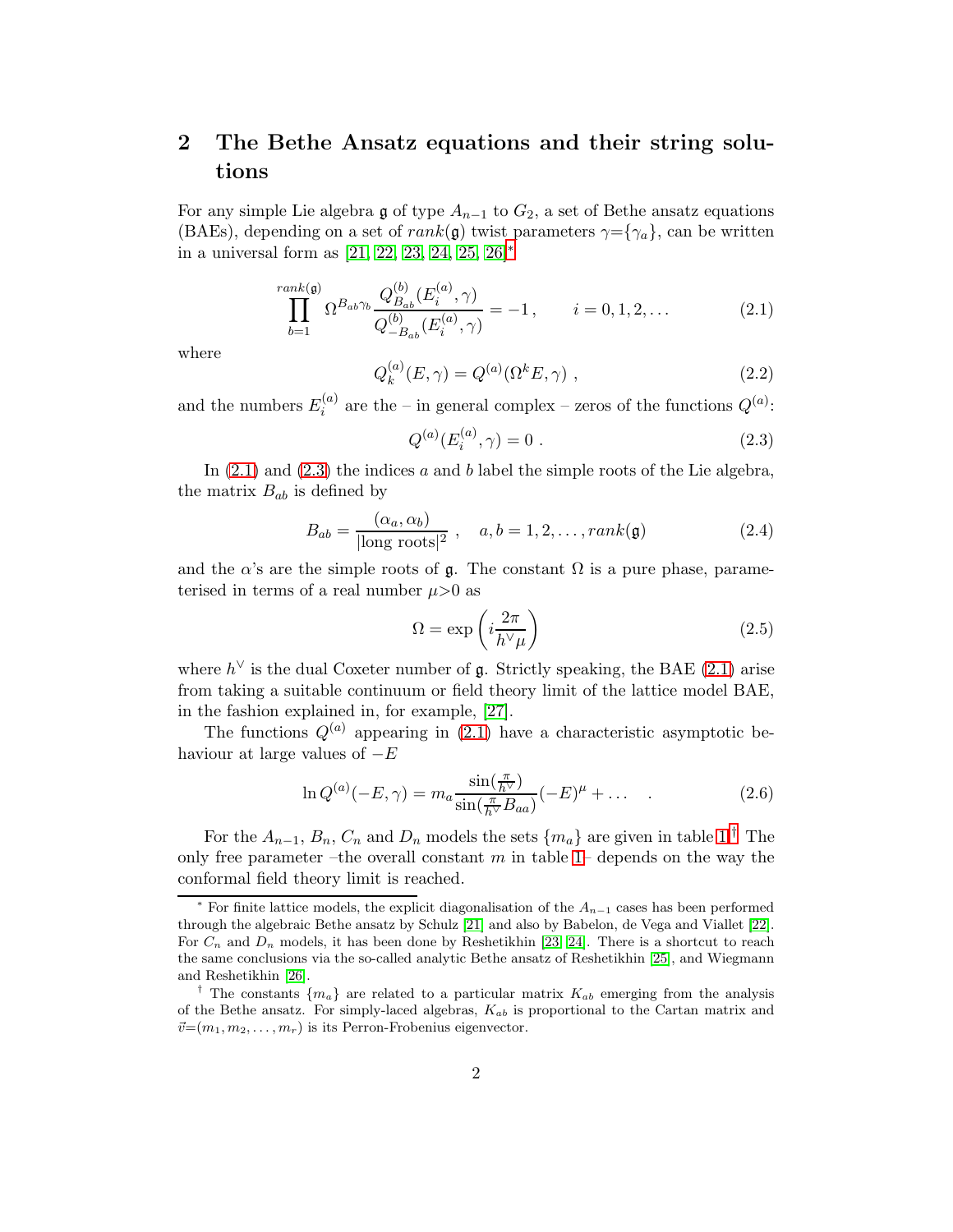#### 2 The Bethe Ansatz equations and their string solutions

For any simple Lie algebra g of type  $A_{n-1}$  to  $G_2$ , a set of Bethe ansatz equations (BAEs), depending on a set of rank(g) twist parameters  $\gamma = \{\gamma_a\}$ , can be written in a universal form as [\[21,](#page-45-14) [22,](#page-46-0) [23,](#page-46-1) [24,](#page-46-2) [25,](#page-46-3) [26\]](#page-46-4)[∗](#page-2-1)

$$
\prod_{b=1}^{rank(\mathfrak{g})} \Omega^{B_{ab}\gamma_b} \frac{Q_{B_{ab}}^{(b)}(E_i^{(a)}, \gamma)}{Q_{-B_{ab}}^{(b)}(E_i^{(a)}, \gamma)} = -1, \qquad i = 0, 1, 2, \dots
$$
 (2.1)

where

$$
Q_k^{(a)}(E, \gamma) = Q^{(a)}(\Omega^k E, \gamma) , \qquad (2.2)
$$

<span id="page-3-0"></span>and the numbers  $E_i^{(a)}$  $\sum_{i=1}^{(a)}$  are the – in general complex – zeros of the functions  $Q^{(a)}$ :

$$
Q^{(a)}(E_i^{(a)}, \gamma) = 0.
$$
\n(2.3)

In  $(2.1)$  and  $(2.3)$  the indices a and b label the simple roots of the Lie algebra, the matrix  $B_{ab}$  is defined by

$$
B_{ab} = \frac{(\alpha_a, \alpha_b)}{|\text{long roots}|^2}, \quad a, b = 1, 2, \dots, rank(\mathfrak{g})
$$
 (2.4)

and the  $\alpha$ 's are the simple roots of  $\mathfrak g$ . The constant  $\Omega$  is a pure phase, parameterised in terms of a real number  $\mu$ >0 as

<span id="page-3-1"></span>
$$
\Omega = \exp\left(i\frac{2\pi}{h^\vee\mu}\right) \tag{2.5}
$$

where  $h^{\vee}$  is the dual Coxeter number of  $\mathfrak g$ . Strictly speaking, the BAE [\(2.1\)](#page-2-2) arise from taking a suitable continuum or field theory limit of the lattice model BAE, in the fashion explained in, for example, [\[27\]](#page-46-5).

The functions  $Q^{(a)}$  appearing in [\(2.1\)](#page-2-2) have a characteristic asymptotic behaviour at large values of  $-E$ 

$$
\ln Q^{(a)}(-E,\gamma) = m_a \frac{\sin(\frac{\pi}{h^{\vee}})}{\sin(\frac{\pi}{h^{\vee}} B_{aa})}(-E)^{\mu} + \dots \quad . \tag{2.6}
$$

For the  $A_{n-1}$ ,  $B_n$ ,  $C_n$  and  $D_n$  models the sets  $\{m_a\}$  are given in table [1.](#page-3-0)<sup>[†](#page-2-4)</sup> The only free parameter –the overall constant  $m$  in table [1–](#page-3-0) depends on the way the conformal field theory limit is reached.

<sup>&</sup>lt;sup>\*</sup> For finite lattice models, the explicit diagonalisation of the  $A_{n-1}$  cases has been performed through the algebraic Bethe ansatz by Schulz [\[21\]](#page-45-14) and also by Babelon, de Vega and Viallet [\[22\]](#page-46-0). For  $C_n$  and  $D_n$  models, it has been done by Reshetikhin [\[23,](#page-46-1) [24\]](#page-46-2). There is a shortcut to reach the same conclusions via the so-called analytic Bethe ansatz of Reshetikhin [\[25\]](#page-46-3), and Wiegmann and Reshetikhin [\[26\]](#page-46-4).

<sup>&</sup>lt;sup>†</sup> The constants  ${m_a}$  are related to a particular matrix  $K_{ab}$  emerging from the analysis of the Bethe ansatz. For simply-laced algebras,  $K_{ab}$  is proportional to the Cartan matrix and  $\vec{v}=(m_1, m_2, \ldots, m_r)$  is its Perron-Frobenius eigenvector.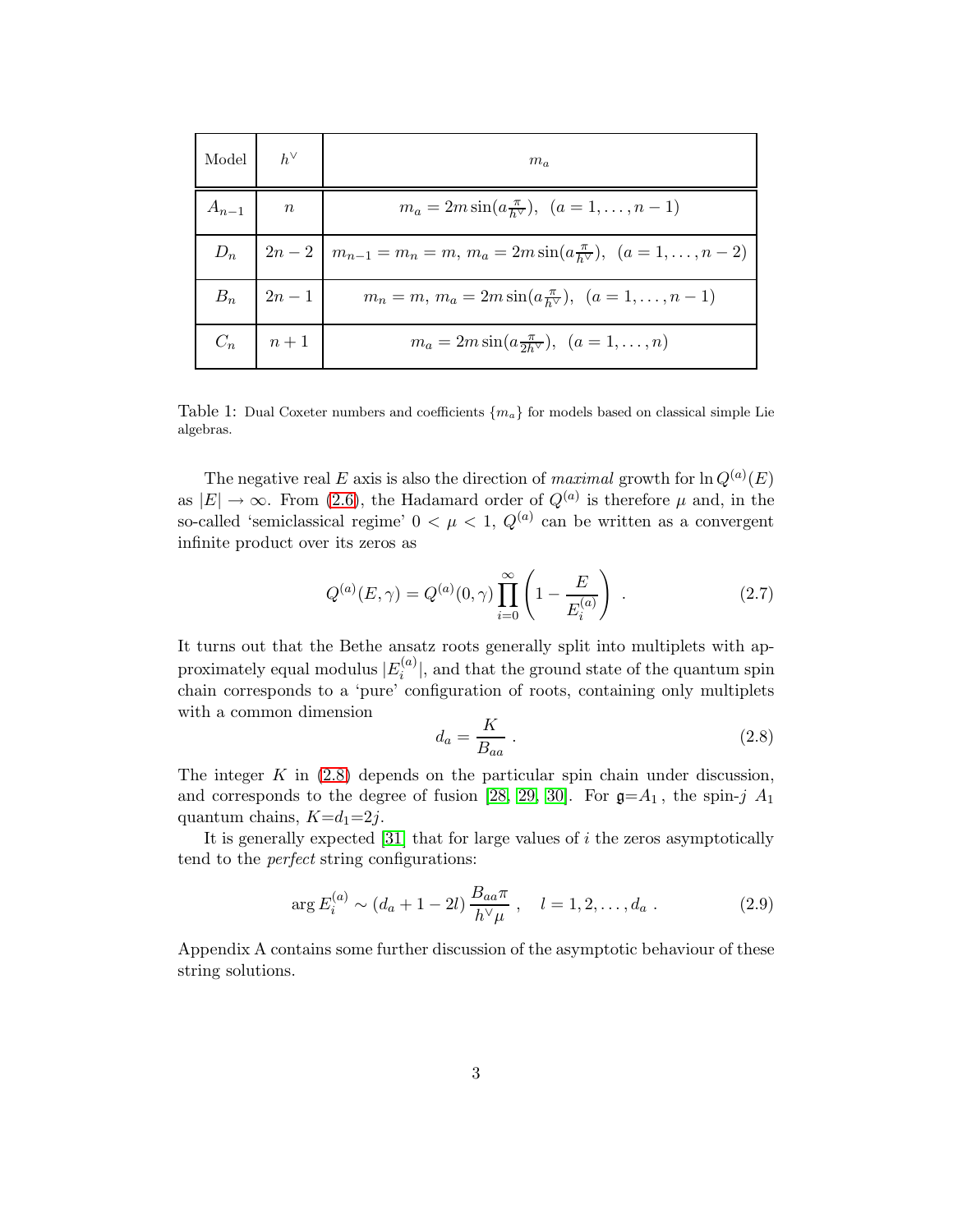<span id="page-4-3"></span><span id="page-4-0"></span>

| Model $h^{\vee}$ |                                              | $m_a$                                                                                      |
|------------------|----------------------------------------------|--------------------------------------------------------------------------------------------|
| $A_{n-1}$ n      |                                              | $m_a = 2m \sin(a \frac{\pi}{h^{\vee}}), \ \ (a = 1, \ldots, n-1)$                          |
|                  |                                              | $D_n$   $2n-2$   $m_{n-1} = m_n = m$ , $m_a = 2m \sin(a \frac{\pi}{h})$ , $(a = 1, , n-2)$ |
|                  | $B_n \quad   \quad 2n-1$                     | $m_n = m, m_a = 2m \sin(a \frac{\pi}{h^{\vee}}), (a = 1, \ldots, n-1)$                     |
|                  | $C_n$ $\begin{array}{ c c } n+1 \end{array}$ | $m_a = 2m \sin(a \frac{\pi}{2h\vee}), \ \ (a = 1, \ldots, n)$                              |

Table 1: Dual Coxeter numbers and coefficients  ${m_a}$  for models based on classical simple Lie algebras.

<span id="page-4-2"></span>The negative real E axis is also the direction of maximal growth for  $\ln Q^{(a)}(E)$ as  $|E| \to \infty$ . From [\(2.6\)](#page-2-5), the Hadamard order of  $Q^{(a)}$  is therefore  $\mu$  and, in the so-called 'semiclassical regime'  $0 < \mu < 1$ ,  $Q^{(a)}$  can be written as a convergent infinite product over its zeros as

$$
Q^{(a)}(E,\gamma) = Q^{(a)}(0,\gamma) \prod_{i=0}^{\infty} \left(1 - \frac{E}{E_i^{(a)}}\right) . \tag{2.7}
$$

It turns out that the Bethe ansatz roots generally split into multiplets with approximately equal modulus  $|E_i^{(a)}|$  $\binom{a}{i}$ , and that the ground state of the quantum spin chain corresponds to a 'pure' configuration of roots, containing only multiplets with a common dimension  $\overline{r}$ 

$$
d_a = \frac{K}{B_{aa}} \tag{2.8}
$$

<span id="page-4-1"></span>The integer  $K$  in  $(2.8)$  depends on the particular spin chain under discussion, and corresponds to the degree of fusion [\[28,](#page-46-6) [29,](#page-46-7) [30\]](#page-46-8). For  $\mathfrak{g} = A_1$ , the spin-j  $A_1$ quantum chains,  $K=d_1=2j$ .

It is generally expected  $[31]$  that for large values of i the zeros asymptotically tend to the perfect string configurations:

<span id="page-4-4"></span>
$$
\arg E_i^{(a)} \sim (d_a + 1 - 2l) \frac{B_{aa} \pi}{h^{\vee} \mu} , \quad l = 1, 2, \dots, d_a . \tag{2.9}
$$

Appendix A contains some further discussion of the asymptotic behaviour of these string solutions.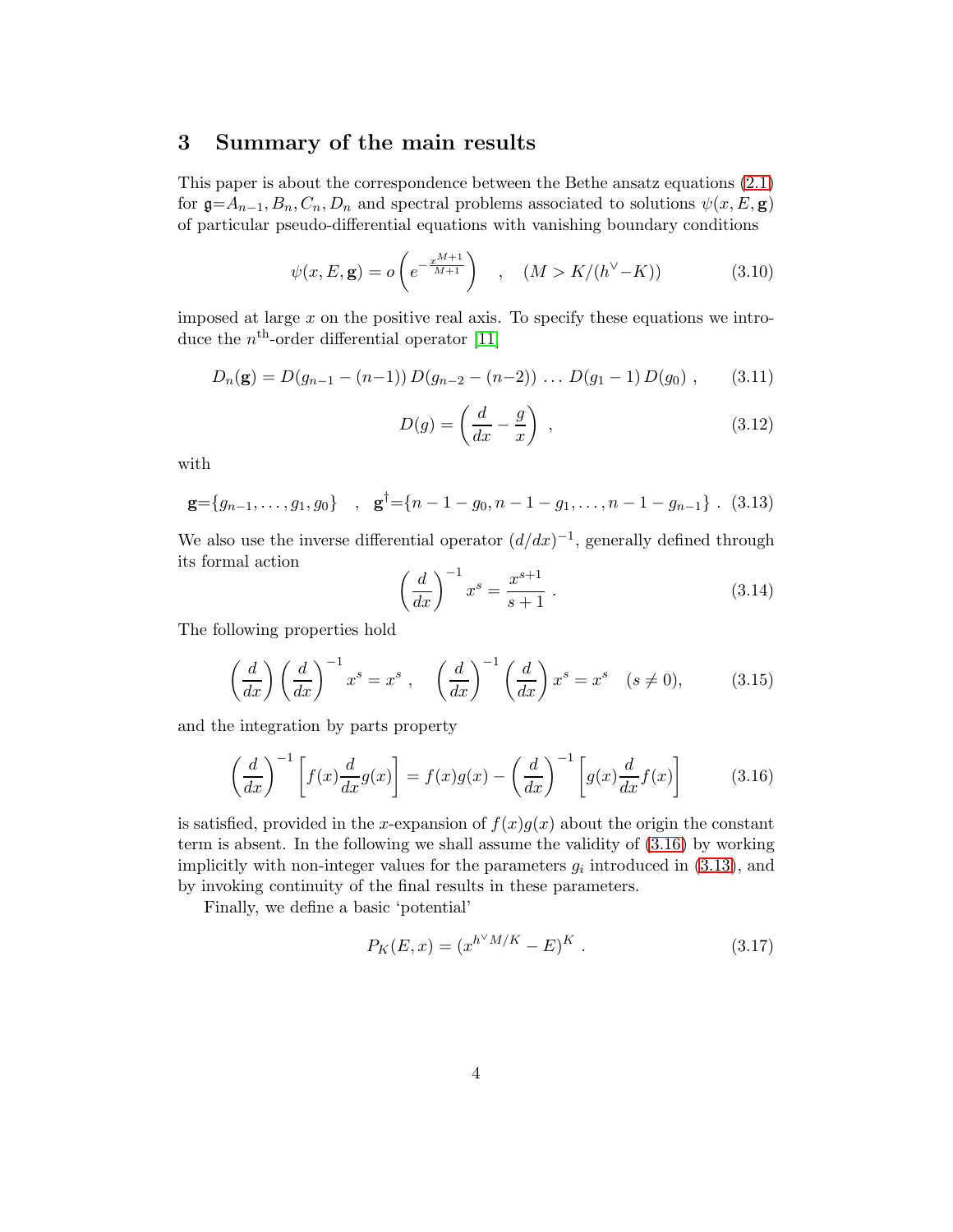#### 3 Summary of the main results

This paper is about the correspondence between the Bethe ansatz equations [\(2.1\)](#page-2-2) for  $\mathfrak{g} = A_{n-1}, B_n, C_n, D_n$  and spectral problems associated to solutions  $\psi(x, E, \mathbf{g})$ of particular pseudo-differential equations with vanishing boundary conditions

<span id="page-5-0"></span>
$$
\psi(x, E, \mathbf{g}) = o\left(e^{-\frac{x^{M+1}}{M+1}}\right) \quad , \quad (M > K/(h^{\vee} - K)) \tag{3.10}
$$

imposed at large  $x$  on the positive real axis. To specify these equations we introduce the  $n<sup>th</sup>$ -order differential operator [\[11\]](#page-45-4)

<span id="page-5-3"></span>
$$
D_n(\mathbf{g}) = D(g_{n-1} - (n-1)) D(g_{n-2} - (n-2)) \dots D(g_1 - 1) D(g_0) , \qquad (3.11)
$$

$$
D(g) = \left(\frac{d}{dx} - \frac{g}{x}\right) \tag{3.12}
$$

with

$$
\mathbf{g} = \{g_{n-1}, \dots, g_1, g_0\} \quad , \quad \mathbf{g}^{\dagger} = \{n-1-g_0, n-1-g_1, \dots, n-1-g_{n-1}\} \quad (3.13)
$$

<span id="page-5-4"></span>We also use the inverse differential operator  $(d/dx)^{-1}$ , generally defined through its formal action

$$
\left(\frac{d}{dx}\right)^{-1} x^s = \frac{x^{s+1}}{s+1} \ . \tag{3.14}
$$

The following properties hold

<span id="page-5-1"></span>
$$
\left(\frac{d}{dx}\right)\left(\frac{d}{dx}\right)^{-1}x^s = x^s , \quad \left(\frac{d}{dx}\right)^{-1}\left(\frac{d}{dx}\right)x^s = x^s \quad (s \neq 0), \tag{3.15}
$$

and the integration by parts property

$$
\left(\frac{d}{dx}\right)^{-1}\left[f(x)\frac{d}{dx}g(x)\right] = f(x)g(x) - \left(\frac{d}{dx}\right)^{-1}\left[g(x)\frac{d}{dx}f(x)\right] \tag{3.16}
$$

is satisfied, provided in the x-expansion of  $f(x)g(x)$  about the origin the constant term is absent. In the following we shall assume the validity of [\(3.16\)](#page-4-1) by working implicitly with non-integer values for the parameters  $g_i$  introduced in  $(3.13)$ , and by invoking continuity of the final results in these parameters.

<span id="page-5-2"></span>Finally, we define a basic 'potential'

<span id="page-5-5"></span>
$$
P_K(E, x) = (x^{h^{\vee} M/K} - E)^K.
$$
\n(3.17)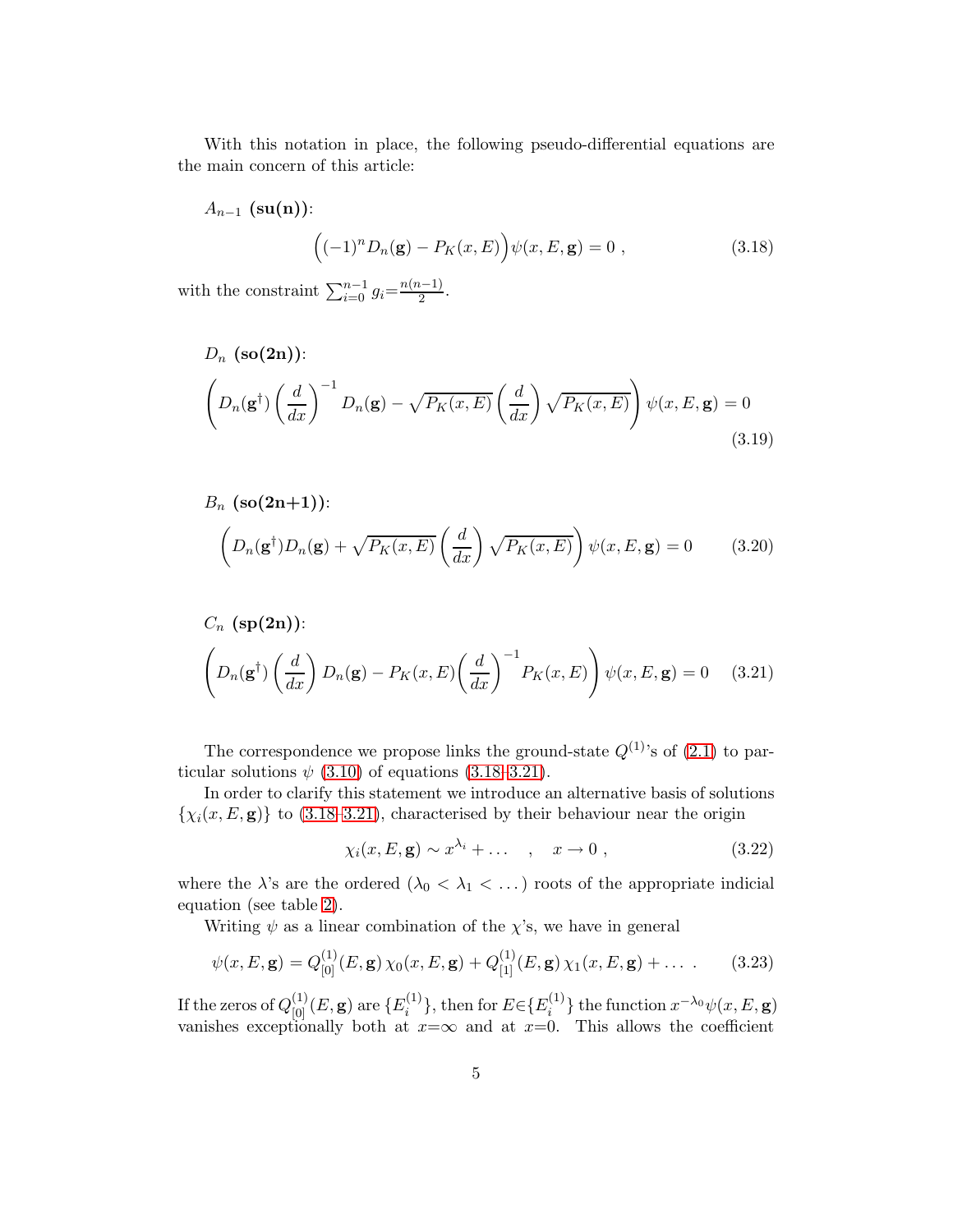With this notation in place, the following pseudo-differential equations are the main concern of this article:

$$
A_{n-1} \left(\mathbf{su(n)}\right): \qquad \qquad \left((-1)^n D_n(\mathbf{g}) - P_K(x, E)\right) \psi(x, E, \mathbf{g}) = 0 \tag{3.18}
$$

with the constraint  $\sum_{i=0}^{n-1} g_i = \frac{n(n-1)}{2}$ .

$$
D_n \left(\mathbf{so(2n)}\right):
$$
\n
$$
\left(D_n(\mathbf{g}^\dagger) \left(\frac{d}{dx}\right)^{-1} D_n(\mathbf{g}) - \sqrt{P_K(x, E)} \left(\frac{d}{dx}\right) \sqrt{P_K(x, E)}\right) \psi(x, E, \mathbf{g}) = 0
$$
\n(3.19)

<span id="page-6-0"></span>
$$
B_n \left(\mathbf{so}(2n+1)\right):
$$

$$
\left(D_n(\mathbf{g}^\dagger)D_n(\mathbf{g}) + \sqrt{P_K(x,E)}\left(\frac{d}{dx}\right)\sqrt{P_K(x,E)}\right)\psi(x,E,\mathbf{g}) = 0 \qquad (3.20)
$$

$$
C_n \left(\mathbf{sp(2n)}\right):
$$
\n
$$
\left(D_n(\mathbf{g}^\dagger) \left(\frac{d}{dx}\right) D_n(\mathbf{g}) - P_K(x, E) \left(\frac{d}{dx}\right)^{-1} P_K(x, E)\right) \psi(x, E, \mathbf{g}) = 0 \quad (3.21)
$$

The correspondence we propose links the ground-state  $Q^{(1)}$ 's of  $(2.1)$  to particular solutions  $\psi$  [\(3.10\)](#page-4-3) of equations [\(3.18](#page-5-0)[–3.21\)](#page-5-1).

In order to clarify this statement we introduce an alternative basis of solutions  $\{\chi_i(x, E, \mathbf{g})\}$  to [\(3.18–](#page-5-0)[3.21\)](#page-5-1), characterised by their behaviour near the origin

<span id="page-6-1"></span>
$$
\chi_i(x, E, \mathbf{g}) \sim x^{\lambda_i} + \dots \quad , \quad x \to 0 \; , \tag{3.22}
$$

where the  $\lambda$ 's are the ordered  $(\lambda_0 < \lambda_1 < \ldots)$  roots of the appropriate indicial equation (see table [2\)](#page-6-0).

Writing  $\psi$  as a linear combination of the  $\chi$ 's, we have in general

<span id="page-6-2"></span>
$$
\psi(x, E, \mathbf{g}) = Q_{[0]}^{(1)}(E, \mathbf{g}) \chi_0(x, E, \mathbf{g}) + Q_{[1]}^{(1)}(E, \mathbf{g}) \chi_1(x, E, \mathbf{g}) + \dots \tag{3.23}
$$

If the zeros of  $Q^{(1)}_{[0]}(E, \mathbf{g})$  are  $\{E^{(1)}_i$  $\{e_i^{(1)}\}$ , then for  $E \in \{E_i^{(1)}\}$  $\{a_i^{(1)}\}$  the function  $x^{-\lambda_0}\psi(x, E, \mathbf{g})$ vanishes exceptionally both at  $x=\infty$  and at  $x=0$ . This allows the coefficient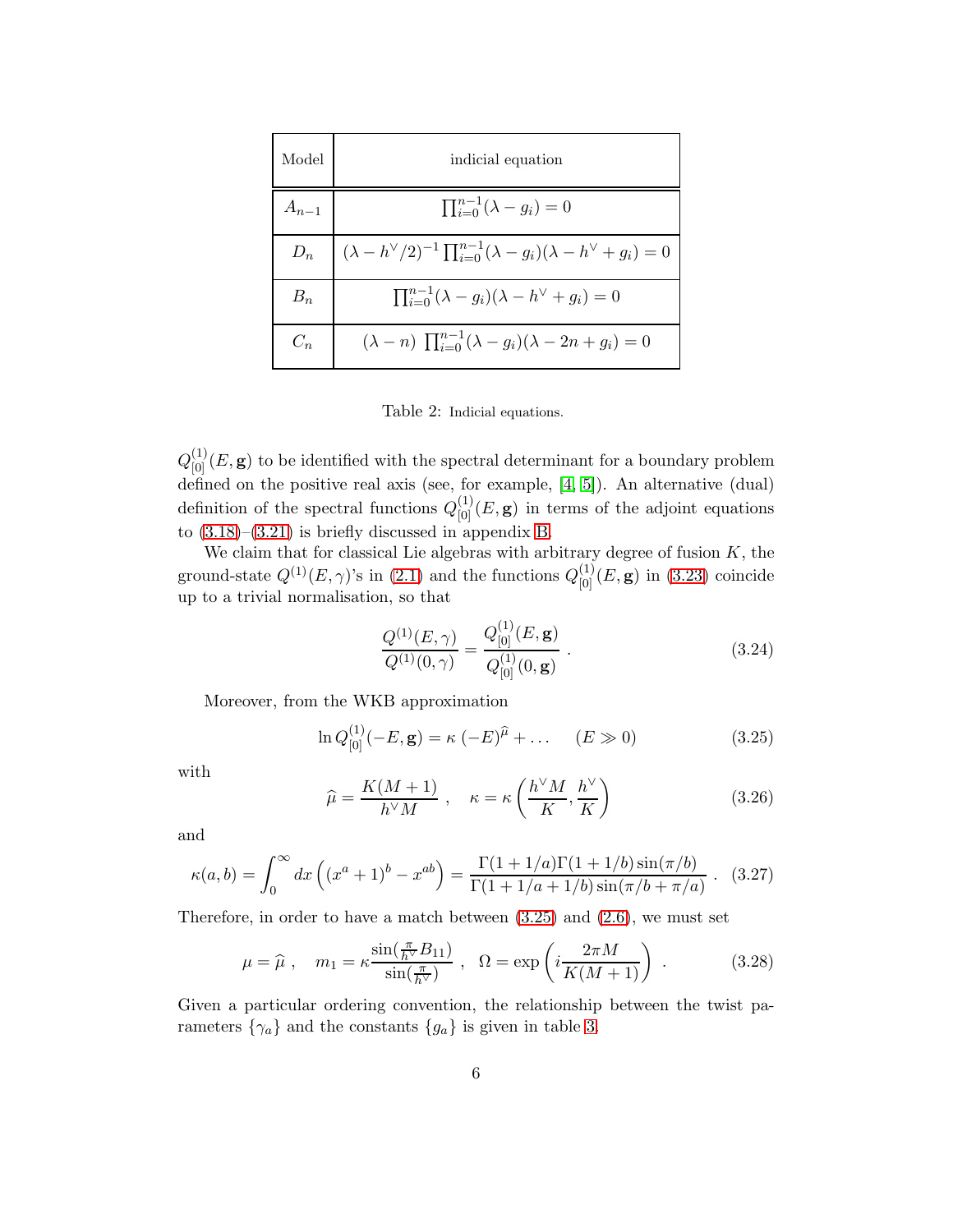| Model     | indicial equation                                                                                            |  |
|-----------|--------------------------------------------------------------------------------------------------------------|--|
| $A_{n-1}$ | $\prod_{i=0}^{n-1} (\lambda - g_i) = 0$                                                                      |  |
|           | $D_n \quad   \; (\lambda - h^{\vee}/2)^{-1} \prod_{i=0}^{n-1} (\lambda - g_i)(\lambda - h^{\vee} + g_i) = 0$ |  |
| $B_n$     | $\prod_{i=0}^{n-1} (\lambda - g_i)(\lambda - h^{\vee} + g_i) = 0$                                            |  |
| $C_n$     | $(\lambda - n) \prod_{i=0}^{n-1} (\lambda - g_i)(\lambda - 2n + g_i) = 0$                                    |  |

Table 2: Indicial equations.

 $Q_{[0]}^{(1)}(E, \mathbf{g})$  to be identified with the spectral determinant for a boundary problem defined on the positive real axis (see, for example, [\[4,](#page-44-3) [5\]](#page-44-4)). An alternative (dual) definition of the spectral functions  $Q_{[0]}^{(1)}(E, \mathbf{g})$  in terms of the adjoint equations to  $(3.18)$ – $(3.21)$  is briefly discussed in appendix [B.](#page-38-0)

<span id="page-7-0"></span>We claim that for classical Lie algebras with arbitrary degree of fusion  $K$ , the ground-state  $Q^{(1)}(E,\gamma)$ 's in [\(2.1\)](#page-2-2) and the functions  $Q^{(1)}_{[0]}(E,\mathbf{g})$  in [\(3.23\)](#page-5-2) coincide up to a trivial normalisation, so that

<span id="page-7-3"></span>
$$
\frac{Q^{(1)}(E,\gamma)}{Q^{(1)}(0,\gamma)} = \frac{Q_{[0]}^{(1)}(E,\mathbf{g})}{Q_{[0]}^{(1)}(0,\mathbf{g})}.
$$
\n(3.24)

Moreover, from the WKB approximation

$$
\ln Q_{[0]}^{(1)}(-E, \mathbf{g}) = \kappa \ (-E)^{\hat{\mu}} + \dots \quad (E \gg 0)
$$
\n(3.25)

with

$$
\widehat{\mu} = \frac{K(M+1)}{h^{\vee}M} , \quad \kappa = \kappa \left( \frac{h^{\vee}M}{K}, \frac{h^{\vee}}{K} \right) \tag{3.26}
$$

and

$$
\kappa(a,b) = \int_0^\infty dx \left( (x^a + 1)^b - x^{ab} \right) = \frac{\Gamma(1 + 1/a)\Gamma(1 + 1/b)\sin(\pi/b)}{\Gamma(1 + 1/a + 1/b)\sin(\pi/b + \pi/a)} . \tag{3.27}
$$

Therefore, in order to have a match between  $(3.25)$  and  $(2.6)$ , we must set

<span id="page-7-2"></span>
$$
\mu = \widehat{\mu} \ , \quad m_1 = \kappa \frac{\sin(\frac{\pi}{h^{\vee}} B_{11})}{\sin(\frac{\pi}{h^{\vee}})} \ , \quad \Omega = \exp\left(i \frac{2\pi M}{K(M+1)}\right) \ . \tag{3.28}
$$

<span id="page-7-1"></span>Given a particular ordering convention, the relationship between the twist parameters  $\{\gamma_a\}$  and the constants  $\{g_a\}$  is given in table [3.](#page-7-0)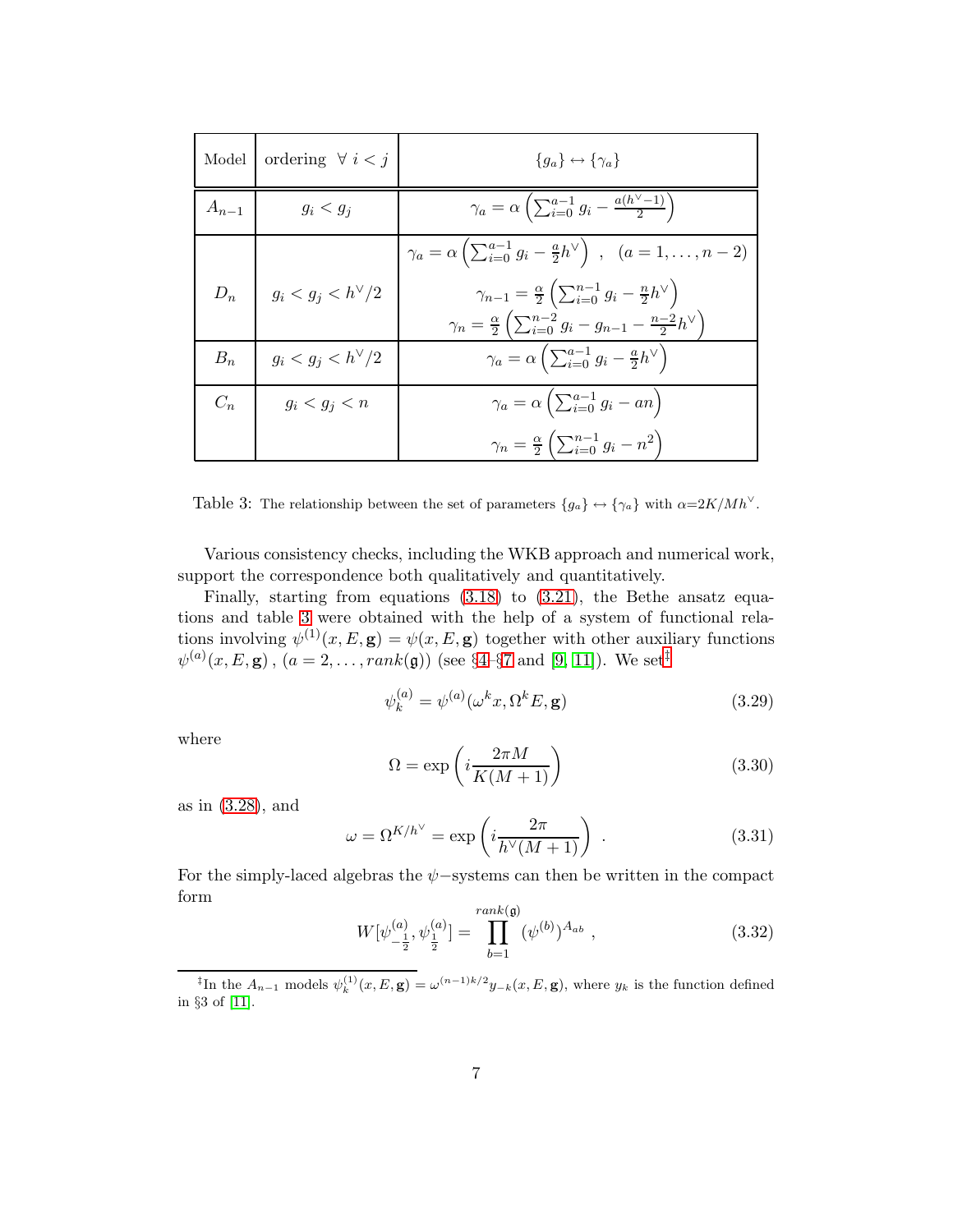<span id="page-8-0"></span>

| Model     | ordering $\forall i < j$          | ${g_a} \leftrightarrow {\gamma_a}$                                                                                                                                                                   |
|-----------|-----------------------------------|------------------------------------------------------------------------------------------------------------------------------------------------------------------------------------------------------|
| $A_{n-1}$ | $g_i < g_j$                       | $\gamma_a = \alpha \left( \sum_{i=0}^{a-1} g_i - \frac{a(h^{\vee}-1)}{2} \right)$                                                                                                                    |
|           |                                   | $\gamma_a = \alpha \left( \sum_{i=0}^{a-1} g_i - \frac{a}{2} h^{\vee} \right) , \ \ (a = 1, \ldots, n-2)$                                                                                            |
|           | $D_n \t   g_i < g_j < h^{\vee}/2$ | $\gamma_{n-1} = \frac{\alpha}{2} \left( \sum_{i=0}^{n-1} g_i - \frac{n}{2} h^{\vee} \right)$<br>$\gamma_n = \frac{\alpha}{2} \left( \sum_{i=0}^{n-2} g_i - g_{n-1} - \frac{n-2}{2} h^{\vee} \right)$ |
| $B_n$     | $g_i < g_j < h^{\vee}/2$          | $\gamma_a = \alpha \left( \sum_{i=0}^{a-1} g_i - \frac{a}{2} h^{\vee} \right)$                                                                                                                       |
| $C_n$     | $g_i < g_j < n$                   | $\gamma_a = \alpha \left( \sum_{i=0}^{a-1} g_i - an \right)$                                                                                                                                         |
|           |                                   | $\gamma_n = \frac{\alpha}{2} \left( \sum_{i=0}^{n-1} g_i - n^2 \right)$                                                                                                                              |

Table 3: The relationship between the set of parameters  $\{g_a\} \leftrightarrow \{\gamma_a\}$  with  $\alpha = 2K/Mh^{\vee}$ .

Various consistency checks, including the WKB approach and numerical work, support the correspondence both qualitatively and quantitatively.

Finally, starting from equations [\(3.18\)](#page-5-0) to [\(3.21\)](#page-5-1), the Bethe ansatz equations and table [3](#page-7-0) were obtained with the help of a system of functional relations involving  $\psi^{(1)}(x,E,\mathbf{g}) = \psi(x,E,\mathbf{g})$  together with other auxiliary functions  $\psi^{(a)}(x, E, \mathbf{g})$ ,  $(a = 2, ..., rank(\mathbf{g}))$  (see §4-§[7](#page-26-0) and [\[9,](#page-45-2) [11\]](#page-45-4)). We set<sup>[‡](#page-7-1)</sup>

$$
\psi_k^{(a)} = \psi^{(a)}(\omega^k x, \Omega^k E, \mathbf{g})\tag{3.29}
$$

where

$$
\Omega = \exp\left(i\frac{2\pi M}{K(M+1)}\right) \tag{3.30}
$$

as in [\(3.28\)](#page-6-2), and

$$
\omega = \Omega^{K/h^{\vee}} = \exp\left(i\frac{2\pi}{h^{\vee}(M+1)}\right) \tag{3.31}
$$

For the simply-laced algebras the  $\psi$ −systems can then be written in the compact form

$$
W[\psi_{-\frac{1}{2}}^{(a)}, \psi_{\frac{1}{2}}^{(a)}] = \prod_{b=1}^{rank(\mathfrak{g})} (\psi^{(b)})^{A_{ab}} , \qquad (3.32)
$$

<sup>&</sup>lt;sup>‡</sup>In the  $A_{n-1}$  models  $\psi_k^{(1)}(x,E,\mathbf{g}) = \omega^{(n-1)k/2} y_{-k}(x,E,\mathbf{g})$ , where  $y_k$  is the function defined in §3 of [\[11\]](#page-45-4).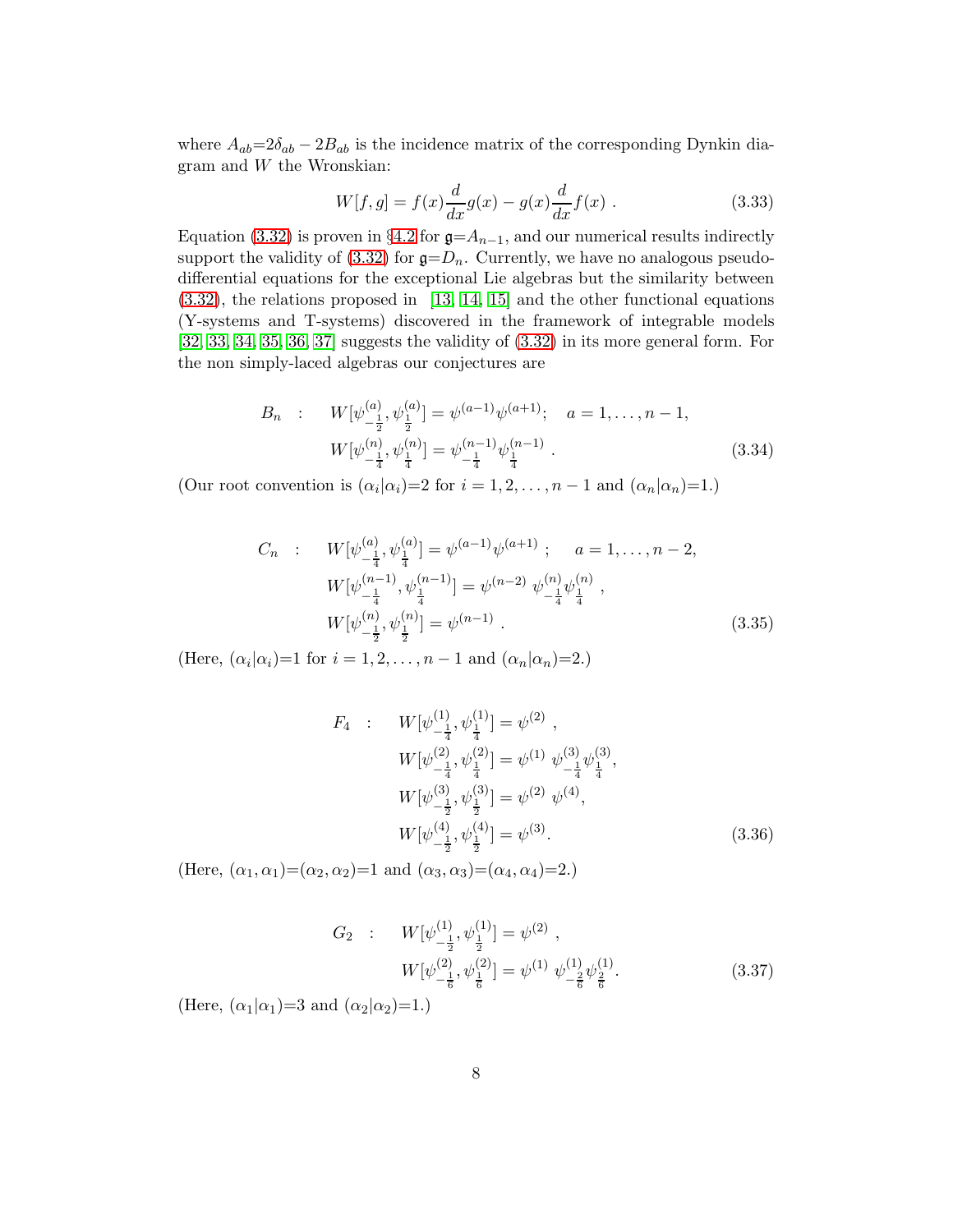where  $A_{ab}=2\delta_{ab}-2B_{ab}$  is the incidence matrix of the corresponding Dynkin diagram and W the Wronskian:

$$
W[f, g] = f(x)\frac{d}{dx}g(x) - g(x)\frac{d}{dx}f(x) .
$$
 (3.33)

<span id="page-9-0"></span>Equation [\(3.32\)](#page-7-2) is proven in §[4.2](#page-10-0) for  $\mathfrak{g} = A_{n-1}$ , and our numerical results indirectly support the validity of [\(3.32\)](#page-7-2) for  $\mathfrak{g}=D_n$ . Currently, we have no analogous pseudodifferential equations for the exceptional Lie algebras but the similarity between [\(3.32\)](#page-7-2), the relations proposed in [\[13,](#page-45-6) [14,](#page-45-7) [15\]](#page-45-8) and the other functional equations (Y-systems and T-systems) discovered in the framework of integrable models [\[32,](#page-46-10) [33,](#page-46-11) [34,](#page-46-12) [35,](#page-46-13) [36,](#page-46-14) [37\]](#page-47-0) suggests the validity of [\(3.32\)](#page-7-2) in its more general form. For the non simply-laced algebras our conjectures are

<span id="page-9-2"></span>
$$
B_n : W[\psi_{-\frac{1}{2}}^{(a)}, \psi_{\frac{1}{2}}^{(a)}] = \psi^{(a-1)}\psi^{(a+1)}; \quad a = 1, \dots, n-1,
$$
  

$$
W[\psi_{-\frac{1}{4}}^{(n)}, \psi_{\frac{1}{4}}^{(n)}] = \psi_{-\frac{1}{4}}^{(n-1)}\psi_{\frac{1}{4}}^{(n-1)}.
$$
 (3.34)

(Our root convention is  $(\alpha_i|\alpha_i)=2$  for  $i=1,2,\ldots,n-1$  and  $(\alpha_n|\alpha_n)=1$ .)

<span id="page-9-3"></span>
$$
C_n : W[\psi_{-\frac{1}{4}}^{(a)}, \psi_{\frac{1}{4}}^{(a)}] = \psi^{(a-1)}\psi^{(a+1)}; \quad a = 1, \dots, n-2,
$$
  
\n
$$
W[\psi_{-\frac{1}{4}}^{(n-1)}, \psi_{\frac{1}{4}}^{(n-1)}] = \psi^{(n-2)}\psi_{-\frac{1}{4}}^{(n)}\psi_{\frac{1}{4}}^{(n)},
$$
  
\n
$$
W[\psi_{-\frac{1}{2}}^{(n)}, \psi_{\frac{1}{2}}^{(n)}] = \psi^{(n-1)}.
$$
\n(3.35)

(Here,  $(\alpha_i|\alpha_i)=1$  for  $i=1,2,\ldots,n-1$  and  $(\alpha_n|\alpha_n)=2$ .)

<span id="page-9-1"></span>
$$
F_4: \tW[\psi_{-\frac{1}{4}}^{(1)}, \psi_{\frac{1}{4}}^{(1)}] = \psi^{(2)},
$$
  
\t
$$
W[\psi_{-\frac{1}{4}}^{(2)}, \psi_{\frac{1}{4}}^{(2)}] = \psi^{(1)} \psi_{-\frac{1}{4}}^{(3)} \psi_{\frac{1}{4}}^{(3)},
$$
  
\t
$$
W[\psi_{-\frac{1}{2}}^{(3)}, \psi_{\frac{1}{2}}^{(3)}] = \psi^{(2)} \psi^{(4)},
$$
  
\t
$$
W[\psi_{-\frac{1}{2}}^{(4)}, \psi_{\frac{1}{2}}^{(4)}] = \psi^{(3)}.
$$
\t(3.36)

(Here,  $(\alpha_1, \alpha_1) = (\alpha_2, \alpha_2) = 1$  and  $(\alpha_3, \alpha_3) = (\alpha_4, \alpha_4) = 2$ .)

$$
G_2 : W[\psi_{-\frac{1}{2}}^{(1)}, \psi_{\frac{1}{2}}^{(1)}] = \psi^{(2)},
$$
  

$$
W[\psi_{-\frac{1}{6}}^{(2)}, \psi_{\frac{1}{6}}^{(2)}] = \psi^{(1)} \psi_{-\frac{2}{6}}^{(1)} \psi_{\frac{2}{6}}^{(1)}.
$$
 (3.37)

(Here,  $(\alpha_1|\alpha_1)=3$  and  $(\alpha_2|\alpha_2)=1$ .)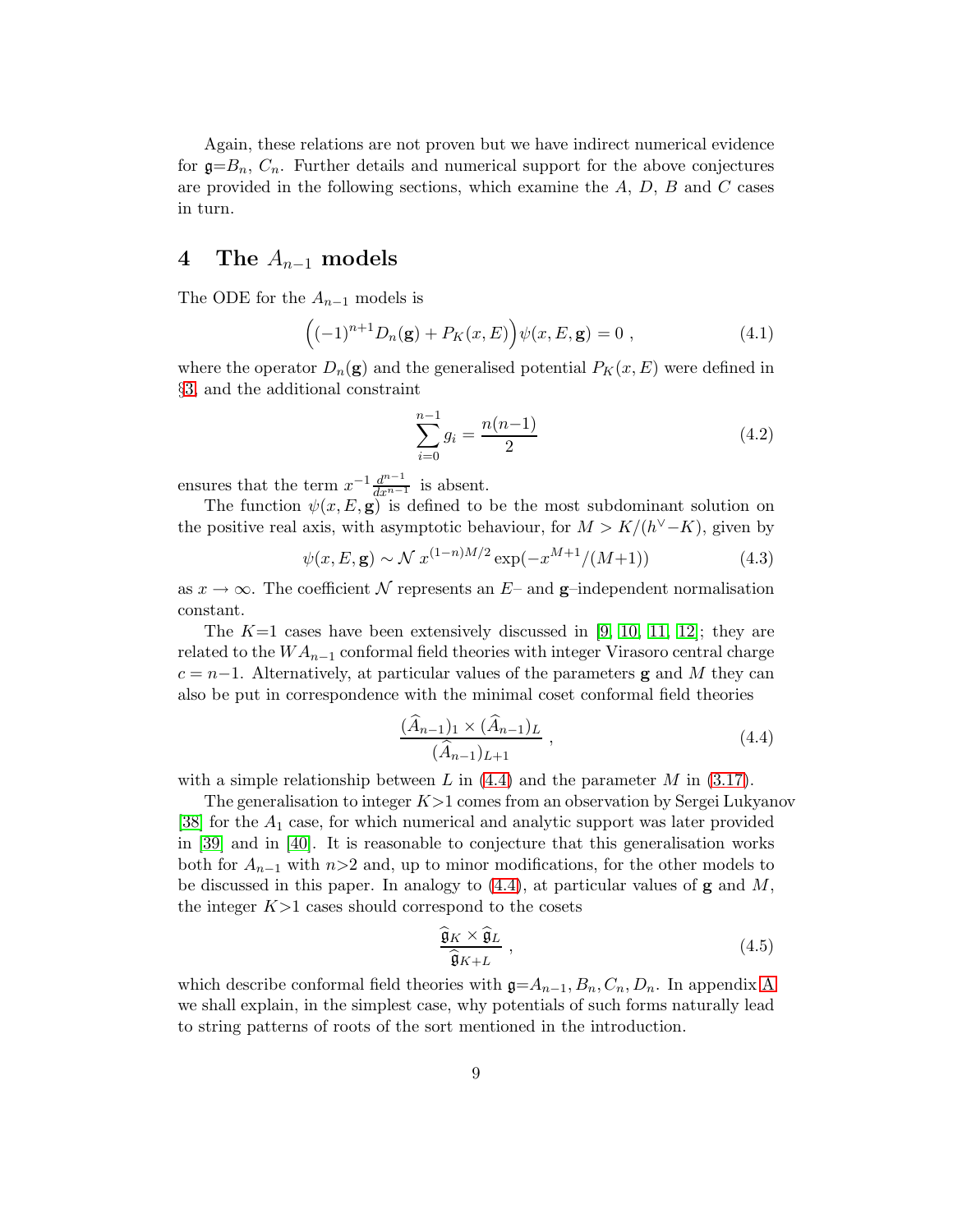<span id="page-10-4"></span>Again, these relations are not proven but we have indirect numerical evidence for  $g=B_n$ ,  $C_n$ . Further details and numerical support for the above conjectures are provided in the following sections, which examine the  $A, D, B$  and  $C$  cases in turn.

#### 4 The  $A_{n-1}$  models

The ODE for the  $A_{n-1}$  models is

<span id="page-10-2"></span><span id="page-10-1"></span>
$$
((-1)^{n+1}D_n(\mathbf{g}) + P_K(x, E)\big)\psi(x, E, \mathbf{g}) = 0 , \qquad (4.1)
$$

where the operator  $D_n(\mathbf{g})$  and the generalised potential  $P_K(x,E)$  were defined in §[3,](#page-4-0) and the additional constraint

<span id="page-10-3"></span>
$$
\sum_{i=0}^{n-1} g_i = \frac{n(n-1)}{2} \tag{4.2}
$$

ensures that the term  $x^{-1} \frac{d^{n-1}}{dx^{n-1}}$  is absent.

The function  $\psi(x, E, \mathbf{g})$  is defined to be the most subdominant solution on the positive real axis, with asymptotic behaviour, for  $M > K/(h^{\vee} - K)$ , given by

$$
\psi(x, E, \mathbf{g}) \sim \mathcal{N} \ x^{(1-n)M/2} \exp(-x^{M+1}/(M+1)) \tag{4.3}
$$

as  $x \to \infty$ . The coefficient N represents an E– and **g**–independent normalisation constant.

The  $K=1$  cases have been extensively discussed in [\[9,](#page-45-2) [10,](#page-45-3) [11,](#page-45-4) [12\]](#page-45-5); they are related to the  $WA_{n-1}$  conformal field theories with integer Virasoro central charge  $c = n-1$ . Alternatively, at particular values of the parameters **g** and M they can also be put in correspondence with the minimal coset conformal field theories

$$
\frac{(\hat{A}_{n-1})_1 \times (\hat{A}_{n-1})_L}{(\hat{A}_{n-1})_{L+1}},
$$
\n(4.4)

with a simple relationship between L in  $(4.4)$  and the parameter M in  $(3.17)$ .

The generalisation to integer  $K > 1$  comes from an observation by Sergei Lukyanov [\[38\]](#page-47-1) for the A<sup>1</sup> case, for which numerical and analytic support was later provided in [\[39\]](#page-47-2) and in [\[40\]](#page-47-3). It is reasonable to conjecture that this generalisation works both for  $A_{n-1}$  with n>2 and, up to minor modifications, for the other models to be discussed in this paper. In analogy to  $(4.4)$ , at particular values of **g** and M, the integer  $K>1$  cases should correspond to the cosets

$$
\frac{\widehat{\mathfrak{g}}_K \times \widehat{\mathfrak{g}}_L}{\widehat{\mathfrak{g}}_{K+L}} , \qquad (4.5)
$$

<span id="page-10-0"></span>which describe conformal field theories with  $g=A_{n-1},B_n,C_n,D_n$ . In appendix [A](#page-33-0) we shall explain, in the simplest case, why potentials of such forms naturally lead to string patterns of roots of the sort mentioned in the introduction.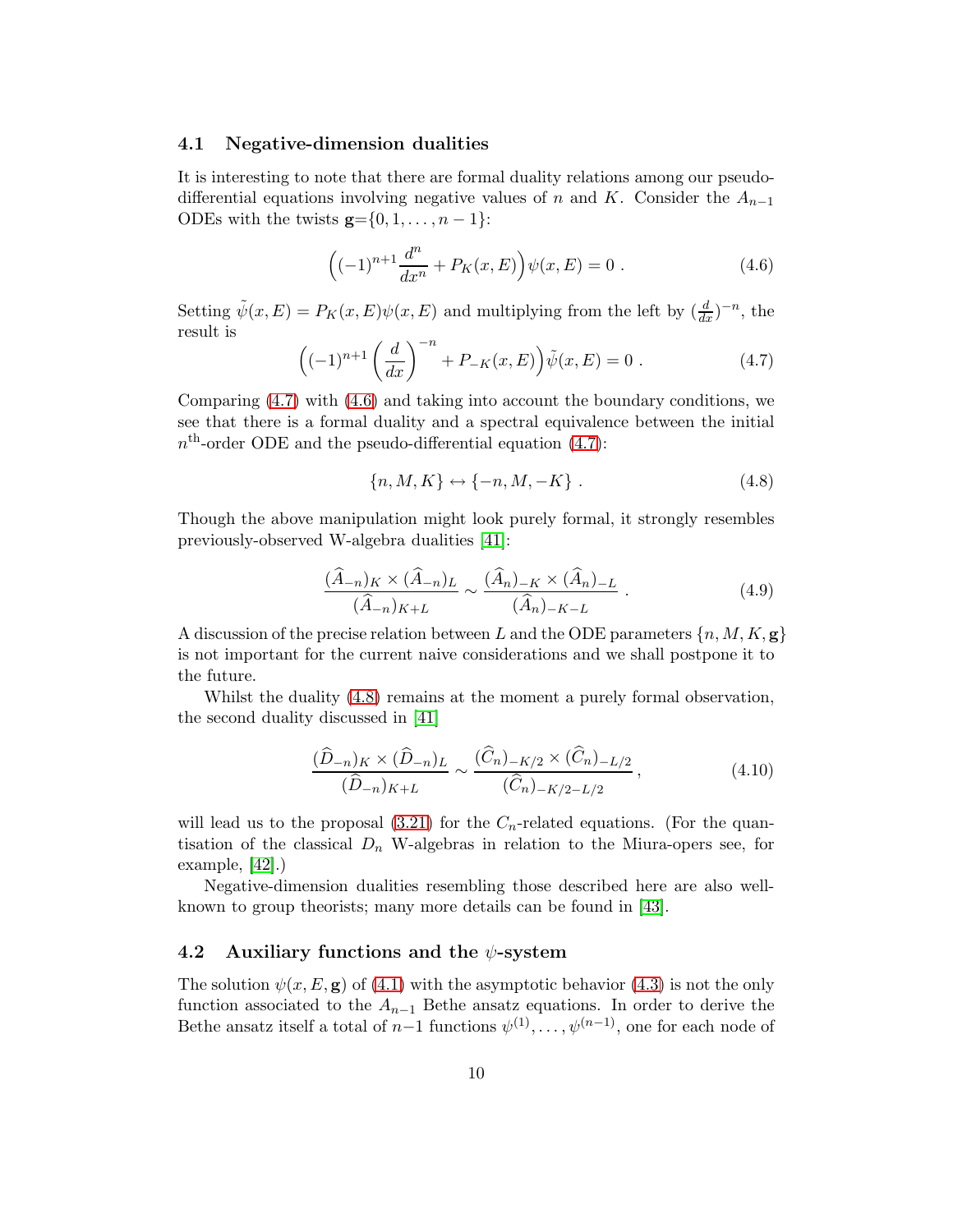#### 4.1 Negative-dimension dualities

<span id="page-11-1"></span>It is interesting to note that there are formal duality relations among our pseudodifferential equations involving negative values of n and K. Consider the  $A_{n-1}$ ODEs with the twists  $\mathbf{g} = \{0, 1, \ldots, n-1\}$ :

$$
((-1)^{n+1} \frac{d^n}{dx^n} + P_K(x, E) \Big) \psi(x, E) = 0.
$$
 (4.6)

Setting  $\tilde{\psi}(x,E) = P_K(x,E)\psi(x,E)$  and multiplying from the left by  $(\frac{d}{dx})^{-n}$ , the result is

$$
\left((-1)^{n+1} \left(\frac{d}{dx}\right)^{-n} + P_{-K}(x, E)\right) \tilde{\psi}(x, E) = 0.
$$
 (4.7)

Comparing  $(4.7)$  with  $(4.6)$  and taking into account the boundary conditions, we see that there is a formal duality and a spectral equivalence between the initial  $n<sup>th</sup>$ -order ODE and the pseudo-differential equation [\(4.7\)](#page-10-1):

$$
\{n, M, K\} \leftrightarrow \{-n, M, -K\} . \tag{4.8}
$$

Though the above manipulation might look purely formal, it strongly resembles previously-observed W-algebra dualities [\[41\]](#page-47-4):

<span id="page-11-0"></span>
$$
\frac{(\widehat{A}_{-n})_K \times (\widehat{A}_{-n})_L}{(\widehat{A}_{-n})_{K+L}} \sim \frac{(\widehat{A}_n)_{-K} \times (\widehat{A}_n)_{-L}}{(\widehat{A}_n)_{-K-L}}.
$$
\n(4.9)

A discussion of the precise relation between L and the ODE parameters  $\{n, M, K, \mathbf{g}\}\$ is not important for the current naive considerations and we shall postpone it to the future.

Whilst the duality  $(4.8)$  remains at the moment a purely formal observation, the second duality discussed in [\[41\]](#page-47-4)

$$
\frac{(\widehat{D}_{-n})_K \times (\widehat{D}_{-n})_L}{(\widehat{D}_{-n})_{K+L}} \sim \frac{(\widehat{C}_n)_{-K/2} \times (\widehat{C}_n)_{-L/2}}{(\widehat{C}_n)_{-K/2-L/2}},
$$
\n(4.10)

will lead us to the proposal  $(3.21)$  for the  $C_n$ -related equations. (For the quantisation of the classical  $D_n$  W-algebras in relation to the Miura-opers see, for example, [\[42\]](#page-47-5).)

Negative-dimension dualities resembling those described here are also wellknown to group theorists; many more details can be found in [\[43\]](#page-47-6).

#### 4.2 Auxiliary functions and the  $\psi$ -system

The solution  $\psi(x, E, \mathbf{g})$  of [\(4.1\)](#page-9-2) with the asymptotic behavior [\(4.3\)](#page-9-3) is not the only function associated to the  $A_{n-1}$  Bethe ansatz equations. In order to derive the Bethe ansatz itself a total of  $n-1$  functions  $\psi^{(1)}, \dots, \psi^{(n-1)}$ , one for each node of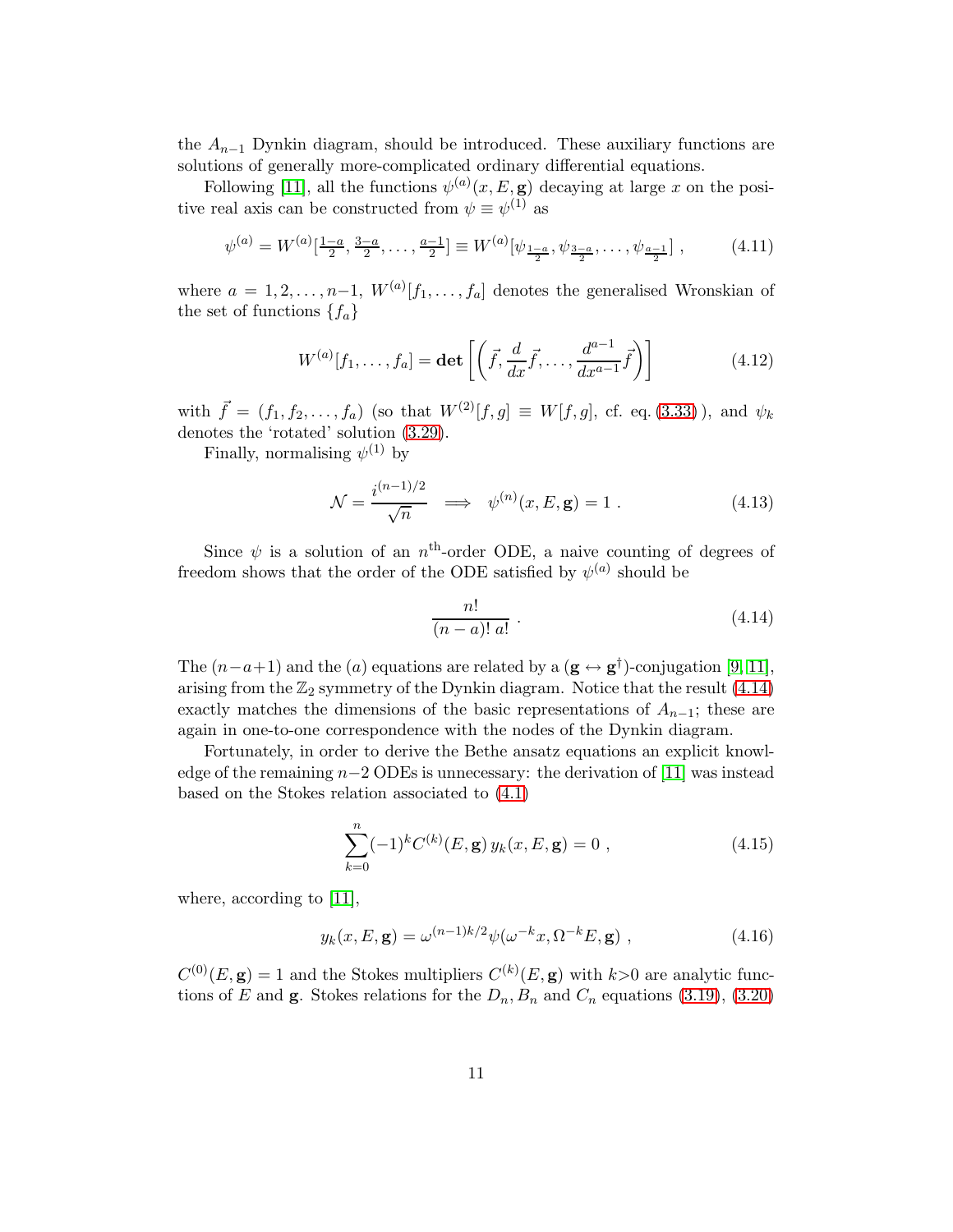the  $A_{n-1}$  Dynkin diagram, should be introduced. These auxiliary functions are solutions of generally more-complicated ordinary differential equations.

Following [\[11\]](#page-45-4), all the functions  $\psi^{(a)}(x, E, \mathbf{g})$  decaying at large x on the positive real axis can be constructed from  $\psi \equiv \psi^{(1)}$  as

$$
\psi^{(a)} = W^{(a)}\left[\frac{1-a}{2}, \frac{3-a}{2}, \dots, \frac{a-1}{2}\right] \equiv W^{(a)}\left[\psi_{\frac{1-a}{2}}, \psi_{\frac{3-a}{2}}, \dots, \psi_{\frac{a-1}{2}}\right],\tag{4.11}
$$

where  $a = 1, 2, \ldots, n-1$ ,  $W^{(a)}[f_1, \ldots, f_a]$  denotes the generalised Wronskian of the set of functions  $\{f_a\}$ 

<span id="page-12-2"></span><span id="page-12-1"></span>
$$
W^{(a)}[f_1,\ldots,f_a] = \det\left[\left(\vec{f},\frac{d}{dx}\vec{f},\ldots,\frac{d^{a-1}}{dx^{a-1}}\vec{f}\right)\right]
$$
(4.12)

with  $\vec{f} = (f_1, f_2,..., f_a)$  (so that  $W^{(2)}[f,g] \equiv W[f,g],$  cf. eq. [\(3.33\)](#page-8-0)), and  $\psi_k$ denotes the 'rotated' solution [\(3.29\)](#page-7-3).

Finally, normalising  $\psi^{(1)}$  by

$$
\mathcal{N} = \frac{i^{(n-1)/2}}{\sqrt{n}} \implies \psi^{(n)}(x, E, \mathbf{g}) = 1.
$$
 (4.13)

Since  $\psi$  is a solution of an n<sup>th</sup>-order ODE, a naive counting of degrees of freedom shows that the order of the ODE satisfied by  $\psi^{(a)}$  should be

$$
\frac{n!}{(n-a)! a!} \tag{4.14}
$$

The  $(n-a+1)$  and the  $(a)$  equations are related by a  $(\mathbf{g} \leftrightarrow \mathbf{g}^{\dagger})$ -conjugation [\[9,](#page-45-2) [11\]](#page-45-4), arising from the  $\mathbb{Z}_2$  symmetry of the Dynkin diagram. Notice that the result [\(4.14\)](#page-11-0) exactly matches the dimensions of the basic representations of  $A_{n-1}$ ; these are again in one-to-one correspondence with the nodes of the Dynkin diagram.

Fortunately, in order to derive the Bethe ansatz equations an explicit knowledge of the remaining  $n-2$  ODEs is unnecessary: the derivation of [\[11\]](#page-45-4) was instead based on the Stokes relation associated to [\(4.1\)](#page-9-2)

$$
\sum_{k=0}^{n} (-1)^{k} C^{(k)}(E, \mathbf{g}) y_{k}(x, E, \mathbf{g}) = 0 , \qquad (4.15)
$$

<span id="page-12-0"></span>where, according to [\[11\]](#page-45-4),

$$
y_k(x, E, \mathbf{g}) = \omega^{(n-1)k/2} \psi(\omega^{-k} x, \Omega^{-k} E, \mathbf{g}) , \qquad (4.16)
$$

 $C^{(0)}(E, \mathbf{g}) = 1$  and the Stokes multipliers  $C^{(k)}(E, \mathbf{g})$  with  $k > 0$  are analytic functions of E and **g**. Stokes relations for the  $D_n, B_n$  and  $C_n$  equations [\(3.19\)](#page-5-3), [\(3.20\)](#page-5-4)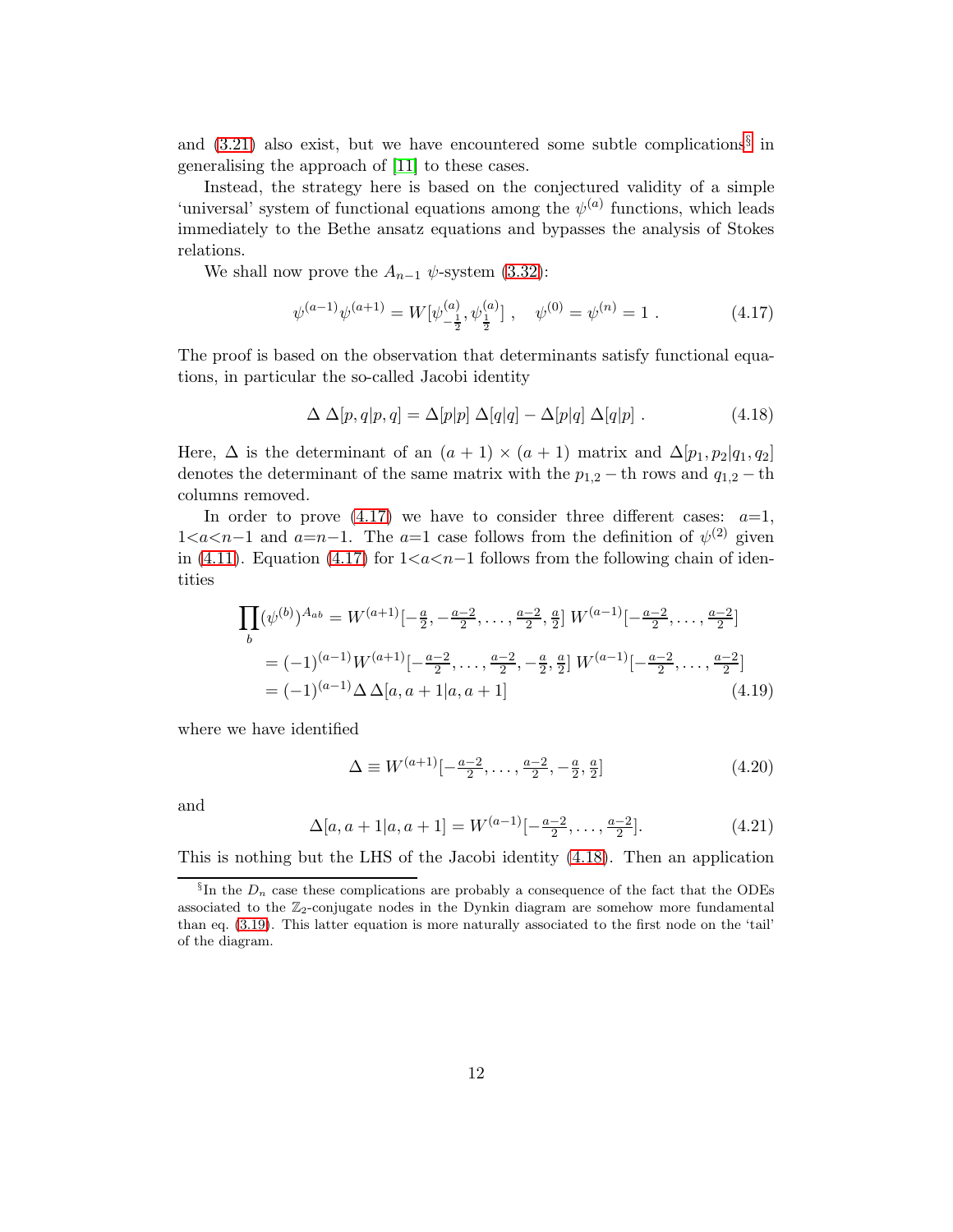and [\(3.21\)](#page-5-1) also exist, but we have encountered some subtle complications[§](#page-12-0) in generalising the approach of [\[11\]](#page-45-4) to these cases.

Instead, the strategy here is based on the conjectured validity of a simple 'universal' system of functional equations among the  $\psi^{(a)}$  functions, which leads immediately to the Bethe ansatz equations and bypasses the analysis of Stokes relations.

We shall now prove the  $A_{n-1} \psi$ -system [\(3.32\)](#page-7-2):

$$
\psi^{(a-1)}\psi^{(a+1)} = W[\psi^{(a)}_{-\frac{1}{2}}, \psi^{(a)}_{\frac{1}{2}}], \quad \psi^{(0)} = \psi^{(n)} = 1.
$$
 (4.17)

The proof is based on the observation that determinants satisfy functional equations, in particular the so-called Jacobi identity

$$
\Delta \Delta[p, q | p, q] = \Delta[p | p] \Delta[q | q] - \Delta[p | q] \Delta[q | p] . \qquad (4.18)
$$

<span id="page-13-1"></span>Here,  $\Delta$  is the determinant of an  $(a + 1) \times (a + 1)$  matrix and  $\Delta[p_1, p_2]q_1, q_2$ denotes the determinant of the same matrix with the  $p_{1,2}$  – th rows and  $q_{1,2}$  – th columns removed.

In order to prove  $(4.17)$  we have to consider three different cases:  $a=1$ ,  $1 < a < n-1$  and  $a=n-1$ . The  $a=1$  case follows from the definition of  $\psi^{(2)}$  given in [\(4.11\)](#page-11-1). Equation [\(4.17\)](#page-12-1) for  $1 \leq a \leq n-1$  follows from the following chain of identities

<span id="page-13-0"></span>
$$
\prod_{b} (\psi^{(b)})^{A_{ab}} = W^{(a+1)}[-\frac{a}{2}, -\frac{a-2}{2}, \dots, \frac{a-2}{2}, \frac{a}{2}] W^{(a-1)}[-\frac{a-2}{2}, \dots, \frac{a-2}{2}]
$$
  
=  $(-1)^{(a-1)} W^{(a+1)}[-\frac{a-2}{2}, \dots, \frac{a-2}{2}, -\frac{a}{2}, \frac{a}{2}] W^{(a-1)}[-\frac{a-2}{2}, \dots, \frac{a-2}{2}]$   
=  $(-1)^{(a-1)} \Delta \Delta[a, a+1]a, a+1]$  (4.19)

where we have identified

$$
\Delta \equiv W^{(a+1)}[-\frac{a-2}{2}, \dots, \frac{a-2}{2}, -\frac{a}{2}, \frac{a}{2}]
$$
\n(4.20)

and

$$
\Delta[a, a+1|a, a+1] = W^{(a-1)}[-\frac{a-2}{2}, \dots, \frac{a-2}{2}].
$$
\n(4.21)

This is nothing but the LHS of the Jacobi identity [\(4.18\)](#page-12-2). Then an application

<span id="page-13-2"></span> $\S$ In the  $D_n$  case these complications are probably a consequence of the fact that the ODEs associated to the  $\mathbb{Z}_2$ -conjugate nodes in the Dynkin diagram are somehow more fundamental than eq. [\(3.19\)](#page-5-3). This latter equation is more naturally associated to the first node on the 'tail' of the diagram.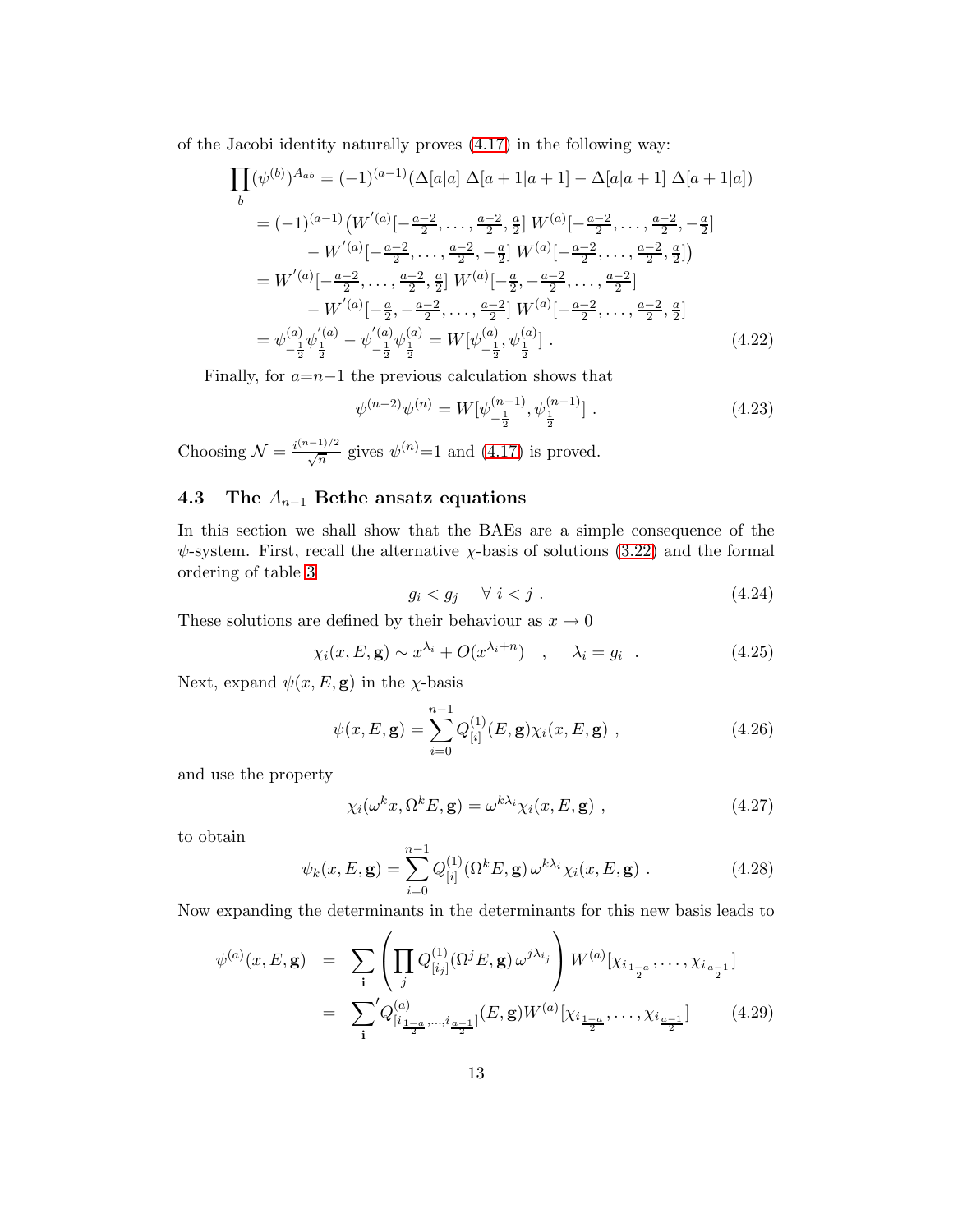of the Jacobi identity naturally proves [\(4.17\)](#page-12-1) in the following way:

$$
\prod_{b} (\psi^{(b)})^{A_{ab}} = (-1)^{(a-1)} (\Delta[a|a) \Delta[a+1|a+1] - \Delta[a|a+1] \Delta[a+1|a])
$$
  
\n
$$
= (-1)^{(a-1)} \left( W'^{(a)}[-\frac{a-2}{2}, \dots, \frac{a-2}{2}, \frac{a}{2}] W^{(a)}[-\frac{a-2}{2}, \dots, \frac{a-2}{2}, -\frac{a}{2}] - W'^{(a)}[-\frac{a-2}{2}, \dots, \frac{a-2}{2}, \frac{a}{2}] \right)
$$
  
\n
$$
= W'^{(a)}[-\frac{a-2}{2}, \dots, \frac{a-2}{2}, \frac{a}{2}] W^{(a)}[-\frac{a}{2}, -\frac{a-2}{2}, \dots, \frac{a-2}{2}]
$$
  
\n
$$
= W'^{(a)}[-\frac{a-2}{2}, \dots, \frac{a-2}{2}, \frac{a}{2}] W^{(a)}[-\frac{a}{2}, -\frac{a-2}{2}, \dots, \frac{a-2}{2}]
$$
  
\n
$$
- W'^{(a)}[-\frac{a}{2}, -\frac{a-2}{2}, \dots, \frac{a-2}{2}] W^{(a)}[-\frac{a-2}{2}, \dots, \frac{a-2}{2}, \frac{a}{2}]
$$
  
\n
$$
= \psi^{(a)}_{-\frac{1}{2}} \psi^{(a)}_{\frac{1}{2}} - \psi^{(a)}_{-\frac{1}{2}} \psi^{(a)}_{\frac{1}{2}} = W[\psi^{(a)}_{-\frac{1}{2}}, \psi^{(a)}_{\frac{1}{2}}]. \tag{4.22}
$$

<span id="page-14-0"></span>Finally, for  $a=n-1$  the previous calculation shows that

$$
\psi^{(n-2)}\psi^{(n)} = W[\psi_{-\frac{1}{2}}^{(n-1)}, \psi_{\frac{1}{2}}^{(n-1)}].
$$
\n(4.23)

Choosing  $\mathcal{N} = \frac{i^{(n-1)/2}}{\sqrt{n}}$  gives  $\psi^{(n)} = 1$  and  $(4.17)$  is proved.

#### 4.3 The  $A_{n-1}$  Bethe ansatz equations

In this section we shall show that the BAEs are a simple consequence of the  $\psi$ -system. First, recall the alternative  $\chi$ -basis of solutions [\(3.22\)](#page-5-5) and the formal ordering of table [3](#page-7-0)

$$
g_i < g_j \quad \forall \ i < j \ . \tag{4.24}
$$

These solutions are defined by their behaviour as  $x \to 0$ 

$$
\chi_i(x, E, \mathbf{g}) \sim x^{\lambda_i} + O(x^{\lambda_i + n}) \quad , \quad \lambda_i = g_i \quad . \tag{4.25}
$$

Next, expand  $\psi(x, E, \mathbf{g})$  in the  $\chi$ -basis

$$
\psi(x, E, \mathbf{g}) = \sum_{i=0}^{n-1} Q_{[i]}^{(1)}(E, \mathbf{g}) \chi_i(x, E, \mathbf{g}) , \qquad (4.26)
$$

and use the property

$$
\chi_i(\omega^k x, \Omega^k E, \mathbf{g}) = \omega^{k\lambda_i} \chi_i(x, E, \mathbf{g}) , \qquad (4.27)
$$

to obtain

$$
\psi_k(x, E, \mathbf{g}) = \sum_{i=0}^{n-1} Q_{[i]}^{(1)}(\Omega^k E, \mathbf{g}) \,\omega^{k\lambda_i} \chi_i(x, E, \mathbf{g}) \,. \tag{4.28}
$$

Now expanding the determinants in the determinants for this new basis leads to

<span id="page-14-1"></span>
$$
\psi^{(a)}(x, E, \mathbf{g}) = \sum_{\mathbf{i}} \left( \prod_{j} Q^{(1)}_{[i_j]}(\Omega^j E, \mathbf{g}) \, \omega^{j\lambda_{i_j}} \right) W^{(a)}[\chi_{i_{\frac{1-a}{2}}}, \dots, \chi_{i_{\frac{a-1}{2}}}]
$$
\n
$$
= \sum_{\mathbf{i}}' Q^{(a)}_{[i_{\frac{1-a}{2}}, \dots, i_{\frac{a-1}{2}}]}(E, \mathbf{g}) W^{(a)}[\chi_{i_{\frac{1-a}{2}}}, \dots, \chi_{i_{\frac{a-1}{2}}}] \qquad (4.29)
$$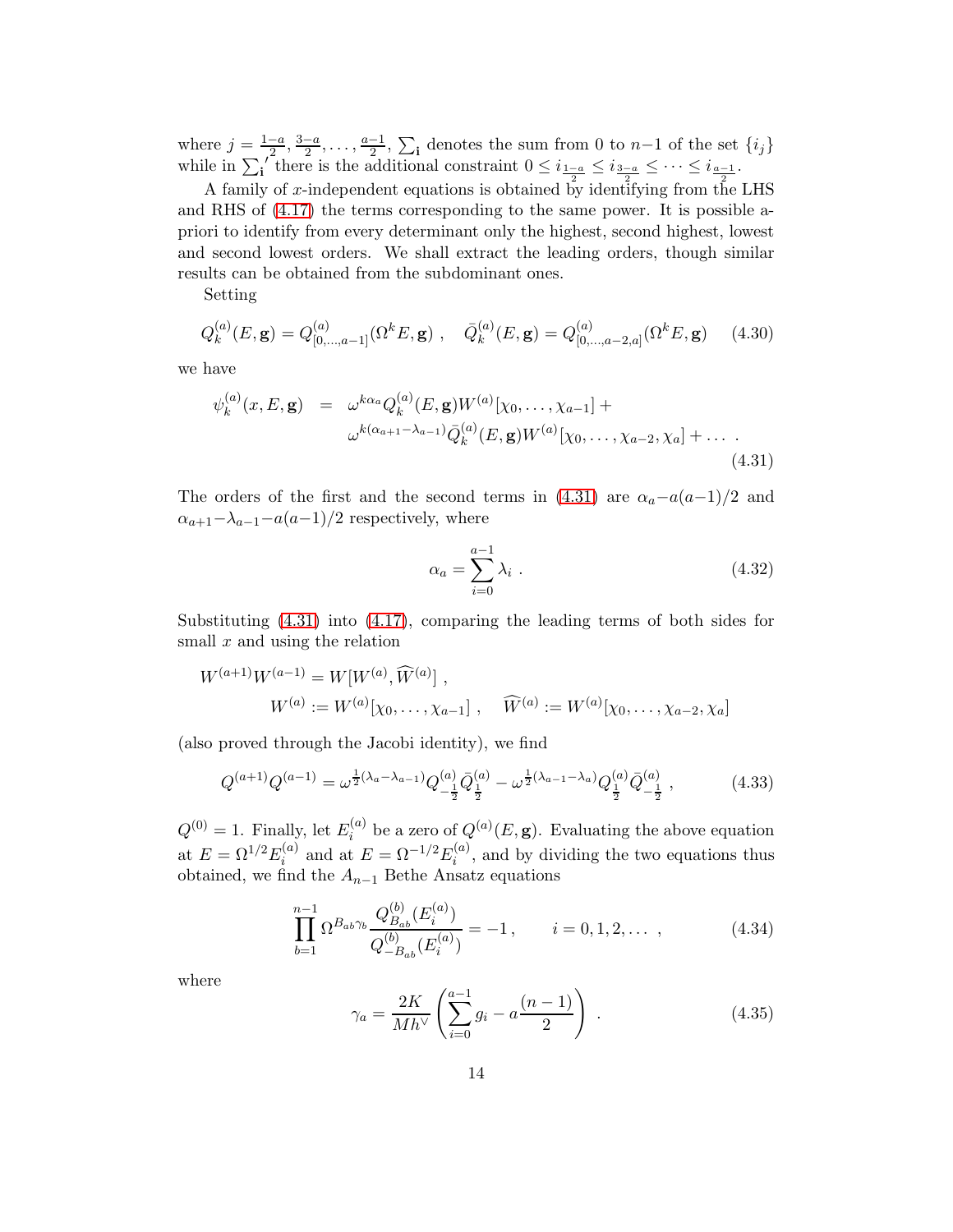where  $j = \frac{1-a}{2}, \frac{3-a}{2}, \ldots, \frac{a-1}{2}, \sum_{i}$  denotes the sum from 0 to  $n-1$  of the set  $\{i_j\}$ while in  $\sum_{i=1}^{\infty}$  there is the additional constraint  $0 \leq i_{\frac{1-a}{2}} \leq i_{\frac{3-a}{2}} \leq \cdots \leq i_{\frac{a-1}{2}}$ .

A family of x-independent equations is obtained by identifying from the LHS and RHS of [\(4.17\)](#page-12-1) the terms corresponding to the same power. It is possible apriori to identify from every determinant only the highest, second highest, lowest and second lowest orders. We shall extract the leading orders, though similar results can be obtained from the subdominant ones.

Setting

$$
Q_k^{(a)}(E, \mathbf{g}) = Q_{[0,\dots,a-1]}^{(a)}(\Omega^k E, \mathbf{g}) , \quad \bar{Q}_k^{(a)}(E, \mathbf{g}) = Q_{[0,\dots,a-2,a]}^{(a)}(\Omega^k E, \mathbf{g})
$$
(4.30)

we have

$$
\psi_k^{(a)}(x, E, \mathbf{g}) = \omega^{k\alpha_a} Q_k^{(a)}(E, \mathbf{g}) W^{(a)}[\chi_0, \dots, \chi_{a-1}] +
$$
  

$$
\omega^{k(\alpha_{a+1} - \lambda_{a-1})} \bar{Q}_k^{(a)}(E, \mathbf{g}) W^{(a)}[\chi_0, \dots, \chi_{a-2}, \chi_a] + \dots
$$
  
(4.31)

<span id="page-15-0"></span>The orders of the first and the second terms in [\(4.31\)](#page-14-0) are  $\alpha_a-a(a-1)/2$  and  $\alpha_{a+1}-\lambda_{a-1}-a(a-1)/2$  respectively, where

$$
\alpha_a = \sum_{i=0}^{a-1} \lambda_i \tag{4.32}
$$

Substituting [\(4.31\)](#page-14-0) into [\(4.17\)](#page-12-1), comparing the leading terms of both sides for small  $x$  and using the relation

$$
W^{(a+1)}W^{(a-1)} = W[W^{(a)}, \widehat{W}^{(a)}],
$$
  
\n
$$
W^{(a)} := W^{(a)}[\chi_0, \dots, \chi_{a-1}], \quad \widehat{W}^{(a)} := W^{(a)}[\chi_0, \dots, \chi_{a-2}, \chi_a]
$$

(also proved through the Jacobi identity), we find

<span id="page-15-1"></span>
$$
Q^{(a+1)}Q^{(a-1)} = \omega^{\frac{1}{2}(\lambda_a - \lambda_{a-1})} Q^{(a)}_{-\frac{1}{2}} \bar{Q}^{(a)}_{\frac{1}{2}} - \omega^{\frac{1}{2}(\lambda_{a-1} - \lambda_a)} Q^{(a)}_{\frac{1}{2}} \bar{Q}^{(a)}_{-\frac{1}{2}} \,, \tag{4.33}
$$

<span id="page-15-3"></span> $Q^{(0)} = 1$ . Finally, let  $E_i^{(a)}$  $\mathcal{L}_i^{(a)}$  be a zero of  $Q^{(a)}(E, \mathbf{g})$ . Evaluating the above equation at  $E = \Omega^{1/2} E_i^{(a)}$  $i^{(a)}$  and at  $E = \Omega^{-1/2} E_i^{(a)}$  $i^{(u)}$ , and by dividing the two equations thus obtained, we find the  $A_{n-1}$  Bethe Ansatz equations

$$
\prod_{b=1}^{n-1} \Omega^{B_{ab}\gamma_b} \frac{Q_{B_{ab}}^{(b)}(E_i^{(a)})}{Q_{-B_{ab}}^{(b)}(E_i^{(a)})} = -1, \qquad i = 0, 1, 2, \dots \,, \tag{4.34}
$$

<span id="page-15-2"></span>where

$$
\gamma_a = \frac{2K}{Mh^{\vee}} \left( \sum_{i=0}^{a-1} g_i - a \frac{(n-1)}{2} \right) \ . \tag{4.35}
$$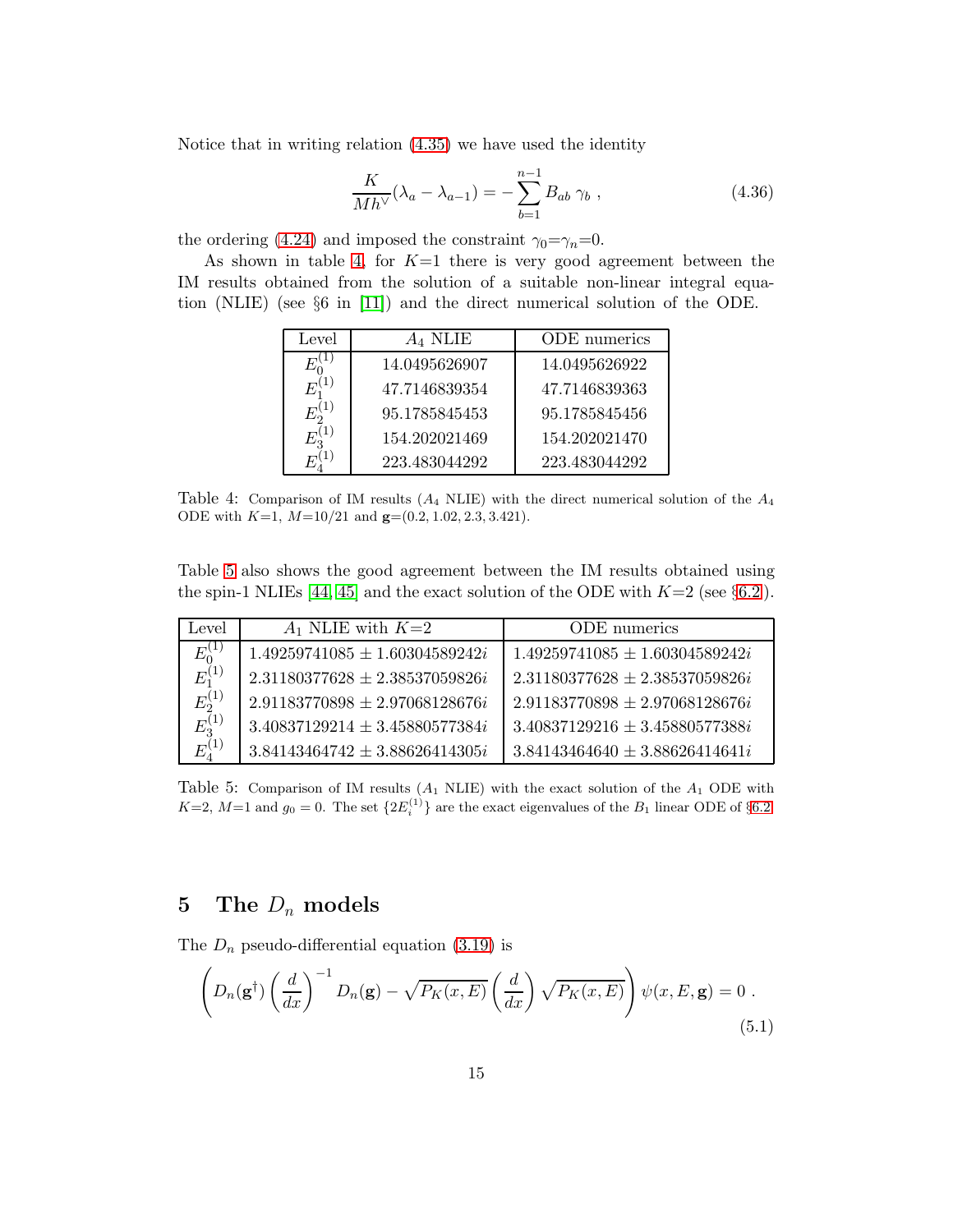Notice that in writing relation [\(4.35\)](#page-14-1) we have used the identity

$$
\frac{K}{Mh^{\vee}}(\lambda_a - \lambda_{a-1}) = -\sum_{b=1}^{n-1} B_{ab} \gamma_b , \qquad (4.36)
$$

the ordering [\(4.24\)](#page-13-0) and imposed the constraint  $\gamma_0 = \gamma_n = 0$ .

As shown in table [4,](#page-15-0) for  $K=1$  there is very good agreement between the IM results obtained from the solution of a suitable non-linear integral equation (NLIE) (see §6 in [\[11\]](#page-45-4)) and the direct numerical solution of the ODE.

<span id="page-16-0"></span>

| Level | $A_4$ NLIE    | ODE numerics  |
|-------|---------------|---------------|
|       | 14.0495626907 | 14.0495626922 |
|       | 47.7146839354 | 47.7146839363 |
|       | 95.1785845453 | 95.1785845456 |
|       | 154.202021469 | 154.202021470 |
|       | 223.483044292 | 223.483044292 |

<span id="page-16-5"></span>Table 4: Comparison of IM results  $(A_4 \text{ NLE})$  with the direct numerical solution of the  $A_4$ ODE with  $K=1$ ,  $M=10/21$  and  $\mathbf{g}=(0.2, 1.02, 2.3, 3.421)$ .

Table [5](#page-15-1) also shows the good agreement between the IM results obtained using the spin-1 NLIEs [\[44,](#page-47-7) [45\]](#page-47-8) and the exact solution of the ODE with  $K=2$  (see §[6.2](#page-25-0)).

| Level                             | $A_1$ NLIE with $K=2$              | ODE numerics                       |
|-----------------------------------|------------------------------------|------------------------------------|
| $\frac{E_0^{(1)}}{E_1^{(1)}}$     | $1.49259741085 \pm 1.60304589242i$ | $1.49259741085 \pm 1.60304589242i$ |
|                                   | $2.31180377628 \pm 2.38537059826i$ | $2.31180377628 \pm 2.38537059826i$ |
| $E_2^{(1)}$                       | $2.91183770898 \pm 2.97068128676i$ | $2.91183770898 \pm 2.97068128676i$ |
| $E_3^{(1)}$                       | $3.40837129214 \pm 3.45880577384i$ | $3.40837129216 \pm 3.45880577388i$ |
| $E^{(1)}_{\scriptscriptstyle{A}}$ | $3.84143464742 \pm 3.88626414305i$ | $3.84143464640 \pm 3.88626414641i$ |

<span id="page-16-1"></span>Table 5: Comparison of IM results  $(A_1 \text{ NLE})$  with the exact solution of the  $A_1$  ODE with  $K=2$ ,  $M=1$  and  $g_0=0$ . The set  $\{2E_i^{(1)}\}$  are the exact eigenvalues of the  $B_1$  linear ODE of §[6.2.](#page-25-0)

#### <span id="page-16-2"></span>5 The  $D_n$  models

The  $D_n$  pseudo-differential equation [\(3.19\)](#page-5-3) is

<span id="page-16-4"></span><span id="page-16-3"></span>
$$
\left(D_n(\mathbf{g}^\dagger)\left(\frac{d}{dx}\right)^{-1}D_n(\mathbf{g})-\sqrt{P_K(x,E)}\left(\frac{d}{dx}\right)\sqrt{P_K(x,E)}\right)\psi(x,E,\mathbf{g})=0.
$$
\n(5.1)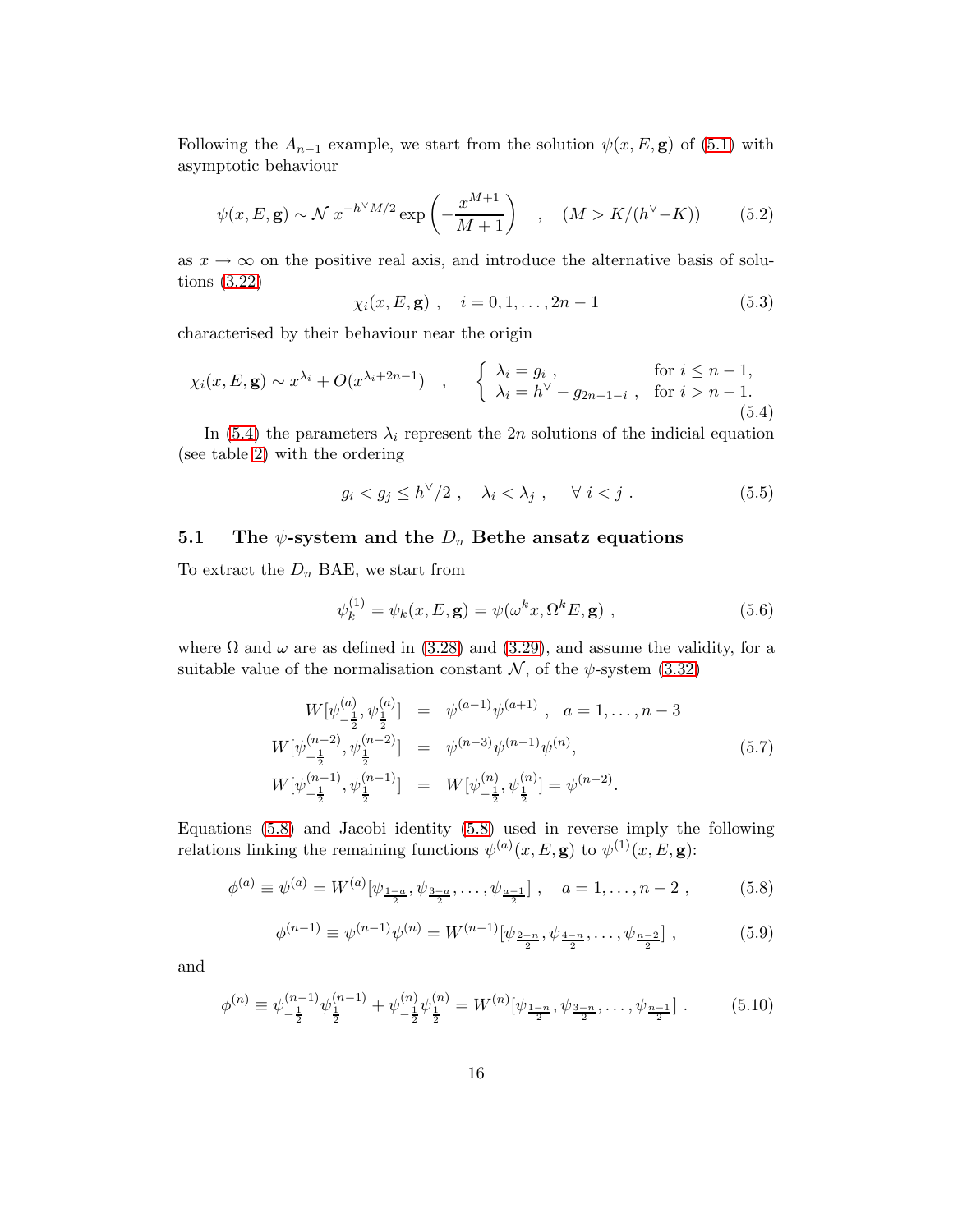Following the  $A_{n-1}$  example, we start from the solution  $\psi(x, E, \mathbf{g})$  of [\(5.1\)](#page-15-2) with asymptotic behaviour

<span id="page-17-1"></span>
$$
\psi(x, E, \mathbf{g}) \sim \mathcal{N} x^{-h^{\vee} M/2} \exp\left(-\frac{x^{M+1}}{M+1}\right) , \quad (M > K/(h^{\vee} - K))
$$
 (5.2)

<span id="page-17-0"></span>as  $x \to \infty$  on the positive real axis, and introduce the alternative basis of solutions [\(3.22\)](#page-5-5)

$$
\chi_i(x, E, \mathbf{g})
$$
,  $i = 0, 1, ..., 2n - 1$  (5.3)

characterised by their behaviour near the origin

$$
\chi_i(x, E, \mathbf{g}) \sim x^{\lambda_i} + O(x^{\lambda_i + 2n - 1}) \quad , \quad \begin{cases} \lambda_i = g_i \,, & \text{for } i \le n - 1, \\ \lambda_i = h^{\vee} - g_{2n - 1 - i} \,, & \text{for } i > n - 1. \end{cases} \tag{5.4}
$$

In [\(5.4\)](#page-16-0) the parameters  $\lambda_i$  represent the 2n solutions of the indicial equation (see table [2\)](#page-6-0) with the ordering

$$
g_i < g_j \le h^{\vee}/2 \ , \quad \lambda_i < \lambda_j \ , \quad \forall \ i < j \ . \tag{5.5}
$$

#### 5.1 The  $\psi$ -system and the  $D_n$  Bethe ansatz equations

To extract the  $D_n$  BAE, we start from

$$
\psi_k^{(1)} = \psi_k(x, E, \mathbf{g}) = \psi(\omega^k x, \Omega^k E, \mathbf{g}) , \qquad (5.6)
$$

where  $\Omega$  and  $\omega$  are as defined in [\(3.28\)](#page-6-2) and [\(3.29\)](#page-7-3), and assume the validity, for a suitable value of the normalisation constant  $\mathcal{N}$ , of the  $\psi$ -system [\(3.32\)](#page-7-2)

<span id="page-17-3"></span><span id="page-17-2"></span>
$$
W[\psi_{-\frac{1}{2}}^{(a)}, \psi_{\frac{1}{2}}^{(a)}] = \psi^{(a-1)}\psi^{(a+1)}, \quad a = 1, \dots, n-3
$$
  
\n
$$
W[\psi_{-\frac{1}{2}}^{(n-2)}, \psi_{\frac{1}{2}}^{(n-2)}] = \psi^{(n-3)}\psi^{(n-1)}\psi^{(n)},
$$
  
\n
$$
W[\psi_{-\frac{1}{2}}^{(n-1)}, \psi_{\frac{1}{2}}^{(n-1)}] = W[\psi_{-\frac{1}{2}}^{(n)}, \psi_{\frac{1}{2}}^{(n)}] = \psi^{(n-2)}.
$$
\n
$$
(5.7)
$$

Equations [\(5.8\)](#page-16-1) and Jacobi identity [\(5.8\)](#page-16-1) used in reverse imply the following relations linking the remaining functions  $\psi^{(a)}(x,E,\mathbf{g})$  to  $\psi^{(1)}(x,E,\mathbf{g})$ :

$$
\phi^{(a)} \equiv \psi^{(a)} = W^{(a)}[\psi_{\frac{1-a}{2}}, \psi_{\frac{3-a}{2}}, \dots, \psi_{\frac{a-1}{2}}], \quad a = 1, \dots, n-2, \quad (5.8)
$$

$$
\phi^{(n-1)} \equiv \psi^{(n-1)}\psi^{(n)} = W^{(n-1)}[\psi_{\frac{2-n}{2}}, \psi_{\frac{4-n}{2}}, \dots, \psi_{\frac{n-2}{2}}],
$$
\n(5.9)

and

<span id="page-17-4"></span>
$$
\phi^{(n)} \equiv \psi_{-\frac{1}{2}}^{(n-1)} \psi_{\frac{1}{2}}^{(n-1)} + \psi_{-\frac{1}{2}}^{(n)} \psi_{\frac{1}{2}}^{(n)} = W^{(n)} [\psi_{\frac{1-n}{2}}, \psi_{\frac{3-n}{2}}, \dots, \psi_{\frac{n-1}{2}}].
$$
 (5.10)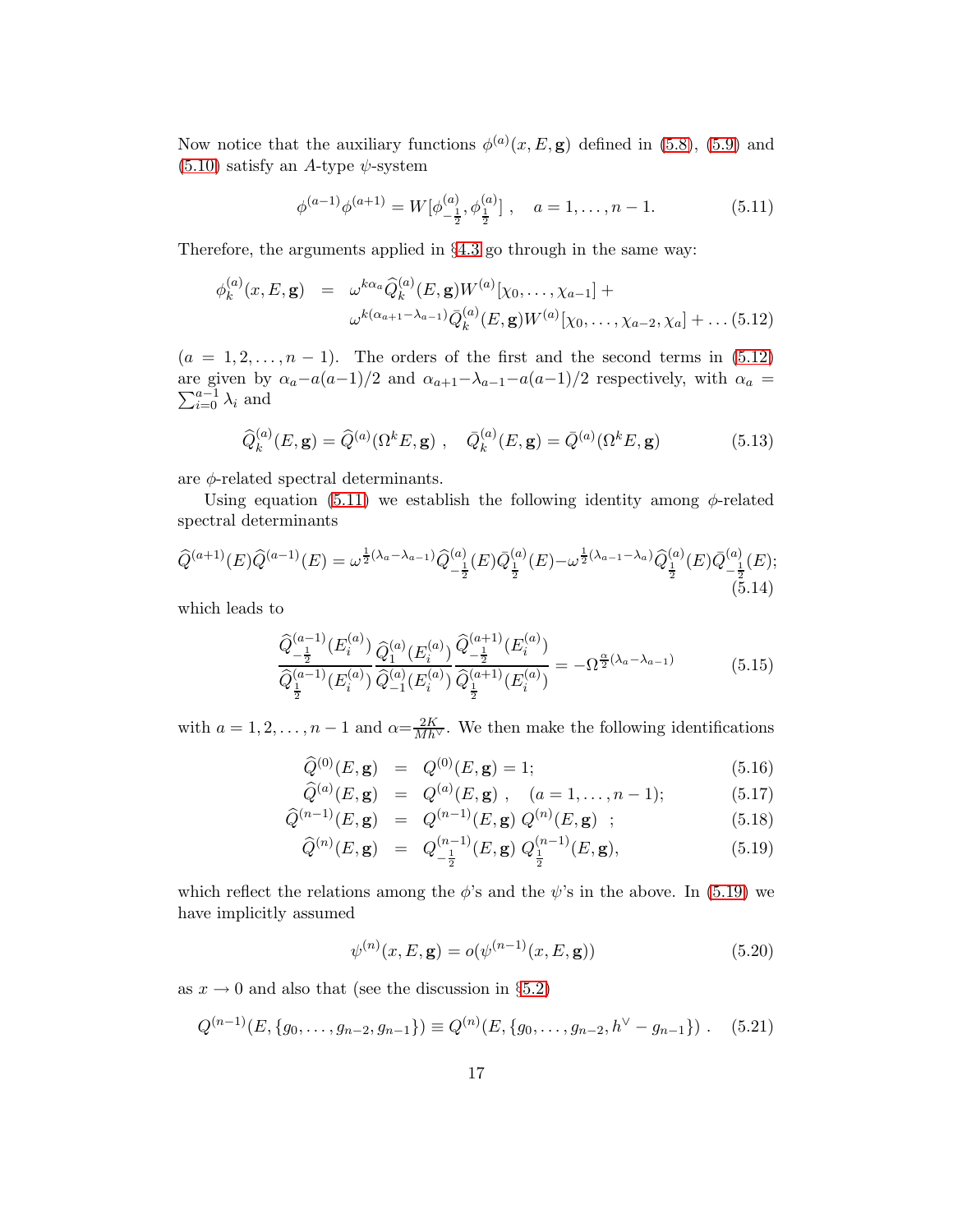Now notice that the auxiliary functions  $\phi^{(a)}(x,E,\mathbf{g})$  defined in [\(5.8\)](#page-16-2), [\(5.9\)](#page-16-3) and  $(5.10)$  satisfy an A-type  $\psi$ -system

<span id="page-18-0"></span>
$$
\phi^{(a-1)}\phi^{(a+1)} = W[\phi^{(a)}_{-\frac{1}{2}}, \phi^{(a)}_{\frac{1}{2}}], \quad a = 1, \dots, n-1.
$$
 (5.11)

Therefore, the arguments applied in §[4.3](#page-13-1) go through in the same way:

$$
\phi_k^{(a)}(x, E, \mathbf{g}) = \omega^{k\alpha_a} \widehat{Q}_k^{(a)}(E, \mathbf{g}) W^{(a)}[\chi_0, \dots, \chi_{a-1}] +
$$

$$
\omega^{k(\alpha_{a+1} - \lambda_{a-1})} \overline{Q}_k^{(a)}(E, \mathbf{g}) W^{(a)}[\chi_0, \dots, \chi_{a-2}, \chi_a] + \dots (5.12)
$$

 $(a = 1, 2, \ldots, n - 1)$ . The orders of the first and the second terms in [\(5.12\)](#page-17-0) are given by  $\alpha_a - a(a-1)/2$  and  $\alpha_{a+1} - \lambda_{a-1} - a(a-1)/2$  respectively, with  $\alpha_a =$  $\sum_{i=0}^{a-1} \lambda_i$  and

$$
\hat{Q}_{k}^{(a)}(E, \mathbf{g}) = \hat{Q}^{(a)}(\Omega^{k}E, \mathbf{g}) , \quad \bar{Q}_{k}^{(a)}(E, \mathbf{g}) = \bar{Q}^{(a)}(\Omega^{k}E, \mathbf{g})
$$
(5.13)

are  $\phi$ -related spectral determinants.

Using equation [\(5.11\)](#page-17-1) we establish the following identity among  $\phi$ -related spectral determinants

$$
\widehat{Q}^{(a+1)}(E)\widehat{Q}^{(a-1)}(E) = \omega^{\frac{1}{2}(\lambda_a - \lambda_{a-1})}\widehat{Q}^{(a)}_{-\frac{1}{2}}(E)\overline{Q}^{(a)}_{\frac{1}{2}}(E) - \omega^{\frac{1}{2}(\lambda_{a-1} - \lambda_a)}\widehat{Q}^{(a)}_{\frac{1}{2}}(E)\overline{Q}^{(a)}_{-\frac{1}{2}}(E);
$$
\n(5.14)

which leads to

$$
\frac{\widehat{Q}_{-\frac{1}{2}}^{(a-1)}(E_i^{(a)})}{\widehat{Q}_{\frac{1}{2}}^{(a-1)}(E_i^{(a)})}\frac{\widehat{Q}_1^{(a)}(E_i^{(a)})}{\widehat{Q}_{-1}^{(a)}(E_i^{(a)})}\frac{\widehat{Q}_{-\frac{1}{2}}^{(a+1)}(E_i^{(a)})}{\widehat{Q}_{\frac{1}{2}}^{(a+1)}(E_i^{(a)})} = -\Omega^{\frac{\alpha}{2}(\lambda_a - \lambda_{a-1})}
$$
(5.15)

with  $a = 1, 2, ..., n - 1$  and  $\alpha = \frac{2K}{Mh^{\vee}}$ . We then make the following identifications

$$
\widehat{Q}^{(0)}(E, \mathbf{g}) = Q^{(0)}(E, \mathbf{g}) = 1; \tag{5.16}
$$

$$
\widehat{Q}^{(a)}(E, \mathbf{g}) = Q^{(a)}(E, \mathbf{g}), \quad (a = 1, \dots, n-1); \tag{5.17}
$$

$$
\widehat{Q}^{(n-1)}(E, \mathbf{g}) = Q^{(n-1)}(E, \mathbf{g}) Q^{(n)}(E, \mathbf{g}) ; \qquad (5.18)
$$

$$
\widehat{Q}^{(n)}(E, \mathbf{g}) = Q_{-\frac{1}{2}}^{(n-1)}(E, \mathbf{g}) Q_{\frac{1}{2}}^{(n-1)}(E, \mathbf{g}), \tag{5.19}
$$

which reflect the relations among the  $\phi$ 's and the  $\psi$ 's in the above. In [\(5.19\)](#page-17-2) we have implicitly assumed

$$
\psi^{(n)}(x, E, \mathbf{g}) = o(\psi^{(n-1)}(x, E, \mathbf{g}))
$$
\n(5.20)

<span id="page-18-1"></span>as  $x \to 0$  and also that (see the discussion in §[5.2\)](#page-19-0)

$$
Q^{(n-1)}(E, \{g_0, \ldots, g_{n-2}, g_{n-1}\}) \equiv Q^{(n)}(E, \{g_0, \ldots, g_{n-2}, h^{\vee} - g_{n-1}\}) . \quad (5.21)
$$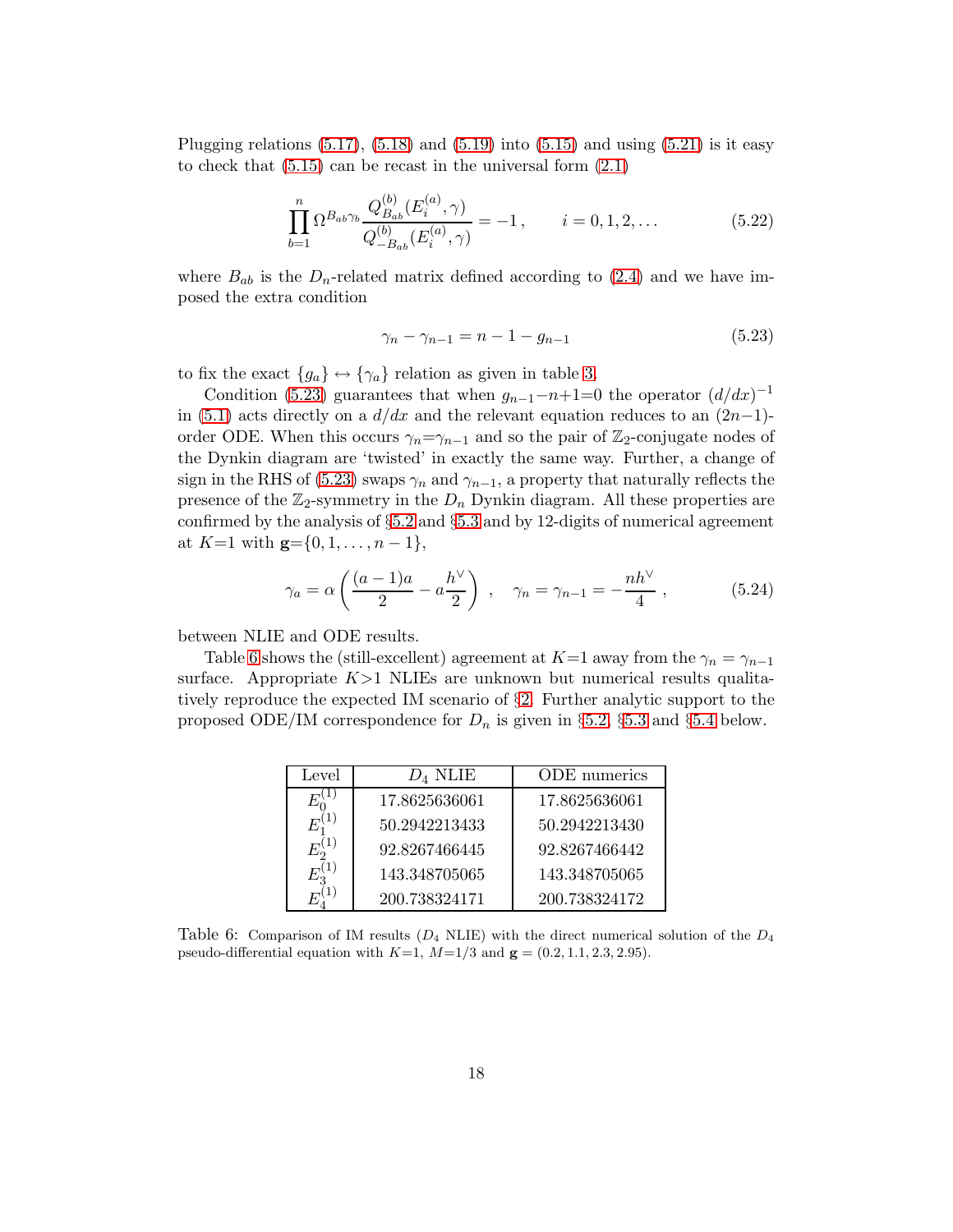<span id="page-19-0"></span>Plugging relations  $(5.17)$ ,  $(5.18)$  and  $(5.19)$  into  $(5.15)$  and using  $(5.21)$  is it easy to check that  $(5.15)$  can be recast in the universal form  $(2.1)$ 

$$
\prod_{b=1}^{n} \Omega^{B_{ab}\gamma_b} \frac{Q_{B_{ab}}^{(b)}(E_i^{(a)}, \gamma)}{Q_{-B_{ab}}^{(b)}(E_i^{(a)}, \gamma)} = -1, \qquad i = 0, 1, 2, \dots
$$
\n(5.22)

where  $B_{ab}$  is the  $D_n$ -related matrix defined according to [\(2.4\)](#page-2-6) and we have imposed the extra condition

$$
\gamma_n - \gamma_{n-1} = n - 1 - g_{n-1} \tag{5.23}
$$

to fix the exact  ${g_a} \leftrightarrow {\gamma_a}$  relation as given in table [3.](#page-7-0)

<span id="page-19-1"></span>Condition [\(5.23\)](#page-18-0) guarantees that when  $g_{n-1}-n+1=0$  the operator  $(d/dx)^{-1}$ in [\(5.1\)](#page-15-2) acts directly on a  $d/dx$  and the relevant equation reduces to an  $(2n-1)$ order ODE. When this occurs  $\gamma_n = \gamma_{n-1}$  and so the pair of Z<sub>2</sub>-conjugate nodes of the Dynkin diagram are 'twisted' in exactly the same way. Further, a change of sign in the RHS of [\(5.23\)](#page-18-0) swaps  $\gamma_n$  and  $\gamma_{n-1}$ , a property that naturally reflects the presence of the  $\mathbb{Z}_2$ -symmetry in the  $D_n$  Dynkin diagram. All these properties are confirmed by the analysis of §[5.2](#page-19-0) and §[5.3](#page-20-0) and by 12-digits of numerical agreement at  $K=1$  with  $\mathbf{g}=\{0,1,\ldots,n-1\},\,$ 

<span id="page-19-3"></span>
$$
\gamma_a = \alpha \left( \frac{(a-1)a}{2} - a \frac{h^{\vee}}{2} \right) , \quad \gamma_n = \gamma_{n-1} = -\frac{nh^{\vee}}{4} ,
$$
\n(5.24)

between NLIE and ODE results.

Table [6](#page-18-1) shows the (still-excellent) agreement at K=1 away from the  $\gamma_n = \gamma_{n-1}$ surface. Appropriate  $K>1$  NLIEs are unknown but numerical results qualitatively reproduce the expected IM scenario of §[2.](#page-2-0) Further analytic support to the proposed ODE/IM correspondence for  $D_n$  is given in §[5.2,](#page-19-0) §[5.3](#page-20-0) and §[5.4](#page-22-0) below.

<span id="page-19-2"></span>

| Level | $D_4$ NLIE    | ODE numerics  |
|-------|---------------|---------------|
|       | 17.8625636061 | 17.8625636061 |
|       | 50.2942213433 | 50.2942213430 |
|       | 92.8267466445 | 92.8267466442 |
|       | 143.348705065 | 143.348705065 |
|       | 200.738324171 | 200.738324172 |

Table 6: Comparison of IM results ( $D_4$  NLIE) with the direct numerical solution of the  $D_4$ pseudo-differential equation with  $K=1$ ,  $M=1/3$  and  $\mathbf{g} = (0.2, 1.1, 2.3, 2.95)$ .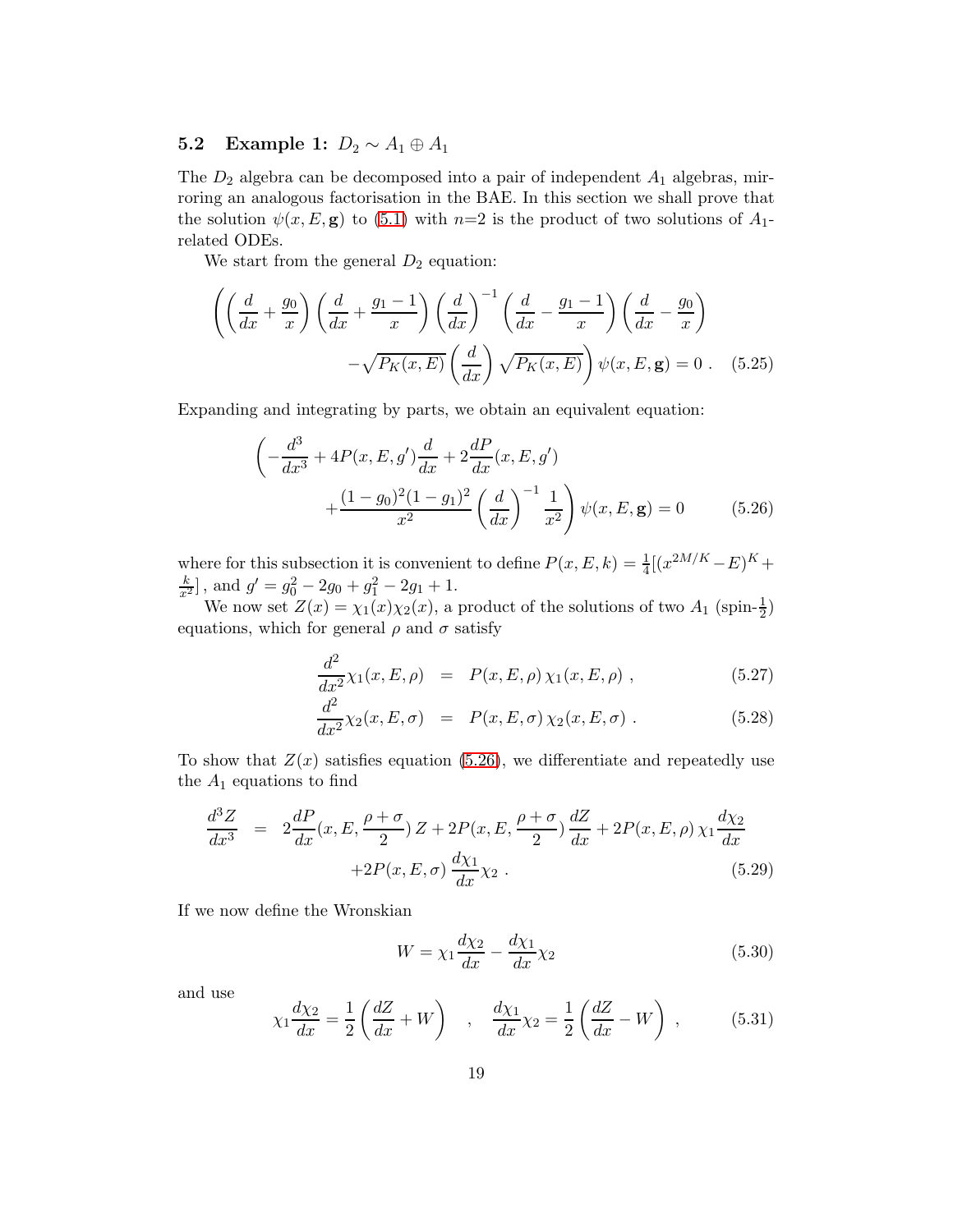#### 5.2 Example 1:  $D_2 \sim A_1 \oplus A_1$

The  $D_2$  algebra can be decomposed into a pair of independent  $A_1$  algebras, mirroring an analogous factorisation in the BAE. In this section we shall prove that the solution  $\psi(x, E, g)$  to [\(5.1\)](#page-15-2) with  $n=2$  is the product of two solutions of  $A_1$ related ODEs.

We start from the general  $D_2$  equation:

$$
\left( \left( \frac{d}{dx} + \frac{g_0}{x} \right) \left( \frac{d}{dx} + \frac{g_1 - 1}{x} \right) \left( \frac{d}{dx} \right)^{-1} \left( \frac{d}{dx} - \frac{g_1 - 1}{x} \right) \left( \frac{d}{dx} - \frac{g_0}{x} \right) - \sqrt{P_K(x, E)} \left( \frac{d}{dx} \right) \sqrt{P_K(x, E)} \right) \psi(x, E, \mathbf{g}) = 0 \quad (5.25)
$$

Expanding and integrating by parts, we obtain an equivalent equation:

$$
\left(-\frac{d^3}{dx^3} + 4P(x, E, g')\frac{d}{dx} + 2\frac{dP}{dx}(x, E, g')\right) + \frac{(1 - g_0)^2 (1 - g_1)^2}{x^2} \left(\frac{d}{dx}\right)^{-1} \frac{1}{x^2}\right) \psi(x, E, \mathbf{g}) = 0 \tag{5.26}
$$

where for this subsection it is convenient to define  $P(x, E, k) = \frac{1}{4}[(x^{2M/K} - E)^K +$  $\frac{k}{x^2}$ , and  $g' = g_0^2 - 2g_0 + g_1^2 - 2g_1 + 1$ .

We now set  $Z(x) = \chi_1(x)\chi_2(x)$ , a product of the solutions of two  $A_1$  (spin- $\frac{1}{2}$ ) equations, which for general  $\rho$  and  $\sigma$  satisfy

$$
\frac{d^2}{dx^2} \chi_1(x, E, \rho) = P(x, E, \rho) \chi_1(x, E, \rho) , \qquad (5.27)
$$

$$
\frac{d^2}{dx^2} \chi_2(x, E, \sigma) = P(x, E, \sigma) \chi_2(x, E, \sigma) . \tag{5.28}
$$

<span id="page-20-0"></span>To show that  $Z(x)$  satisfies equation [\(5.26\)](#page-19-1), we differentiate and repeatedly use the  $A_1$  equations to find

$$
\frac{d^3Z}{dx^3} = 2\frac{dP}{dx}(x, E, \frac{\rho + \sigma}{2})Z + 2P(x, E, \frac{\rho + \sigma}{2})\frac{dZ}{dx} + 2P(x, E, \rho)\chi_1\frac{d\chi_2}{dx} + 2P(x, E, \sigma)\frac{d\chi_1}{dx}\chi_2.
$$
\n(5.29)

If we now define the Wronskian

<span id="page-20-2"></span>
$$
W = \chi_1 \frac{d\chi_2}{dx} - \frac{d\chi_1}{dx} \chi_2 \tag{5.30}
$$

<span id="page-20-1"></span>and use

$$
\chi_1 \frac{d\chi_2}{dx} = \frac{1}{2} \left( \frac{dZ}{dx} + W \right) , \quad \frac{d\chi_1}{dx} \chi_2 = \frac{1}{2} \left( \frac{dZ}{dx} - W \right) , \tag{5.31}
$$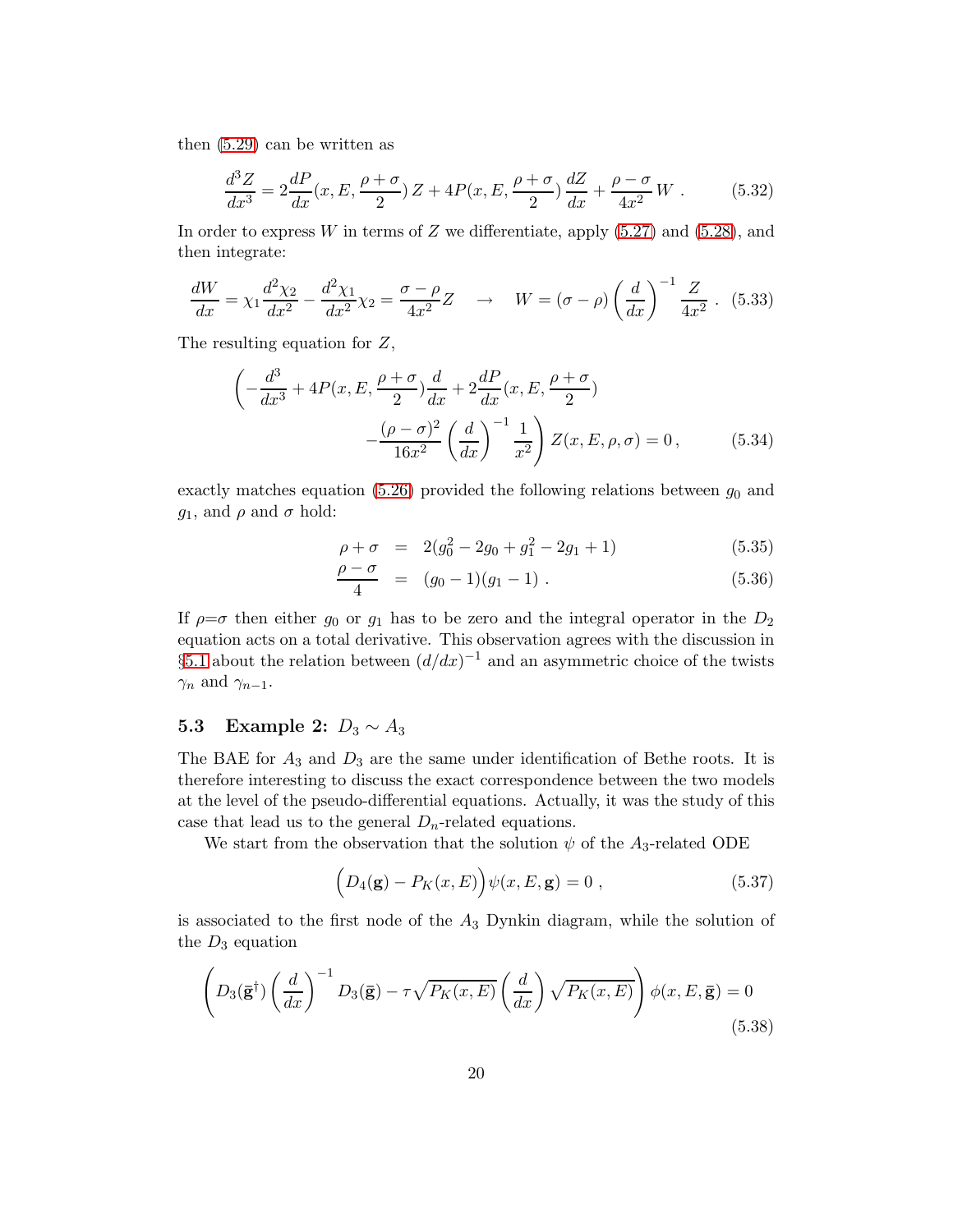then [\(5.29\)](#page-19-2) can be written as

$$
\frac{d^3Z}{dx^3} = 2\frac{dP}{dx}(x, E, \frac{\rho + \sigma}{2})Z + 4P(x, E, \frac{\rho + \sigma}{2})\frac{dZ}{dx} + \frac{\rho - \sigma}{4x^2}W.
$$
 (5.32)

In order to express  $W$  in terms of  $Z$  we differentiate, apply  $(5.27)$  and  $(5.28)$ , and then integrate:

$$
\frac{dW}{dx} = \chi_1 \frac{d^2 \chi_2}{dx^2} - \frac{d^2 \chi_1}{dx^2} \chi_2 = \frac{\sigma - \rho}{4x^2} Z \quad \to \quad W = (\sigma - \rho) \left(\frac{d}{dx}\right)^{-1} \frac{Z}{4x^2} \,. \tag{5.33}
$$

The resulting equation for Z,

$$
\left(-\frac{d^3}{dx^3} + 4P(x, E, \frac{\rho + \sigma}{2})\frac{d}{dx} + 2\frac{dP}{dx}(x, E, \frac{\rho + \sigma}{2})\right.\left. - \frac{(\rho - \sigma)^2}{16x^2} \left(\frac{d}{dx}\right)^{-1} \frac{1}{x^2}\right) Z(x, E, \rho, \sigma) = 0, \quad (5.34)
$$

exactly matches equation [\(5.26\)](#page-19-1) provided the following relations between  $g_0$  and  $g_1$ , and  $\rho$  and  $\sigma$  hold:

$$
\rho + \sigma = 2(g_0^2 - 2g_0 + g_1^2 - 2g_1 + 1) \tag{5.35}
$$

$$
\frac{\rho - \sigma}{4} = (g_0 - 1)(g_1 - 1) \tag{5.36}
$$

If  $\rho = \sigma$  then either  $g_0$  or  $g_1$  has to be zero and the integral operator in the  $D_2$ equation acts on a total derivative. This observation agrees with the discussion in §[5.1](#page-16-5) about the relation between  $(d/dx)^{-1}$  and an asymmetric choice of the twists  $\gamma_n$  and  $\gamma_{n-1}$ .

#### 5.3 Example 2:  $D_3 \sim A_3$

The BAE for  $A_3$  and  $D_3$  are the same under identification of Bethe roots. It is therefore interesting to discuss the exact correspondence between the two models at the level of the pseudo-differential equations. Actually, it was the study of this case that lead us to the general  $D_n$ -related equations.

We start from the observation that the solution  $\psi$  of the  $A_3$ -related ODE

$$
(D_4(\mathbf{g}) - P_K(x, E))\psi(x, E, \mathbf{g}) = 0 , \qquad (5.37)
$$

is associated to the first node of the  $A_3$  Dynkin diagram, while the solution of the  $D_3$  equation

<span id="page-21-0"></span>
$$
\left(D_3(\bar{\mathbf{g}}^\dagger)\left(\frac{d}{dx}\right)^{-1}D_3(\bar{\mathbf{g}}) - \tau\sqrt{P_K(x,E)}\left(\frac{d}{dx}\right)\sqrt{P_K(x,E)}\right)\phi(x,E,\bar{\mathbf{g}}) = 0\tag{5.38}
$$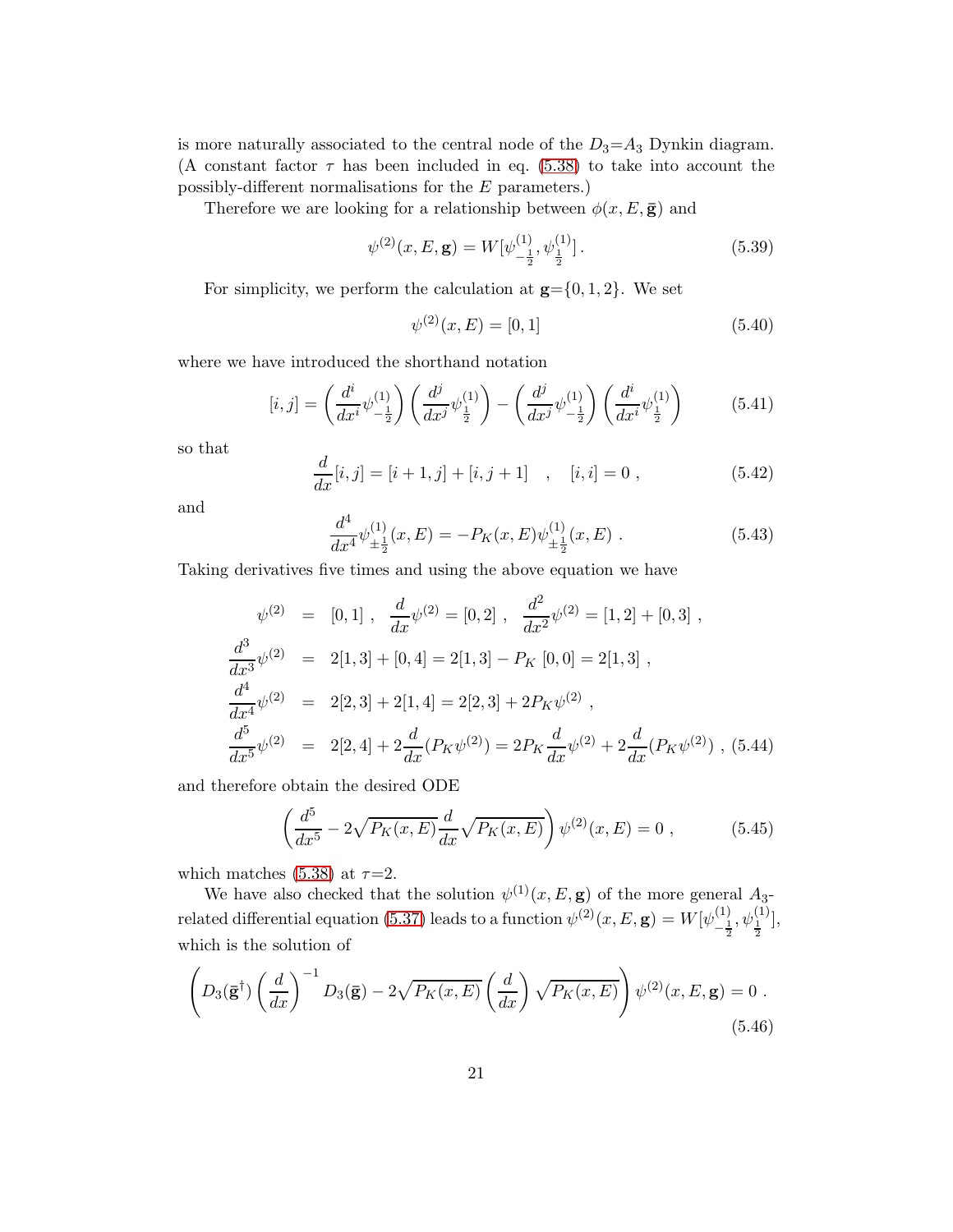is more naturally associated to the central node of the  $D_3 = A_3$  Dynkin diagram. (A constant factor  $\tau$  has been included in eq. [\(5.38\)](#page-20-1) to take into account the possibly-different normalisations for the E parameters.)

Therefore we are looking for a relationship between  $\phi(x, E, \bar{g})$  and

$$
\psi^{(2)}(x,E,\mathbf{g}) = W[\psi^{(1)}_{-\frac{1}{2}},\psi^{(1)}_{\frac{1}{2}}].
$$
\n(5.39)

<span id="page-22-0"></span>For simplicity, we perform the calculation at  $g = \{0, 1, 2\}$ . We set

$$
\psi^{(2)}(x,E) = [0,1] \tag{5.40}
$$

where we have introduced the shorthand notation

$$
[i,j] = \left(\frac{d^i}{dx^i}\psi^{(1)}_{-\frac{1}{2}}\right)\left(\frac{d^j}{dx^j}\psi^{(1)}_{\frac{1}{2}}\right) - \left(\frac{d^j}{dx^j}\psi^{(1)}_{-\frac{1}{2}}\right)\left(\frac{d^i}{dx^i}\psi^{(1)}_{\frac{1}{2}}\right) \tag{5.41}
$$

so that

$$
\frac{d}{dx}[i,j] = [i+1,j] + [i,j+1] \quad , \quad [i,i] = 0 \; , \tag{5.42}
$$

and

<span id="page-22-1"></span>
$$
\frac{d^4}{dx^4}\psi^{(1)}_{\pm\frac{1}{2}}(x,E) = -P_K(x,E)\psi^{(1)}_{\pm\frac{1}{2}}(x,E) .
$$
\n(5.43)

Taking derivatives five times and using the above equation we have

<span id="page-22-2"></span>
$$
\psi^{(2)} = [0, 1], \frac{d}{dx}\psi^{(2)} = [0, 2], \frac{d^2}{dx^2}\psi^{(2)} = [1, 2] + [0, 3],
$$
  

$$
\frac{d^3}{dx^3}\psi^{(2)} = 2[1, 3] + [0, 4] = 2[1, 3] - P_K [0, 0] = 2[1, 3],
$$
  

$$
\frac{d^4}{dx^4}\psi^{(2)} = 2[2, 3] + 2[1, 4] = 2[2, 3] + 2P_K\psi^{(2)},
$$
  

$$
\frac{d^5}{dx^5}\psi^{(2)} = 2[2, 4] + 2\frac{d}{dx}(P_K\psi^{(2)}) = 2P_K\frac{d}{dx}\psi^{(2)} + 2\frac{d}{dx}(P_K\psi^{(2)})
$$
, (5.44)

and therefore obtain the desired ODE

<span id="page-22-3"></span>
$$
\left(\frac{d^5}{dx^5} - 2\sqrt{P_K(x, E)}\frac{d}{dx}\sqrt{P_K(x, E)}\right)\psi^{(2)}(x, E) = 0 ,\qquad (5.45)
$$

which matches [\(5.38\)](#page-20-1) at  $\tau=2$ .

We have also checked that the solution  $\psi^{(1)}(x,E,\mathbf{g})$  of the more general  $A_3$ -related differential equation [\(5.37\)](#page-20-2) leads to a function  $\psi^{(2)}(x,E,\mathbf{g})=W[\psi^{(1)}_1]$  $\frac{(1)}{-\frac{1}{2}}, \psi_{\frac{1}{2}}^{(1)}],$ which is the solution of

$$
\left(D_3(\bar{\mathbf{g}}^\dagger)\left(\frac{d}{dx}\right)^{-1}D_3(\bar{\mathbf{g}}) - 2\sqrt{P_K(x, E)}\left(\frac{d}{dx}\right)\sqrt{P_K(x, E)}\right)\psi^{(2)}(x, E, \mathbf{g}) = 0.
$$
\n(5.46)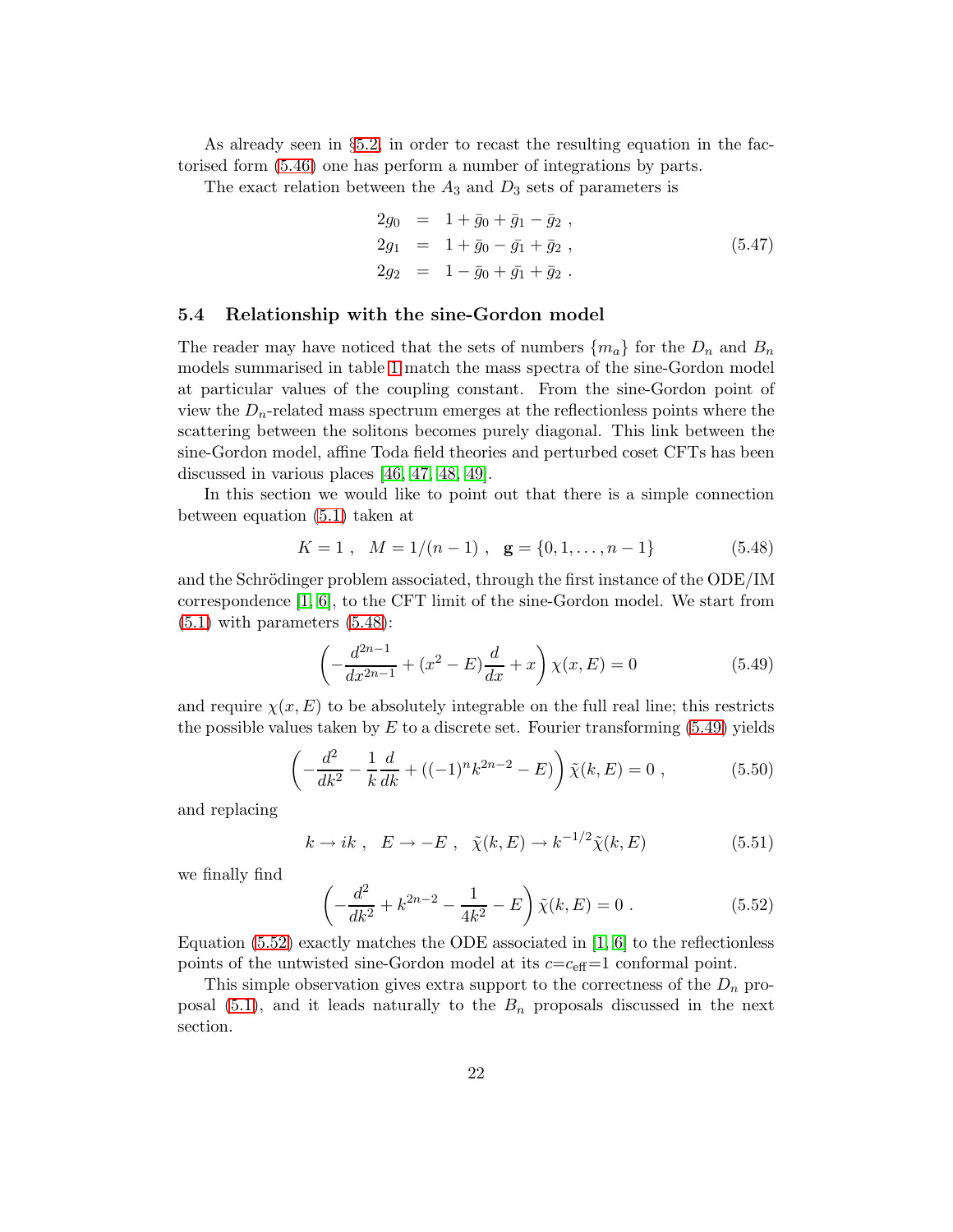<span id="page-23-4"></span>As already seen in §[5.2,](#page-19-0) in order to recast the resulting equation in the factorised form [\(5.46\)](#page-21-0) one has perform a number of integrations by parts.

The exact relation between the  $A_3$  and  $D_3$  sets of parameters is

$$
2g_0 = 1 + \bar{g}_0 + \bar{g}_1 - \bar{g}_2 ,
$$
  
\n
$$
2g_1 = 1 + \bar{g}_0 - \bar{g}_1 + \bar{g}_2 ,
$$
  
\n
$$
2g_2 = 1 - \bar{g}_0 + \bar{g}_1 + \bar{g}_2 .
$$
\n(5.47)

#### <span id="page-23-0"></span>5.4 Relationship with the sine-Gordon model

The reader may have noticed that the sets of numbers  $\{m_a\}$  for the  $D_n$  and  $B_n$ models summarised in table [1](#page-3-0) match the mass spectra of the sine-Gordon model at particular values of the coupling constant. From the sine-Gordon point of view the  $D_n$ -related mass spectrum emerges at the reflectionless points where the scattering between the solitons becomes purely diagonal. This link between the sine-Gordon model, affine Toda field theories and perturbed coset CFTs has been discussed in various places [\[46,](#page-47-9) [47,](#page-47-10) [48,](#page-47-11) [49\]](#page-47-12).

In this section we would like to point out that there is a simple connection between equation [\(5.1\)](#page-15-2) taken at

$$
K = 1 , \quad M = 1/(n-1) , \quad \mathbf{g} = \{0, 1, \dots, n-1\}
$$
 (5.48)

and the Schrödinger problem associated, through the first instance of the ODE/IM correspondence [\[1,](#page-44-0) [6\]](#page-44-5), to the CFT limit of the sine-Gordon model. We start from  $(5.1)$  with parameters  $(5.48)$ :

$$
\left(-\frac{d^{2n-1}}{dx^{2n-1}} + (x^2 - E)\frac{d}{dx} + x\right)\chi(x, E) = 0\tag{5.49}
$$

<span id="page-23-1"></span>and require  $\chi(x,E)$  to be absolutely integrable on the full real line; this restricts the possible values taken by  $E$  to a discrete set. Fourier transforming [\(5.49\)](#page-22-2) yields

$$
\left(-\frac{d^2}{dk^2} - \frac{1}{k}\frac{d}{dk} + ((-1)^n k^{2n-2} - E)\right)\tilde{\chi}(k, E) = 0 ,\qquad (5.50)
$$

and replacing

$$
k \to ik \ , \ E \to -E \ , \ \tilde{\chi}(k,E) \to k^{-1/2} \tilde{\chi}(k,E) \tag{5.51}
$$

we finally find

<span id="page-23-3"></span><span id="page-23-2"></span>
$$
\left(-\frac{d^2}{dk^2} + k^{2n-2} - \frac{1}{4k^2} - E\right)\tilde{\chi}(k, E) = 0.
$$
\n(5.52)

Equation  $(5.52)$  exactly matches the ODE associated in [\[1,](#page-44-0) [6\]](#page-44-5) to the reflectionless points of the untwisted sine-Gordon model at its  $c=c_{\text{eff}}=1$  conformal point.

This simple observation gives extra support to the correctness of the  $D_n$  pro-posal [\(5.1\)](#page-15-2), and it leads naturally to the  $B_n$  proposals discussed in the next section.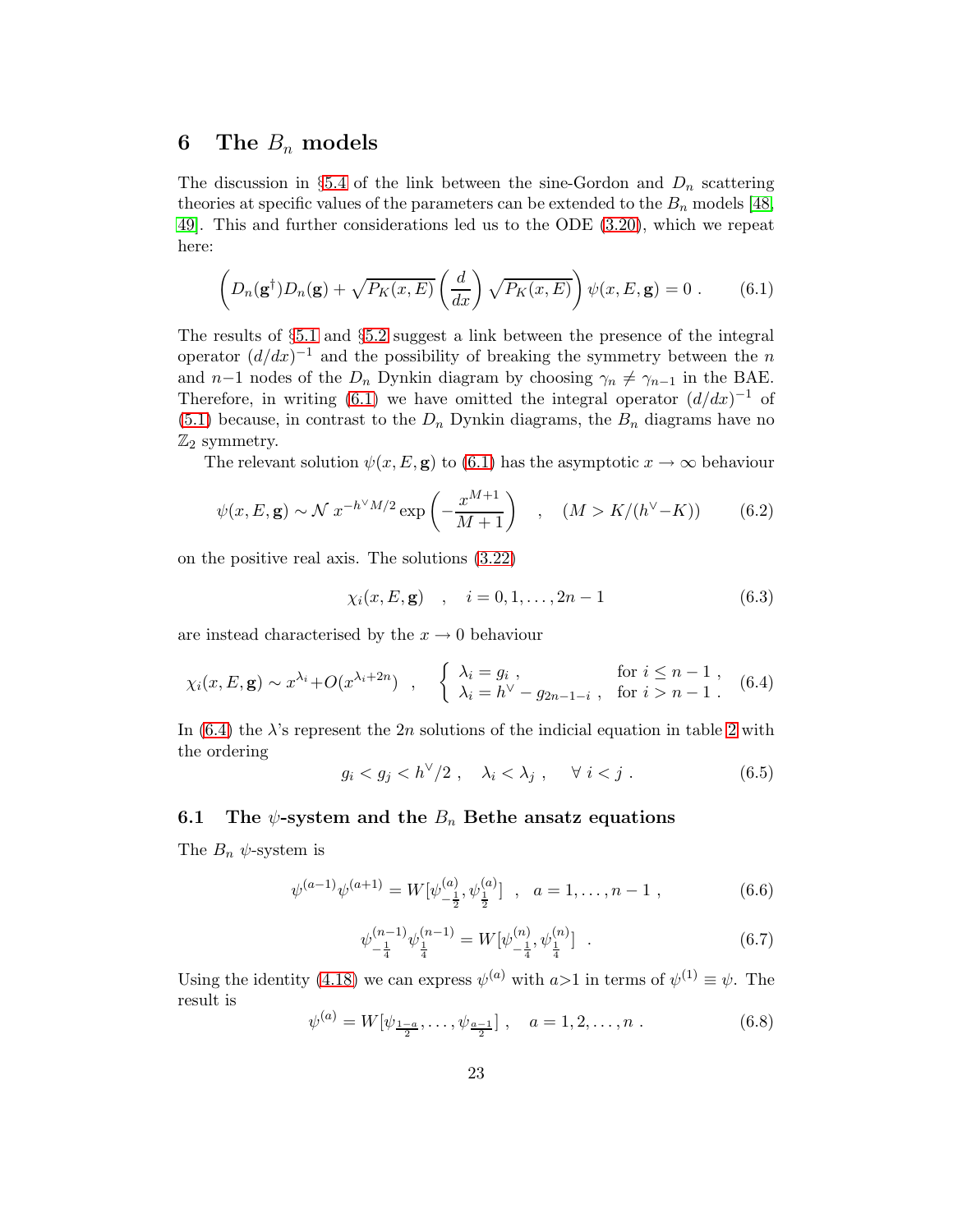#### 6 The  $B_n$  models

The discussion in §[5.4](#page-22-0) of the link between the sine-Gordon and  $D_n$  scattering theories at specific values of the parameters can be extended to the  $B_n$  models [\[48,](#page-47-11) [49\]](#page-47-12). This and further considerations led us to the ODE [\(3.20\)](#page-5-4), which we repeat here:

<span id="page-24-0"></span>
$$
\left(D_n(\mathbf{g}^\dagger)D_n(\mathbf{g}) + \sqrt{P_K(x, E)} \left(\frac{d}{dx}\right) \sqrt{P_K(x, E)}\right) \psi(x, E, \mathbf{g}) = 0. \quad (6.1)
$$

The results of §[5.1](#page-16-5) and §[5.2](#page-19-0) suggest a link between the presence of the integral operator  $\left(\frac{d}{dx}\right)^{-1}$  and the possibility of breaking the symmetry between the n and n−1 nodes of the  $D_n$  Dynkin diagram by choosing  $\gamma_n \neq \gamma_{n-1}$  in the BAE. Therefore, in writing [\(6.1\)](#page-23-0) we have omitted the integral operator  $(d/dx)^{-1}$  of  $(5.1)$  because, in contrast to the  $D_n$  Dynkin diagrams, the  $B_n$  diagrams have no  $\mathbb{Z}_2$  symmetry.

The relevant solution  $\psi(x, E, \mathbf{g})$  to [\(6.1\)](#page-23-0) has the asymptotic  $x \to \infty$  behaviour

<span id="page-24-1"></span>
$$
\psi(x, E, \mathbf{g}) \sim \mathcal{N} \ x^{-h^{\vee} M/2} \exp\left(-\frac{x^{M+1}}{M+1}\right) \quad , \quad (M > K/(h^{\vee} - K)) \tag{6.2}
$$

on the positive real axis. The solutions [\(3.22\)](#page-5-5)

$$
\chi_i(x, E, \mathbf{g}) \quad , \quad i = 0, 1, \dots, 2n - 1 \tag{6.3}
$$

are instead characterised by the  $x \to 0$  behaviour

$$
\chi_i(x, E, \mathbf{g}) \sim x^{\lambda_i} + O(x^{\lambda_i + 2n}) \quad , \quad \begin{cases} \lambda_i = g_i \,, & \text{for } i \le n - 1 \,, \\ \lambda_i = h^{\vee} - g_{2n - 1 - i} \,, & \text{for } i > n - 1 \,. \end{cases} \tag{6.4}
$$

In [\(6.4\)](#page-23-1) the  $\lambda$ 's represent the [2](#page-6-0)n solutions of the indicial equation in table 2 with the ordering

$$
g_i < g_j < h^{\vee}/2 \ , \quad \lambda_i < \lambda_j \ , \quad \forall \ i < j \ . \tag{6.5}
$$

#### 6.1 The  $\psi$ -system and the  $B_n$  Bethe ansatz equations

The  $B_n \psi$ -system is

<span id="page-24-2"></span>
$$
\psi^{(a-1)}\psi^{(a+1)} = W[\psi^{(a)}_{-\frac{1}{2}}, \psi^{(a)}_{\frac{1}{2}}] \ , \ a = 1, \dots, n-1 \ , \tag{6.6}
$$

$$
\psi_{-\frac{1}{4}}^{(n-1)}\psi_{\frac{1}{4}}^{(n-1)} = W[\psi_{-\frac{1}{4}}^{(n)},\psi_{\frac{1}{4}}^{(n)}] \quad . \tag{6.7}
$$

Using the identity [\(4.18\)](#page-12-2) we can express  $\psi^{(a)}$  with  $a>1$  in terms of  $\psi^{(1)} \equiv \psi$ . The result is

$$
\psi^{(a)} = W[\psi_{\frac{1-a}{2}}, \dots, \psi_{\frac{a-1}{2}}], \quad a = 1, 2, \dots, n. \tag{6.8}
$$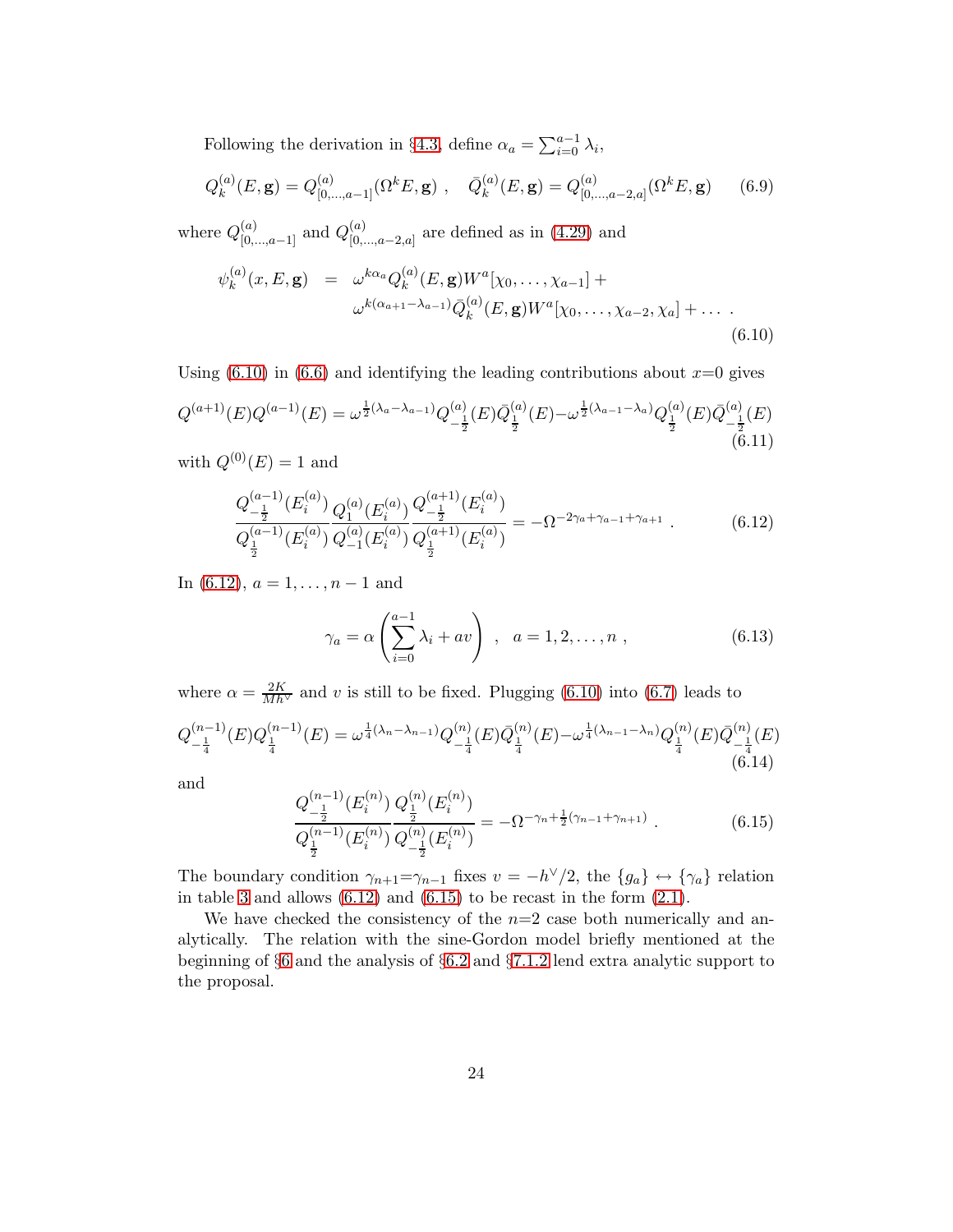<span id="page-25-0"></span>Following the derivation in §[4.3,](#page-13-1) define  $\alpha_a = \sum_{i=0}^{a-1} \lambda_i$ ,

$$
Q_k^{(a)}(E, \mathbf{g}) = Q_{[0, \dots, a-1]}^{(a)}(\Omega^k E, \mathbf{g}) , \quad \bar{Q}_k^{(a)}(E, \mathbf{g}) = Q_{[0, \dots, a-2, a]}^{(a)}(\Omega^k E, \mathbf{g}) \tag{6.9}
$$

where  $Q_{[0,...,a-1]}^{(a)}$  and  $Q_{[0,..,a]}^{(a)}$  ${}_{[0,...,a-2,a]}^{(a)}$  are defined as in [\(4.29\)](#page-13-2) and

$$
\psi_k^{(a)}(x, E, \mathbf{g}) = \omega^{k\alpha_a} Q_k^{(a)}(E, \mathbf{g}) W^a[\chi_0, \dots, \chi_{a-1}] +
$$
  

$$
\omega^{k(\alpha_{a+1} - \lambda_{a-1})} \bar{Q}_k^{(a)}(E, \mathbf{g}) W^a[\chi_0, \dots, \chi_{a-2}, \chi_a] + \dots
$$
  
(6.10)

Using  $(6.10)$  in  $(6.6)$  and identifying the leading contributions about  $x=0$  gives  $Q^{(a+1)}(E)Q^{(a-1)}(E)=\omega^{\frac{1}{2}(\lambda_a-\lambda_{a-1})}Q^{(a)}_{\;\;1}$  $\frac{1}{2} {}^{(a)}_{}\bar{z}^{(a)}_{}\bar{z}^{(a)}_{}\bar{z}^{(E)} -\omega^{\frac{1}{2}(\lambda_{a-1}-\lambda_a)}Q^{(a)}_{\frac{1}{2}}(E)\bar{Q}^{(a)}_{-\frac{1}{2}}$  $\frac{u}{\frac{1}{2}}(E)$  $(\overset{2}{6}.11)$ 

with  $Q^{(0)}(E) = 1$  and

<span id="page-25-1"></span>
$$
\frac{Q_{-\frac{1}{2}}^{(a-1)}(E_i^{(a)})}{Q_{\frac{1}{2}}^{(a-1)}(E_i^{(a)})}\frac{Q_1^{(a)}(E_i^{(a)})}{Q_{-1}^{(a)}(E_i^{(a)})}\frac{Q_{-\frac{1}{2}}^{(a+1)}(E_i^{(a)})}{Q_{\frac{1}{2}}^{(a+1)}(E_i^{(a)})} = -\Omega^{-2\gamma_a + \gamma_{a-1} + \gamma_{a+1}}.
$$
\n(6.12)

In  $(6.12)$ ,  $a = 1, \ldots, n-1$  and

$$
\gamma_a = \alpha \left( \sum_{i=0}^{a-1} \lambda_i + av \right) , \quad a = 1, 2, ..., n ,
$$
\n(6.13)

where  $\alpha = \frac{2K}{Mh^{\vee}}$  and v is still to be fixed. Plugging [\(6.10\)](#page-24-0) into [\(6.7\)](#page-23-3) leads to  $Q^{(n-1)}_{-1}$  $\frac{(n-1)}{-\frac{1}{4}}(E)Q_{\frac{1}{4}}^{(n-1)}(E)=\omega^{\frac{1}{4}(\lambda_n-\lambda_{n-1})}Q_{-\frac{1}{4}}^{(n)}$  $\frac{(\alpha)}{-\frac{1}{4}}(E)\bar{Q}^{(n)}_{\frac{1}{4}}(E) - \omega^{\frac{1}{4}(\lambda_{n-1}-\lambda_{n})}Q^{(n)}_{\frac{1}{4}}(E)\bar{Q}^{(n)}_{-\frac{1}{4}}$  $\frac{\binom{n}{2}}{\binom{n}{4}}$ (6.14)

and

$$
\frac{Q_{-\frac{1}{2}}^{(n-1)}(E_i^{(n)})Q_{\frac{1}{2}}^{(n)}(E_i^{(n)})}{Q_{-\frac{1}{2}}^{(n-1)}(E_i^{(n)})} = -\Omega^{-\gamma_n + \frac{1}{2}(\gamma_{n-1} + \gamma_{n+1})}.
$$
\n(6.15)

The boundary condition  $\gamma_{n+1} = \gamma_{n-1}$  fixes  $v = -h^{\vee}/2$ , the  $\{g_a\} \leftrightarrow \{\gamma_a\}$  relation in table [3](#page-7-0) and allows  $(6.12)$  and  $(6.15)$  to be recast in the form  $(2.1)$ .

We have checked the consistency of the  $n=2$  case both numerically and analytically. The relation with the sine-Gordon model briefly mentioned at the beginning of §[6](#page-23-4) and the analysis of §[6.2](#page-25-0) and §[7.1.2](#page-30-0) lend extra analytic support to the proposal.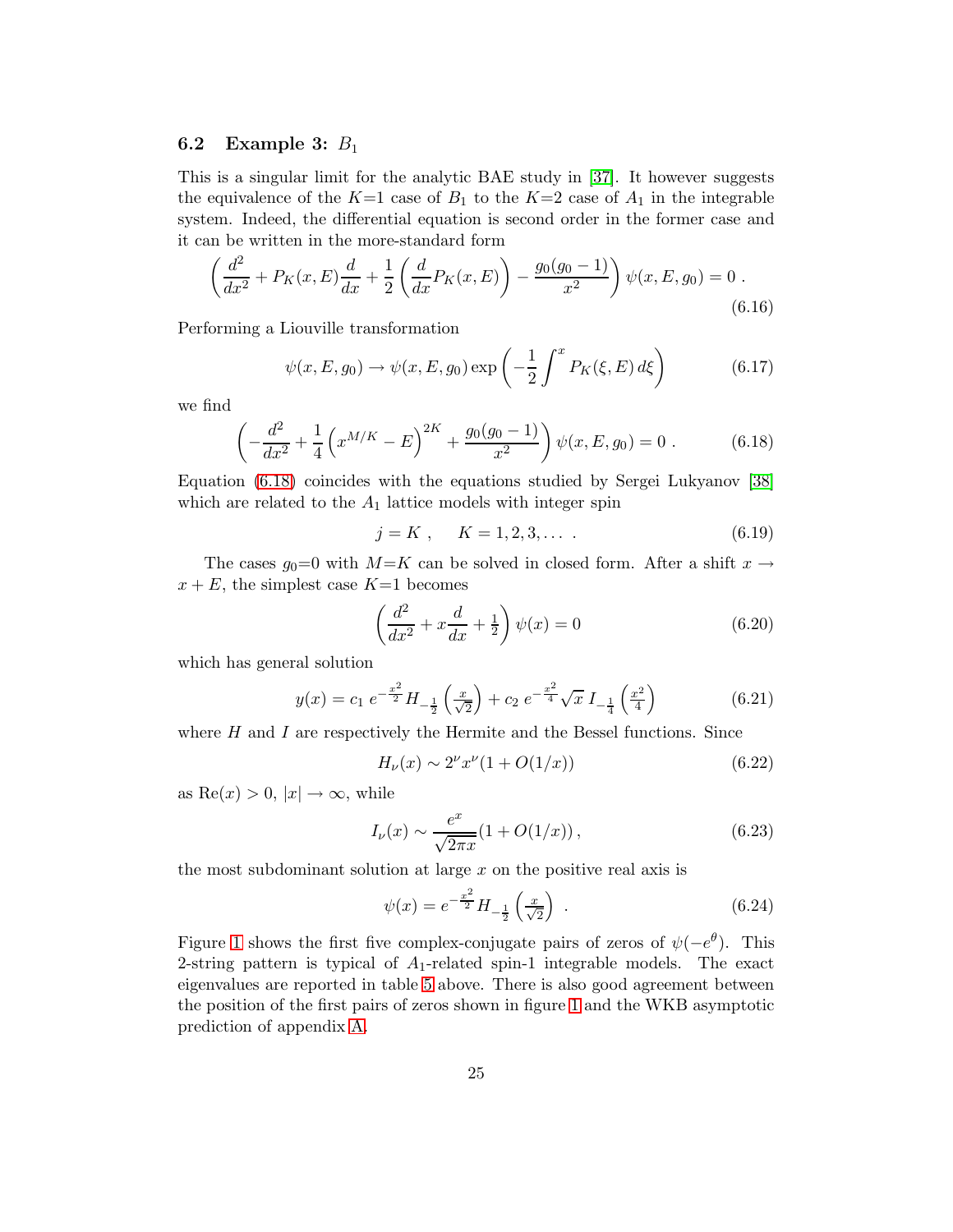#### 6.2 Example 3:  $B_1$

This is a singular limit for the analytic BAE study in [\[37\]](#page-47-0). It however suggests the equivalence of the  $K=1$  case of  $B_1$  to the  $K=2$  case of  $A_1$  in the integrable system. Indeed, the differential equation is second order in the former case and it can be written in the more-standard form

$$
\left(\frac{d^2}{dx^2} + P_K(x, E)\frac{d}{dx} + \frac{1}{2}\left(\frac{d}{dx}P_K(x, E)\right) - \frac{g_0(g_0 - 1)}{x^2}\right)\psi(x, E, g_0) = 0.
$$
\n(6.16)

Performing a Liouville transformation

$$
\psi(x, E, g_0) \to \psi(x, E, g_0) \exp\left(-\frac{1}{2} \int^x P_K(\xi, E) d\xi\right) \tag{6.17}
$$

we find

$$
\left(-\frac{d^2}{dx^2} + \frac{1}{4}\left(x^{M/K} - E\right)^{2K} + \frac{g_0(g_0 - 1)}{x^2}\right)\psi(x, E, g_0) = 0.
$$
 (6.18)

Equation [\(6.18\)](#page-25-1) coincides with the equations studied by Sergei Lukyanov [\[38\]](#page-47-1) which are related to the  $A_1$  lattice models with integer spin

$$
j = K , \quad K = 1, 2, 3, \dots . \tag{6.19}
$$

<span id="page-26-1"></span><span id="page-26-0"></span>The cases  $g_0=0$  with  $M=K$  can be solved in closed form. After a shift  $x \to$  $x + E$ , the simplest case  $K=1$  becomes

$$
\left(\frac{d^2}{dx^2} + x\frac{d}{dx} + \frac{1}{2}\right)\psi(x) = 0\tag{6.20}
$$

which has general solution

<span id="page-26-2"></span>
$$
y(x) = c_1 e^{-\frac{x^2}{2}} H_{-\frac{1}{2}}\left(\frac{x}{\sqrt{2}}\right) + c_2 e^{-\frac{x^2}{4}} \sqrt{x} I_{-\frac{1}{4}}\left(\frac{x^2}{4}\right)
$$
(6.21)

where  $H$  and  $I$  are respectively the Hermite and the Bessel functions. Since

$$
H_{\nu}(x) \sim 2^{\nu} x^{\nu} (1 + O(1/x)) \tag{6.22}
$$

as  $\text{Re}(x) > 0, |x| \to \infty$ , while

$$
I_{\nu}(x) \sim \frac{e^x}{\sqrt{2\pi x}} (1 + O(1/x)),
$$
 (6.23)

the most subdominant solution at large  $x$  on the positive real axis is

$$
\psi(x) = e^{-\frac{x^2}{2}} H_{-\frac{1}{2}}\left(\frac{x}{\sqrt{2}}\right) \tag{6.24}
$$

Figure [1](#page-26-1) shows the first five complex-conjugate pairs of zeros of  $\psi(-e^{\theta})$ . This 2-string pattern is typical of  $A_1$ -related spin-1 integrable models. The exact eigenvalues are reported in table [5](#page-15-1) above. There is also good agreement between the position of the first pairs of zeros shown in figure [1](#page-26-1) and the WKB asymptotic prediction of appendix [A.](#page-33-0)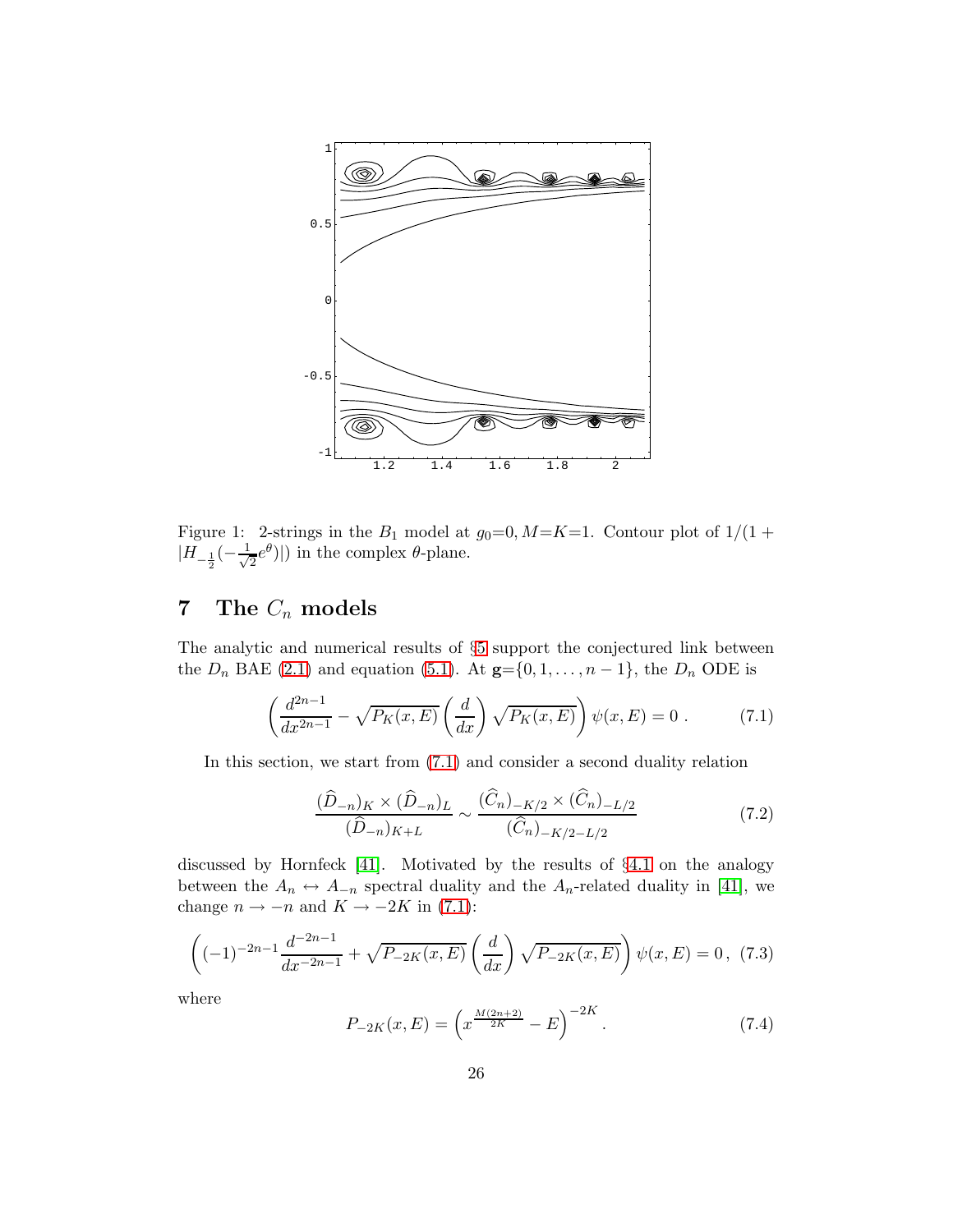

<span id="page-27-0"></span>Figure 1: 2-strings in the  $B_1$  model at  $g_0=0, M=K=1$ . Contour plot of  $1/(1 +$  $|H_{-\frac{1}{2}}(-\frac{1}{\sqrt{2}})$  $\frac{1}{2}e^{\theta}$ ||) in the complex  $\theta$ -plane.

#### 7 The  $C_n$  models

<span id="page-27-1"></span>The analytic and numerical results of §[5](#page-15-3) support the conjectured link between the  $D_n$  BAE [\(2.1\)](#page-2-2) and equation [\(5.1\)](#page-15-2). At  $\mathbf{g} = \{0, 1, \ldots, n-1\}$ , the  $D_n$  ODE is

$$
\left(\frac{d^{2n-1}}{dx^{2n-1}} - \sqrt{P_K(x, E)} \left(\frac{d}{dx}\right) \sqrt{P_K(x, E)}\right) \psi(x, E) = 0.
$$
 (7.1)

In this section, we start from [\(7.1\)](#page-26-2) and consider a second duality relation

$$
\frac{(\widehat{D}_{-n})_K \times (\widehat{D}_{-n})_L}{(\widehat{D}_{-n})_{K+L}} \sim \frac{(\widehat{C}_n)_{-K/2} \times (\widehat{C}_n)_{-L/2}}{(\widehat{C}_n)_{-K/2-L/2}} \tag{7.2}
$$

discussed by Hornfeck [\[41\]](#page-47-4). Motivated by the results of §[4.1](#page-10-4) on the analogy between the  $A_n \leftrightarrow A_{-n}$  spectral duality and the  $A_n$ -related duality in [\[41\]](#page-47-4), we change  $n \to -n$  and  $K \to -2K$  in [\(7.1\)](#page-26-2):

<span id="page-27-2"></span>
$$
\left((-1)^{-2n-1}\frac{d^{-2n-1}}{dx^{-2n-1}} + \sqrt{P_{-2K}(x,E)}\left(\frac{d}{dx}\right)\sqrt{P_{-2K}(x,E)}\right)\psi(x,E) = 0, (7.3)
$$

where

$$
P_{-2K}(x,E) = \left(x^{\frac{M(2n+2)}{2K}} - E\right)^{-2K}.\tag{7.4}
$$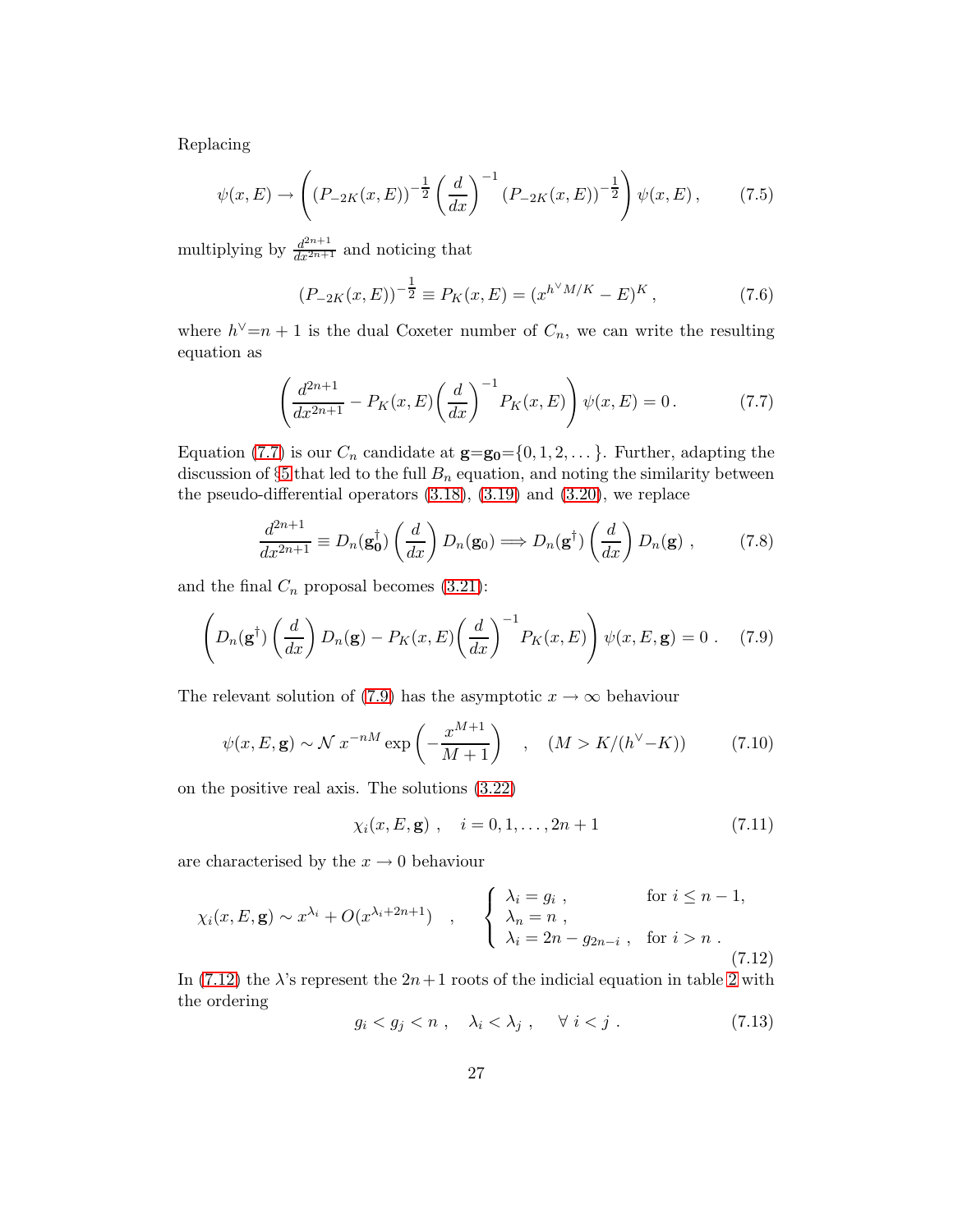Replacing

$$
\psi(x,E) \to \left( (P_{-2K}(x,E))^{-\frac{1}{2}} \left( \frac{d}{dx} \right)^{-1} (P_{-2K}(x,E))^{-\frac{1}{2}} \right) \psi(x,E), \tag{7.5}
$$

multiplying by  $\frac{d^{2n+1}}{dx^{2n+1}}$  and noticing that

$$
(P_{-2K}(x,E))^{-\frac{1}{2}} \equiv P_K(x,E) = (x^{h^{\vee}M/K} - E)^K,
$$
\n(7.6)

where  $h^{\vee}=n+1$  is the dual Coxeter number of  $C_n$ , we can write the resulting equation as

$$
\left(\frac{d^{2n+1}}{dx^{2n+1}} - P_K(x, E)\left(\frac{d}{dx}\right)^{-1} P_K(x, E)\right) \psi(x, E) = 0.
$$
 (7.7)

Equation [\(7.7\)](#page-27-0) is our  $C_n$  candidate at  $\mathbf{g}=\mathbf{g_0}=\{0,1,2,\ldots\}$ . Further, adapting the discussion of  $\S5$  $\S5$  that led to the full  $B_n$  equation, and noting the similarity between the pseudo-differential operators [\(3.18\)](#page-5-0), [\(3.19\)](#page-5-3) and [\(3.20\)](#page-5-4), we replace

<span id="page-28-2"></span><span id="page-28-0"></span>
$$
\frac{d^{2n+1}}{dx^{2n+1}} \equiv D_n(\mathbf{g}_0^\dagger) \left(\frac{d}{dx}\right) D_n(\mathbf{g}_0) \Longrightarrow D_n(\mathbf{g}^\dagger) \left(\frac{d}{dx}\right) D_n(\mathbf{g}) ,\qquad (7.8)
$$

and the final  $C_n$  proposal becomes [\(3.21\)](#page-5-1):

<span id="page-28-1"></span>
$$
\left(D_n(\mathbf{g}^\dagger)\left(\frac{d}{dx}\right)D_n(\mathbf{g}) - P_K(x,E)\left(\frac{d}{dx}\right)^{-1}P_K(x,E)\right)\psi(x,E,\mathbf{g}) = 0\ .\tag{7.9}
$$

The relevant solution of [\(7.9\)](#page-27-1) has the asymptotic  $x \to \infty$  behaviour

$$
\psi(x, E, \mathbf{g}) \sim \mathcal{N} \ x^{-nM} \exp\left(-\frac{x^{M+1}}{M+1}\right) \quad , \quad (M > K/(h^{\vee} - K)) \tag{7.10}
$$

on the positive real axis. The solutions [\(3.22\)](#page-5-5)

$$
\chi_i(x, E, \mathbf{g}), \quad i = 0, 1, \dots, 2n + 1 \tag{7.11}
$$

are characterised by the  $x \to 0$  behaviour

<span id="page-28-3"></span>
$$
\chi_i(x, E, \mathbf{g}) \sim x^{\lambda_i} + O(x^{\lambda_i + 2n + 1}) \quad , \quad \begin{cases} \lambda_i = g_i \,, & \text{for } i \leq n - 1, \\ \lambda_n = n \,, & \lambda_i = 2n - g_{2n - i} \,, \text{ for } i > n \,. \end{cases} \tag{7.12}
$$

In [\(7.12\)](#page-27-2) the  $\lambda$ 's represent the  $2n+1$  roots of the indicial equation in table [2](#page-6-0) with the ordering

$$
g_i < g_j < n \; , \quad \lambda_i < \lambda_j \; , \quad \forall \; i < j \; . \tag{7.13}
$$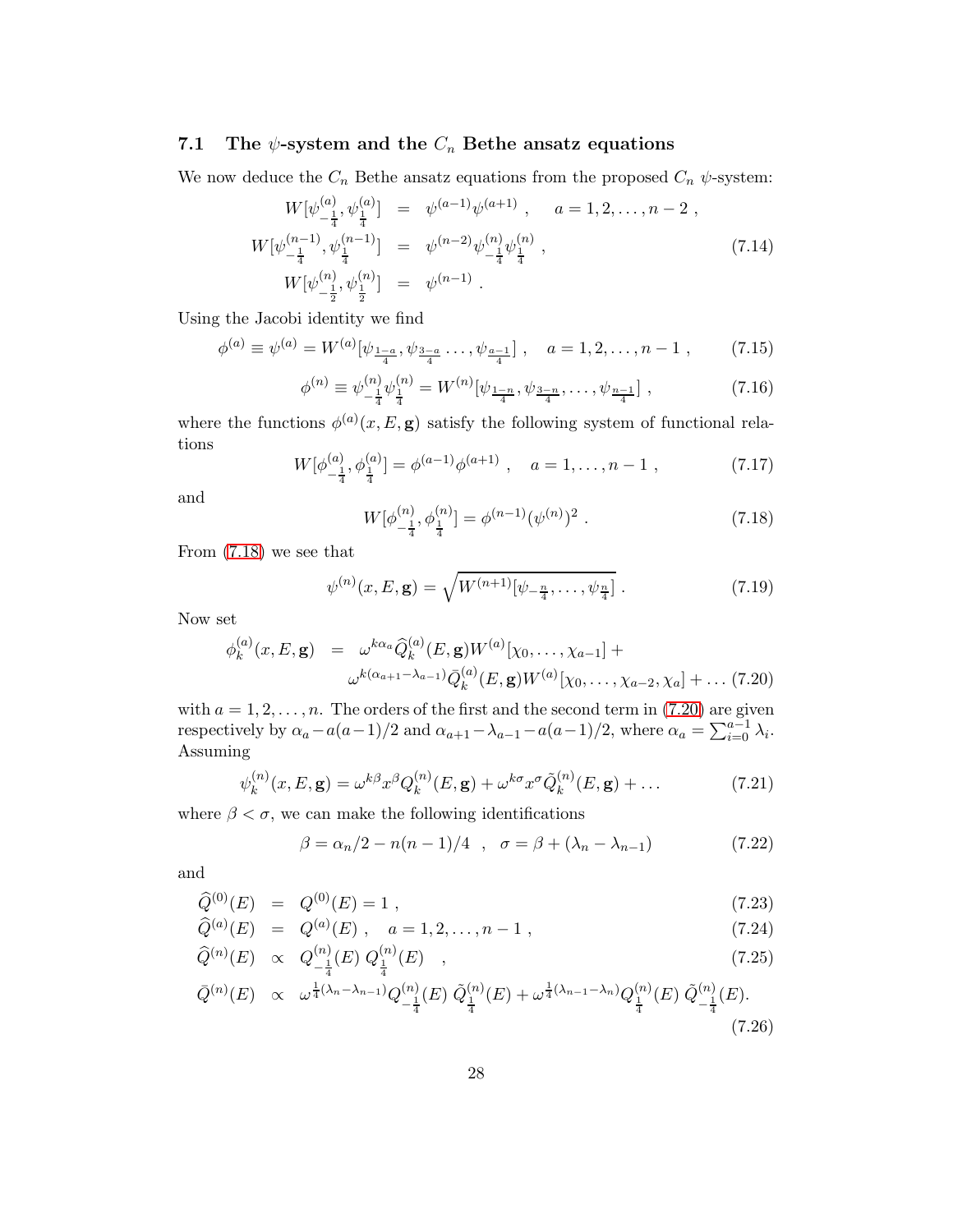#### 7.1 The  $\psi$ -system and the  $C_n$  Bethe ansatz equations

We now deduce the  $C_n$  Bethe ansatz equations from the proposed  $C_n$   $\psi$ -system:

$$
W[\psi_{-\frac{1}{4}}^{(a)}, \psi_{\frac{1}{4}}^{(a)}] = \psi^{(a-1)}\psi^{(a+1)}, \quad a = 1, 2, \dots, n-2,
$$
  
\n
$$
W[\psi_{-\frac{1}{4}}^{(n-1)}, \psi_{\frac{1}{4}}^{(n-1)}] = \psi^{(n-2)}\psi_{-\frac{1}{4}}^{(n)}\psi_{\frac{1}{4}}^{(n)},
$$
  
\n
$$
W[\psi_{-\frac{1}{2}}^{(n)}, \psi_{\frac{1}{2}}^{(n)}] = \psi^{(n-1)}.
$$
\n(7.14)

Using the Jacobi identity we find

$$
\phi^{(a)} \equiv \psi^{(a)} = W^{(a)}[\psi_{\frac{1-a}{4}}, \psi_{\frac{3-a}{4}} \dots, \psi_{\frac{a-1}{4}}], \quad a = 1, 2, \dots, n-1 , \quad (7.15)
$$

<span id="page-29-0"></span>
$$
\phi^{(n)} \equiv \psi_{-\frac{1}{4}}^{(n)} \psi_{\frac{1}{4}}^{(n)} = W^{(n)}[\psi_{\frac{1-n}{4}}, \psi_{\frac{3-n}{4}}, \dots, \psi_{\frac{n-1}{4}}], \tag{7.16}
$$

where the functions  $\phi^{(a)}(x, E, \mathbf{g})$  satisfy the following system of functional relations

<span id="page-29-1"></span>
$$
W[\phi_{-\frac{1}{4}}^{(a)}, \phi_{\frac{1}{4}}^{(a)}] = \phi^{(a-1)}\phi^{(a+1)}, \quad a = 1, \dots, n-1 \;, \tag{7.17}
$$

and

$$
W[\phi_{-\frac{1}{4}}^{(n)}, \phi_{\frac{1}{4}}^{(n)}] = \phi^{(n-1)}(\psi^{(n)})^2.
$$
 (7.18)

From [\(7.18\)](#page-28-0) we see that

$$
\psi^{(n)}(x,E,\mathbf{g}) = \sqrt{W^{(n+1)}[\psi_{-\frac{n}{4}},\ldots,\psi_{\frac{n}{4}}]}.
$$
\n(7.19)

Now set

$$
\phi_k^{(a)}(x, E, \mathbf{g}) = \omega^{k\alpha_a} \widehat{Q}_k^{(a)}(E, \mathbf{g}) W^{(a)}[\chi_0, \dots, \chi_{a-1}] +
$$

$$
\omega^{k(\alpha_{a+1} - \lambda_{a-1})} \bar{Q}_k^{(a)}(E, \mathbf{g}) W^{(a)}[\chi_0, \dots, \chi_{a-2}, \chi_a] + \dots (7.20)
$$

with  $a = 1, 2, \ldots, n$ . The orders of the first and the second term in [\(7.20\)](#page-28-1) are given respectively by  $\alpha_a - a(a-1)/2$  and  $\alpha_{a+1} - \lambda_{a-1} - a(a-1)/2$ , where  $\alpha_a = \sum_{i=0}^{a-1} \lambda_i$ . Assuming

<span id="page-29-2"></span>
$$
\psi_k^{(n)}(x, E, \mathbf{g}) = \omega^{k\beta} x^{\beta} Q_k^{(n)}(E, \mathbf{g}) + \omega^{k\sigma} x^{\sigma} \tilde{Q}_k^{(n)}(E, \mathbf{g}) + \dots \tag{7.21}
$$

where  $\beta < \sigma$ , we can make the following identifications

<span id="page-29-3"></span>
$$
\beta = \alpha_n/2 - n(n-1)/4 \quad , \quad \sigma = \beta + (\lambda_n - \lambda_{n-1}) \tag{7.22}
$$

and

$$
\widehat{Q}^{(0)}(E) = Q^{(0)}(E) = 1 , \qquad (7.23)
$$

$$
\widehat{Q}^{(a)}(E) = Q^{(a)}(E), \quad a = 1, 2, \dots, n - 1,
$$
\n(7.24)

$$
\widehat{Q}^{(n)}(E) \propto Q_{-\frac{1}{4}}^{(n)}(E) Q_{\frac{1}{4}}^{(n)}(E) , \qquad (7.25)
$$

$$
\bar{Q}^{(n)}(E) \propto \omega^{\frac{1}{4}(\lambda_n - \lambda_{n-1})} Q^{(n)}_{-\frac{1}{4}}(E) \; \tilde{Q}^{(n)}_{\frac{1}{4}}(E) + \omega^{\frac{1}{4}(\lambda_{n-1} - \lambda_n)} Q^{(n)}_{\frac{1}{4}}(E) \; \tilde{Q}^{(n)}_{-\frac{1}{4}}(E). \tag{7.26}
$$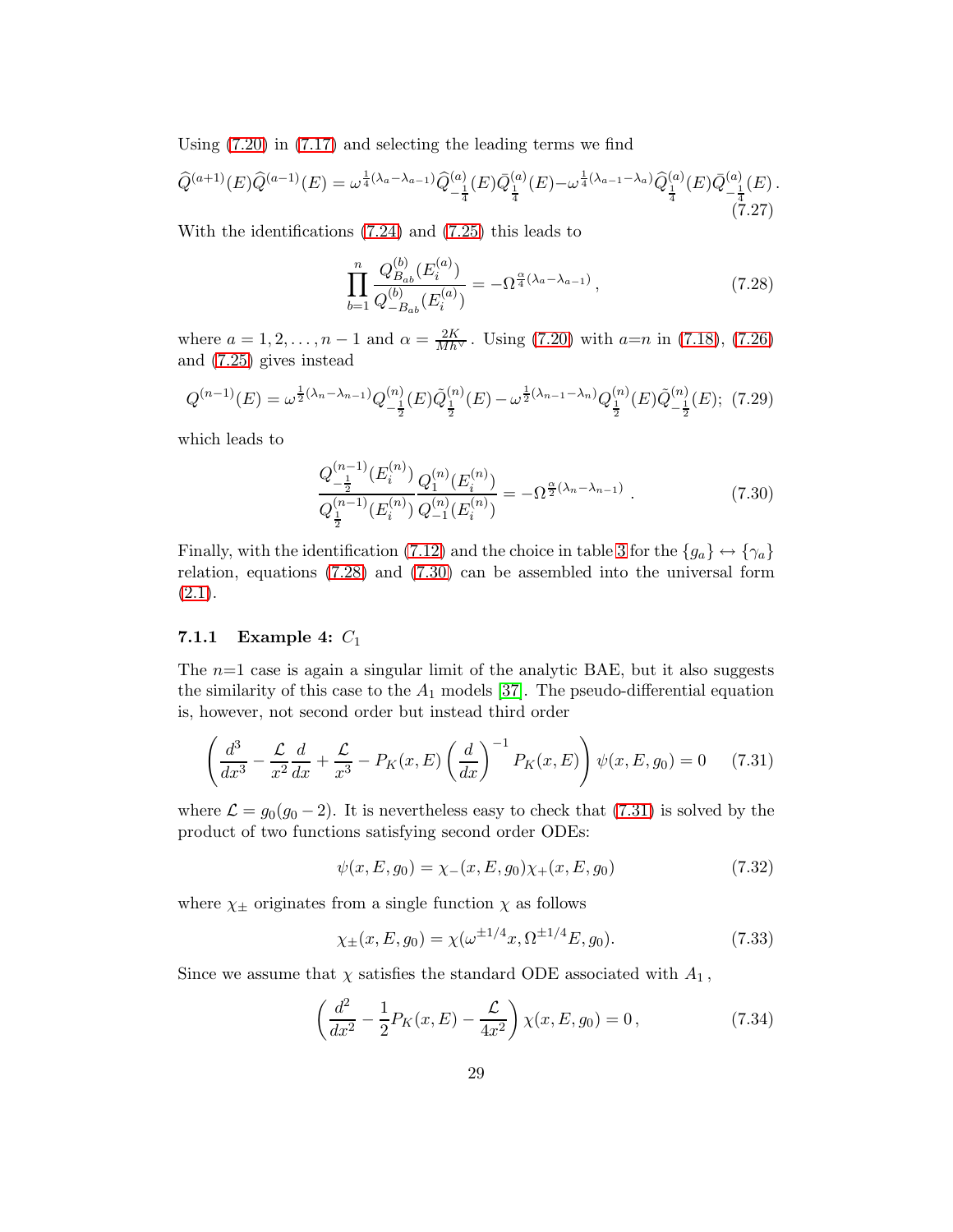Using [\(7.20\)](#page-28-1) in [\(7.17\)](#page-28-2) and selecting the leading terms we find

$$
\widehat{Q}^{(a+1)}(E)\widehat{Q}^{(a-1)}(E) = \omega^{\frac{1}{4}(\lambda_a - \lambda_{a-1})}\widehat{Q}^{(a)}_{-\frac{1}{4}}(E)\overline{Q}^{(a)}_{\frac{1}{4}}(E) - \omega^{\frac{1}{4}(\lambda_{a-1} - \lambda_a)}\widehat{Q}^{(a)}_{\frac{1}{4}}(E)\overline{Q}^{(a)}_{-\frac{1}{4}}(E). \tag{7.27}
$$

With the identifications [\(7.24\)](#page-28-3) and [\(7.25\)](#page-28-3) this leads to

<span id="page-30-2"></span>
$$
\prod_{b=1}^{n} \frac{Q_{B_{ab}}^{(b)}(E_i^{(a)})}{Q_{-B_{ab}}^{(b)}(E_i^{(a)})} = -\Omega^{\frac{\alpha}{4}(\lambda_a - \lambda_{a-1})},\tag{7.28}
$$

where  $a = 1, 2, ..., n - 1$  and  $\alpha = \frac{2K}{Mh^{\vee}}$ . Using [\(7.20\)](#page-28-1) with  $a=n$  in [\(7.18\)](#page-28-0), [\(7.26\)](#page-28-3) and [\(7.25\)](#page-28-3) gives instead

$$
Q^{(n-1)}(E) = \omega^{\frac{1}{2}(\lambda_n - \lambda_{n-1})} Q^{(n)}_{-\frac{1}{2}}(E) \tilde{Q}^{(n)}_{\frac{1}{2}}(E) - \omega^{\frac{1}{2}(\lambda_{n-1} - \lambda_n)} Q^{(n)}_{\frac{1}{2}}(E) \tilde{Q}^{(n)}_{-\frac{1}{2}}(E); (7.29)
$$

which leads to

<span id="page-30-1"></span>
$$
\frac{Q_{-\frac{1}{2}}^{(n-1)}(E_i^{(n)})}{Q_{\frac{1}{2}}^{(n-1)}(E_i^{(n)})}\frac{Q_1^{(n)}(E_i^{(n)})}{Q_{-1}^{(n)}(E_i^{(n)})} = -\Omega^{\frac{\alpha}{2}(\lambda_n - \lambda_{n-1})}.
$$
\n(7.30)

<span id="page-30-0"></span>Finally, with the identification [\(7.12\)](#page-27-2) and the choice in table [3](#page-7-0) for the  $\{g_a\} \leftrightarrow \{\gamma_a\}$ relation, equations [\(7.28\)](#page-29-0) and [\(7.30\)](#page-29-1) can be assembled into the universal form  $(2.1).$  $(2.1).$ 

#### 7.1.1 Example 4:  $C_1$

The  $n=1$  case is again a singular limit of the analytic BAE, but it also suggests the similarity of this case to the  $A_1$  models [\[37\]](#page-47-0). The pseudo-differential equation is, however, not second order but instead third order

$$
\left(\frac{d^3}{dx^3} - \frac{\mathcal{L}}{x^2}\frac{d}{dx} + \frac{\mathcal{L}}{x^3} - P_K(x, E) \left(\frac{d}{dx}\right)^{-1} P_K(x, E)\right) \psi(x, E, g_0) = 0 \quad (7.31)
$$

where  $\mathcal{L} = g_0(g_0 - 2)$ . It is nevertheless easy to check that [\(7.31\)](#page-29-2) is solved by the product of two functions satisfying second order ODEs:

$$
\psi(x, E, g_0) = \chi_{-}(x, E, g_0)\chi_{+}(x, E, g_0)
$$
\n(7.32)

where  $\chi_{\pm}$  originates from a single function  $\chi$  as follows

$$
\chi_{\pm}(x, E, g_0) = \chi(\omega^{\pm 1/4} x, \Omega^{\pm 1/4} E, g_0). \tag{7.33}
$$

Since we assume that  $\chi$  satisfies the standard ODE associated with  $A_1$ ,

$$
\left(\frac{d^2}{dx^2} - \frac{1}{2}P_K(x, E) - \frac{\mathcal{L}}{4x^2}\right)\chi(x, E, g_0) = 0,
$$
\n(7.34)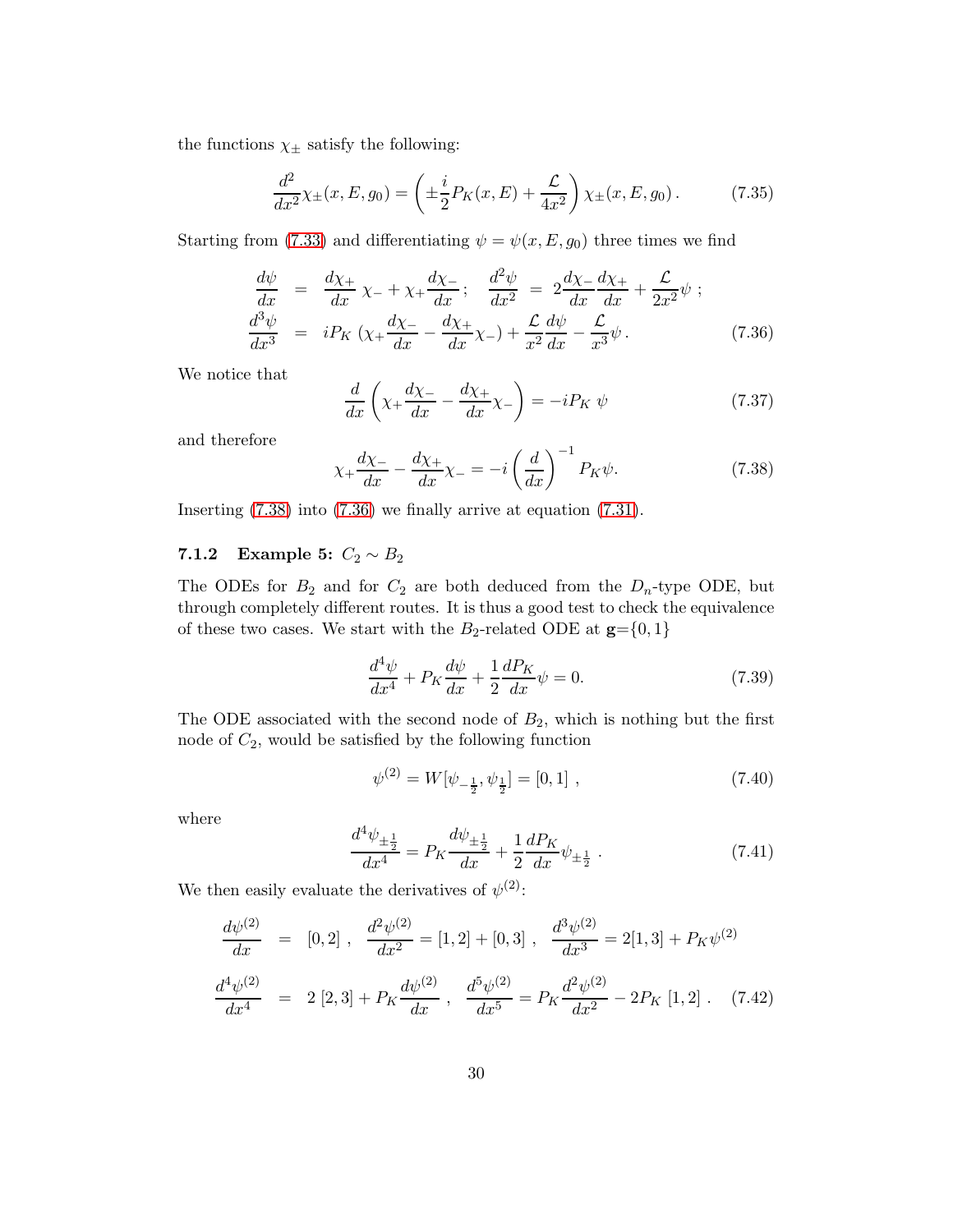the functions  $\chi_{\pm}$  satisfy the following:

$$
\frac{d^2}{dx^2}\chi_{\pm}(x,E,g_0) = \left(\pm \frac{i}{2}P_K(x,E) + \frac{\mathcal{L}}{4x^2}\right)\chi_{\pm}(x,E,g_0). \tag{7.35}
$$

Starting from [\(7.33\)](#page-29-3) and differentiating  $\psi = \psi(x, E, g_0)$  three times we find

$$
\frac{d\psi}{dx} = \frac{d\chi_+}{dx} \chi_- + \chi_+ \frac{d\chi_-}{dx}; \quad \frac{d^2\psi}{dx^2} = 2\frac{d\chi_-}{dx} \frac{d\chi_+}{dx} + \frac{\mathcal{L}}{2x^2} \psi ;
$$
\n
$$
\frac{d^3\psi}{dx^3} = i P_K \left( \chi_+ \frac{d\chi_-}{dx} - \frac{d\chi_+}{dx} \chi_- \right) + \frac{\mathcal{L}}{x^2} \frac{d\psi}{dx} - \frac{\mathcal{L}}{x^3} \psi .
$$
\n(7.36)

We notice that

$$
\frac{d}{dx}\left(\chi_{+}\frac{d\chi_{-}}{dx} - \frac{d\chi_{+}}{dx}\chi_{-}\right) = -iP_{K}\psi\tag{7.37}
$$

and therefore

$$
\chi_{+}\frac{d\chi_{-}}{dx} - \frac{d\chi_{+}}{dx}\chi_{-} = -i\left(\frac{d}{dx}\right)^{-1}P_{K}\psi.
$$
 (7.38)

Inserting [\(7.38\)](#page-30-1) into [\(7.36\)](#page-30-2) we finally arrive at equation [\(7.31\)](#page-29-2).

#### 7.1.2 Example 5:  $C_2 \sim B_2$

The ODEs for  $B_2$  and for  $C_2$  are both deduced from the  $D_n$ -type ODE, but through completely different routes. It is thus a good test to check the equivalence of these two cases. We start with the  $B_2$ -related ODE at  $\mathbf{g} = \{0, 1\}$ 

$$
\frac{d^4\psi}{dx^4} + P_K \frac{d\psi}{dx} + \frac{1}{2} \frac{dP_K}{dx} \psi = 0.
$$
\n(7.39)

The ODE associated with the second node of  $B_2$ , which is nothing but the first node of  $C_2$ , would be satisfied by the following function

$$
\psi^{(2)} = W[\psi_{-\frac{1}{2}}, \psi_{\frac{1}{2}}] = [0, 1] \tag{7.40}
$$

where

$$
\frac{d^4\psi_{\pm\frac{1}{2}}}{dx^4} = P_K \frac{d\psi_{\pm\frac{1}{2}}}{dx} + \frac{1}{2} \frac{dP_K}{dx} \psi_{\pm\frac{1}{2}}.
$$
\n(7.41)

We then easily evaluate the derivatives of  $\psi^{(2)}$ :

$$
\frac{d\psi^{(2)}}{dx} = [0,2], \quad \frac{d^2\psi^{(2)}}{dx^2} = [1,2] + [0,3], \quad \frac{d^3\psi^{(2)}}{dx^3} = 2[1,3] + P_K\psi^{(2)}
$$
\n
$$
\frac{d^4\psi^{(2)}}{dx^4} = 2[2,3] + P_K\frac{d\psi^{(2)}}{dx}, \quad \frac{d^5\psi^{(2)}}{dx^5} = P_K\frac{d^2\psi^{(2)}}{dx^2} - 2P_K[1,2]. \quad (7.42)
$$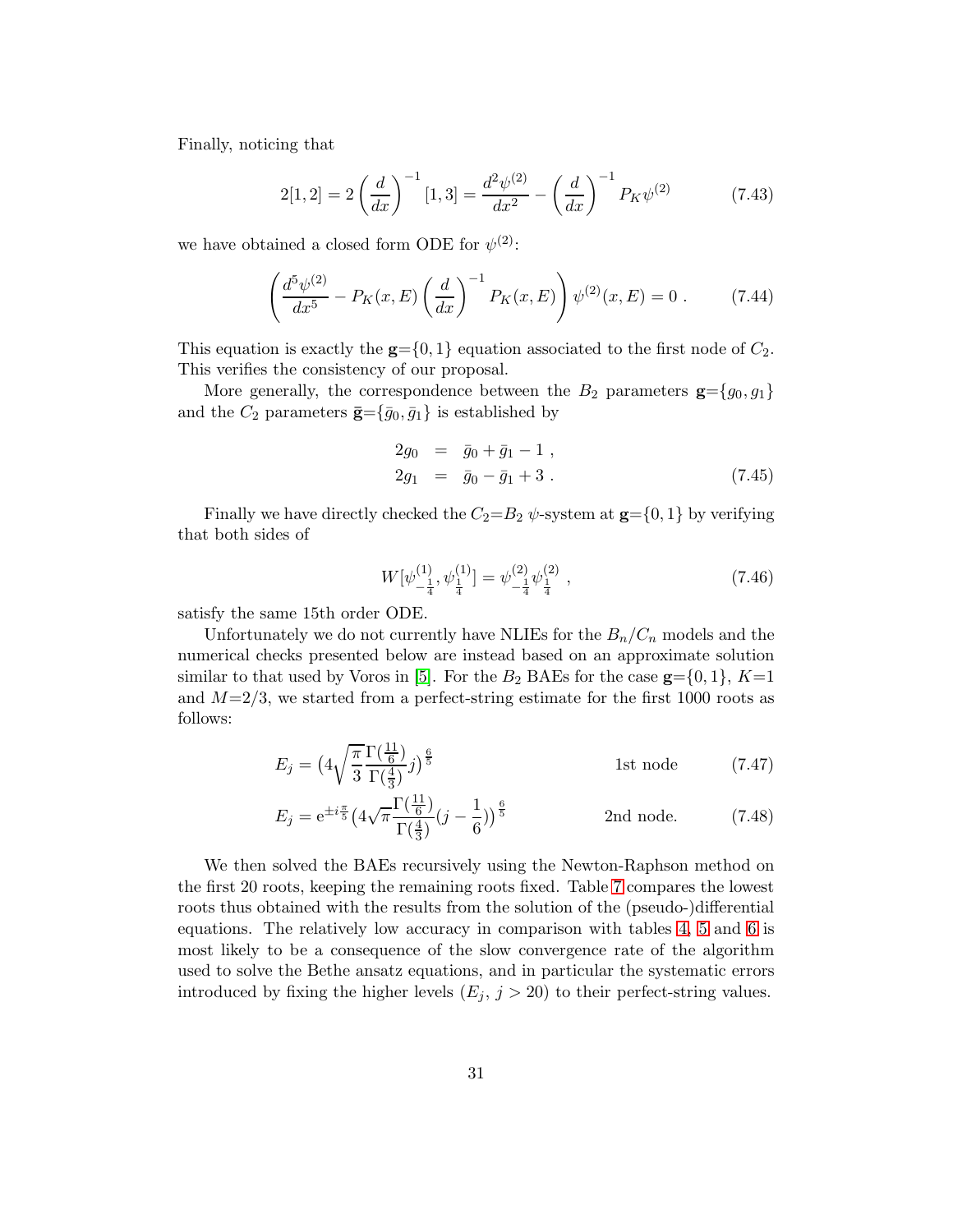Finally, noticing that

$$
2[1,2] = 2\left(\frac{d}{dx}\right)^{-1}[1,3] = \frac{d^2\psi^{(2)}}{dx^2} - \left(\frac{d}{dx}\right)^{-1}P_K\psi^{(2)}
$$
(7.43)

we have obtained a closed form ODE for  $\psi^{(2)}$ :

<span id="page-32-1"></span>
$$
\left(\frac{d^5\psi^{(2)}}{dx^5} - P_K(x, E)\left(\frac{d}{dx}\right)^{-1} P_K(x, E)\right)\psi^{(2)}(x, E) = 0.
$$
 (7.44)

This equation is exactly the  $g = \{0, 1\}$  equation associated to the first node of  $C_2$ . This verifies the consistency of our proposal.

<span id="page-32-0"></span>More generally, the correspondence between the  $B_2$  parameters  $\mathbf{g} = \{g_0, g_1\}$ and the  $C_2$  parameters  $\bar{\mathbf{g}} = {\bar{g}_0, \bar{g}_1}$  is established by

$$
2g_0 = \bar{g}_0 + \bar{g}_1 - 1 ,\n2g_1 = \bar{g}_0 - \bar{g}_1 + 3 .
$$
\n(7.45)

Finally we have directly checked the  $C_2=B_2 \psi$ -system at  $\mathbf{g}=\{0,1\}$  by verifying that both sides of

$$
W[\psi_{-\frac{1}{4}}^{(1)}, \psi_{\frac{1}{4}}^{(1)}] = \psi_{-\frac{1}{4}}^{(2)} \psi_{\frac{1}{4}}^{(2)} , \qquad (7.46)
$$

satisfy the same 15th order ODE.

Unfortunately we do not currently have NLIEs for the  $B_n/C_n$  models and the numerical checks presented below are instead based on an approximate solution similar to that used by Voros in [\[5\]](#page-44-4). For the  $B_2$  BAEs for the case  $g = \{0, 1\}$ ,  $K=1$ and  $M=2/3$ , we started from a perfect-string estimate for the first 1000 roots as follows:

$$
E_j = \left(4\sqrt{\frac{\pi}{3}} \frac{\Gamma(\frac{11}{6})}{\Gamma(\frac{4}{3})}j\right)^{\frac{6}{5}}
$$
 1st node (7.47)

$$
E_j = e^{\pm i\frac{\pi}{5}} \left( 4\sqrt{\pi} \frac{\Gamma(\frac{11}{6})}{\Gamma(\frac{4}{3})} (j - \frac{1}{6}) \right)^{\frac{6}{5}}
$$
 2nd node. (7.48)

We then solved the BAEs recursively using the Newton-Raphson method on the first 20 roots, keeping the remaining roots fixed. Table [7](#page-32-1) compares the lowest roots thus obtained with the results from the solution of the (pseudo-)differential equations. The relatively low accuracy in comparison with tables [4,](#page-15-0) [5](#page-15-1) and [6](#page-18-1) is most likely to be a consequence of the slow convergence rate of the algorithm used to solve the Bethe ansatz equations, and in particular the systematic errors introduced by fixing the higher levels  $(E_j, j > 20)$  to their perfect-string values.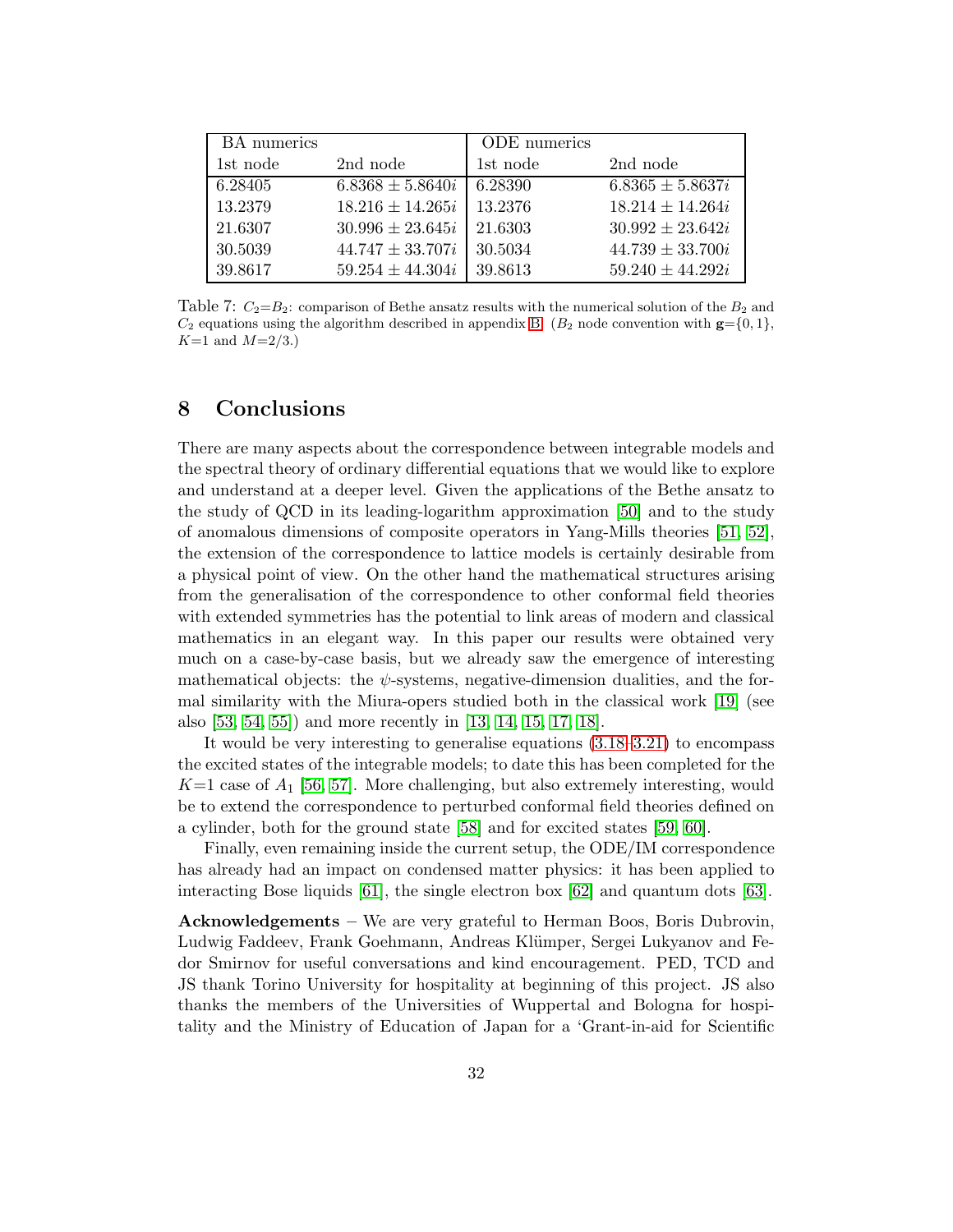| BA numerics |                      | ODE numerics |                      |
|-------------|----------------------|--------------|----------------------|
| 1st node    | 2nd node             | 1st node     | 2nd node             |
| 6.28405     | $6.8368 \pm 5.8640i$ | 6.28390      | $6.8365 \pm 5.8637i$ |
| 13.2379     | $18.216 \pm 14.265i$ | 13.2376      | $18.214 \pm 14.264i$ |
| 21.6307     | $30.996 \pm 23.645i$ | 21.6303      | $30.992 \pm 23.642i$ |
| 30.5039     | $44.747 \pm 33.707i$ | 30.5034      | $44.739 \pm 33.700i$ |
| 39.8617     | $59.254 \pm 44.304i$ | 39.8613      | $59.240 \pm 44.292i$ |

<span id="page-33-0"></span>Table 7:  $C_2=B_2$ : comparison of Bethe ansatz results with the numerical solution of the  $B_2$  and  $C_2$  equations using the algorithm described in appendix [B.](#page-38-0) ( $B_2$  node convention with  $\mathbf{g} = \{0, 1\}$ ,  $K=1$  and  $M=2/3$ .)

#### 8 Conclusions

<span id="page-33-3"></span>There are many aspects about the correspondence between integrable models and the spectral theory of ordinary differential equations that we would like to explore and understand at a deeper level. Given the applications of the Bethe ansatz to the study of QCD in its leading-logarithm approximation [\[50\]](#page-47-13) and to the study of anomalous dimensions of composite operators in Yang-Mills theories [\[51,](#page-47-14) [52\]](#page-47-15), the extension of the correspondence to lattice models is certainly desirable from a physical point of view. On the other hand the mathematical structures arising from the generalisation of the correspondence to other conformal field theories with extended symmetries has the potential to link areas of modern and classical mathematics in an elegant way. In this paper our results were obtained very much on a case-by-case basis, but we already saw the emergence of interesting mathematical objects: the  $\psi$ -systems, negative-dimension dualities, and the formal similarity with the Miura-opers studied both in the classical work [\[19\]](#page-45-12) (see also [\[53,](#page-48-0) [54,](#page-48-1) [55\]](#page-48-2)) and more recently in [\[13,](#page-45-6) [14,](#page-45-7) [15,](#page-45-8) [17,](#page-45-10) [18\]](#page-45-11).

<span id="page-33-1"></span>It would be very interesting to generalise equations [\(3.18–](#page-5-0)[3.21\)](#page-5-1) to encompass the excited states of the integrable models; to date this has been completed for the  $K=1$  case of  $A_1$  [\[56,](#page-48-3) [57\]](#page-48-4). More challenging, but also extremely interesting, would be to extend the correspondence to perturbed conformal field theories defined on a cylinder, both for the ground state [\[58\]](#page-48-5) and for excited states [\[59,](#page-48-6) [60\]](#page-48-7).

Finally, even remaining inside the current setup, the ODE/IM correspondence has already had an impact on condensed matter physics: it has been applied to interacting Bose liquids [\[61\]](#page-48-8), the single electron box [\[62\]](#page-48-9) and quantum dots [\[63\]](#page-48-10).

<span id="page-33-2"></span>Acknowledgements – We are very grateful to Herman Boos, Boris Dubrovin, Ludwig Faddeev, Frank Goehmann, Andreas Klümper, Sergei Lukyanov and Fedor Smirnov for useful conversations and kind encouragement. PED, TCD and JS thank Torino University for hospitality at beginning of this project. JS also thanks the members of the Universities of Wuppertal and Bologna for hospitality and the Ministry of Education of Japan for a 'Grant-in-aid for Scientific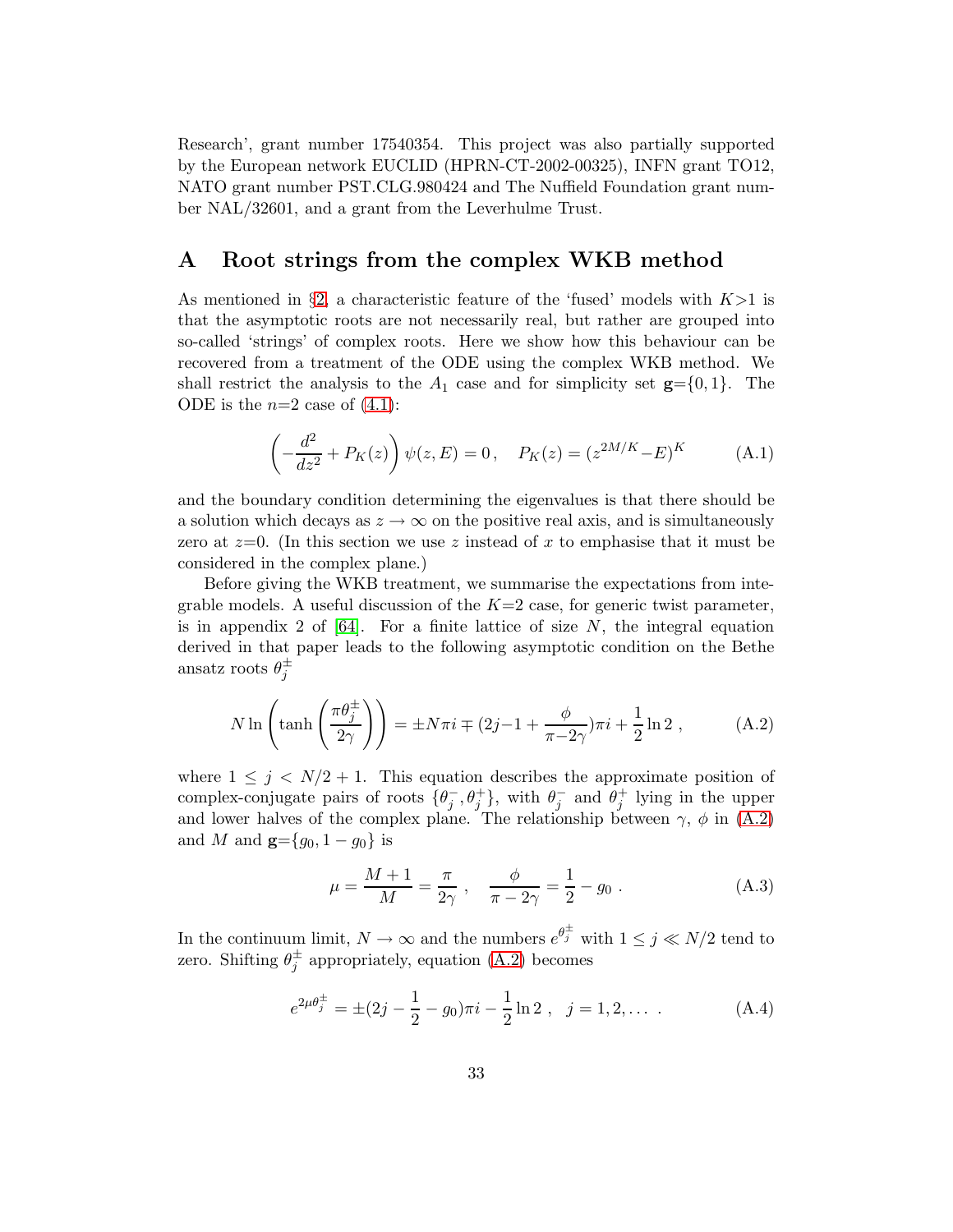Research', grant number 17540354. This project was also partially supported by the European network EUCLID (HPRN-CT-2002-00325), INFN grant TO12, NATO grant number PST.CLG.980424 and The Nuffield Foundation grant number NAL/32601, and a grant from the Leverhulme Trust.

#### A Root strings from the complex WKB method

<span id="page-34-0"></span>As mentioned in §[2,](#page-2-0) a characteristic feature of the 'fused' models with  $K>1$  is that the asymptotic roots are not necessarily real, but rather are grouped into so-called 'strings' of complex roots. Here we show how this behaviour can be recovered from a treatment of the ODE using the complex WKB method. We shall restrict the analysis to the  $A_1$  case and for simplicity set  $\mathbf{g} = \{0, 1\}$ . The ODE is the  $n=2$  case of  $(4.1)$ :

$$
\left(-\frac{d^2}{dz^2} + P_K(z)\right)\psi(z,E) = 0, \quad P_K(z) = (z^{2M/K} - E)^K \tag{A.1}
$$

and the boundary condition determining the eigenvalues is that there should be a solution which decays as  $z \to \infty$  on the positive real axis, and is simultaneously zero at  $z=0$ . (In this section we use z instead of x to emphasise that it must be considered in the complex plane.)

Before giving the WKB treatment, we summarise the expectations from integrable models. A useful discussion of the  $K=2$  case, for generic twist parameter, is in appendix 2 of  $[64]$ . For a finite lattice of size N, the integral equation derived in that paper leads to the following asymptotic condition on the Bethe ansatz roots  $\theta_j^{\pm}$ 

$$
N \ln \left( \tanh \left( \frac{\pi \theta_j^{\pm}}{2\gamma} \right) \right) = \pm N \pi i \mp (2j - 1 + \frac{\phi}{\pi - 2\gamma}) \pi i + \frac{1}{2} \ln 2 , \quad (A.2)
$$

where  $1 \leq j \leq N/2 + 1$ . This equation describes the approximate position of complex-conjugate pairs of roots  $\{\theta_j^-, \theta_j^+\}$ , with  $\theta_j^-$  and  $\theta_j^+$  lying in the upper and lower halves of the complex plane. The relationship between  $\gamma$ ,  $\phi$  in [\(A.2\)](#page-33-1) and M and  $g = {g_0, 1 - g_0}$  is

<span id="page-34-1"></span>
$$
\mu = \frac{M+1}{M} = \frac{\pi}{2\gamma} , \quad \frac{\phi}{\pi - 2\gamma} = \frac{1}{2} - g_0 .
$$
 (A.3)

In the continuum limit,  $N \to \infty$  and the numbers  $e^{\theta_j^{\pm}}$  with  $1 \leq j \ll N/2$  tend to zero. Shifting  $\theta_j^{\pm}$  appropriately, equation [\(A.2\)](#page-33-1) becomes

$$
e^{2\mu\theta_j^{\pm}} = \pm (2j - \frac{1}{2} - g_0)\pi i - \frac{1}{2}\ln 2 , \quad j = 1, 2, \dots \tag{A.4}
$$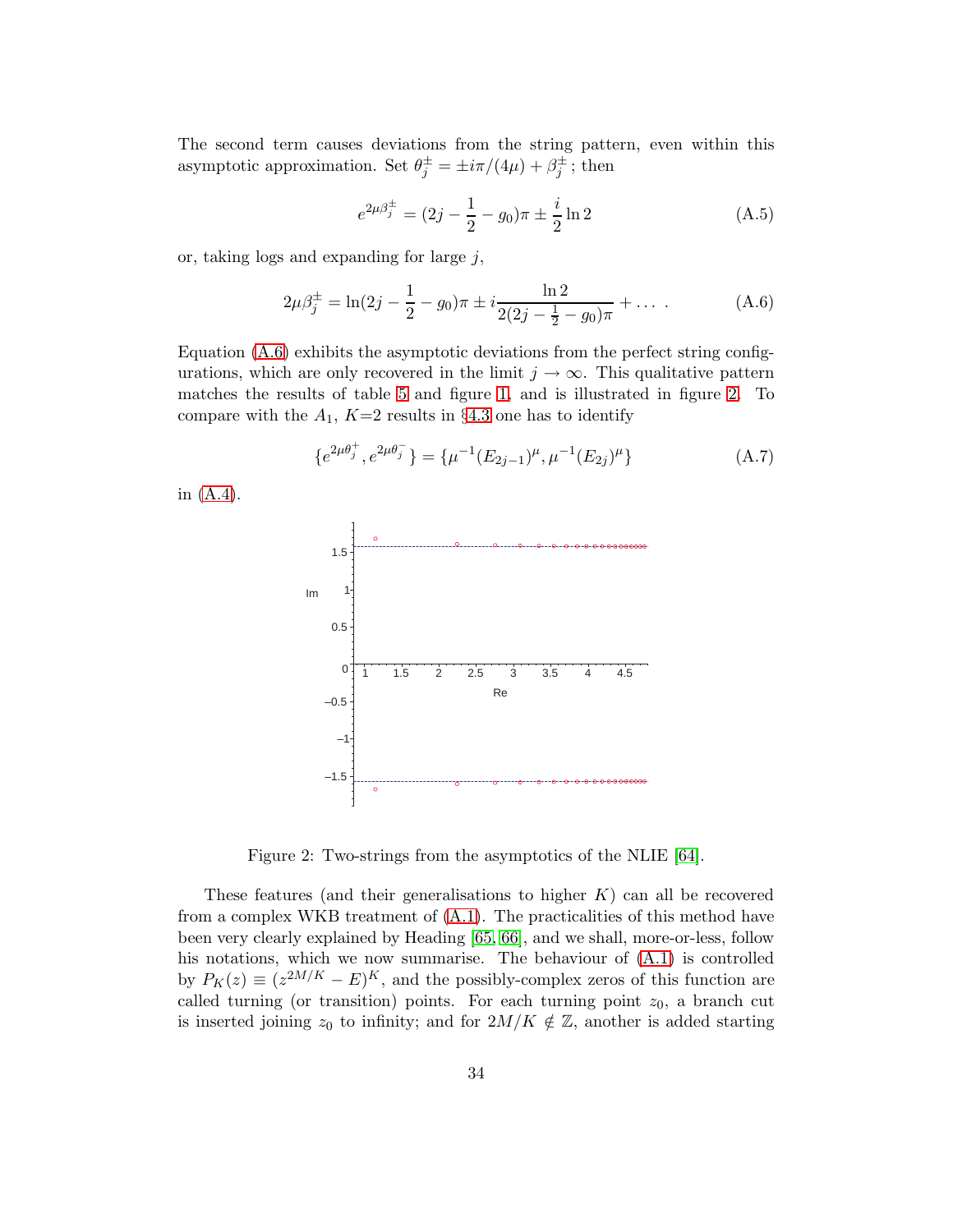The second term causes deviations from the string pattern, even within this asymptotic approximation. Set  $\theta_j^{\pm} = \pm i\pi/(4\mu) + \beta_j^{\pm}$ ; then

$$
e^{2\mu\beta_j^{\pm}} = (2j - \frac{1}{2} - g_0)\pi \pm \frac{i}{2}\ln 2
$$
 (A.5)

or, taking logs and expanding for large  $j$ ,

$$
2\mu\beta_j^{\pm} = \ln(2j - \frac{1}{2} - g_0)\pi \pm i\frac{\ln 2}{2(2j - \frac{1}{2} - g_0)\pi} + \dots
$$
 (A.6)

Equation  $(A.6)$  exhibits the asymptotic deviations from the perfect string configurations, which are only recovered in the limit  $j \to \infty$ . This qualitative pattern matches the results of table [5](#page-15-1) and figure [1,](#page-26-1) and is illustrated in figure [2.](#page-34-1) To compare with the  $A_1$ ,  $K=2$  results in §[4.3](#page-13-1) one has to identify

$$
\{e^{2\mu\theta_j^+}, e^{2\mu\theta_j^-}\} = \{\mu^{-1}(E_{2j-1})^\mu, \mu^{-1}(E_{2j})^\mu\} \tag{A.7}
$$

in [\(A.4\)](#page-33-2).



Figure 2: Two-strings from the asymptotics of the NLIE [\[64\]](#page-48-11).

<span id="page-35-1"></span><span id="page-35-0"></span>These features (and their generalisations to higher  $K$ ) can all be recovered from a complex WKB treatment of  $(A.1)$ . The practicalities of this method have been very clearly explained by Heading [\[65,](#page-48-12) [66\]](#page-48-13), and we shall, more-or-less, follow his notations, which we now summarise. The behaviour of  $(A.1)$  is controlled by  $P_K(z) \equiv (z^{2M/K} - E)^K$ , and the possibly-complex zeros of this function are called turning (or transition) points. For each turning point  $z_0$ , a branch cut is inserted joining  $z_0$  to infinity; and for  $2M/K \notin \mathbb{Z}$ , another is added starting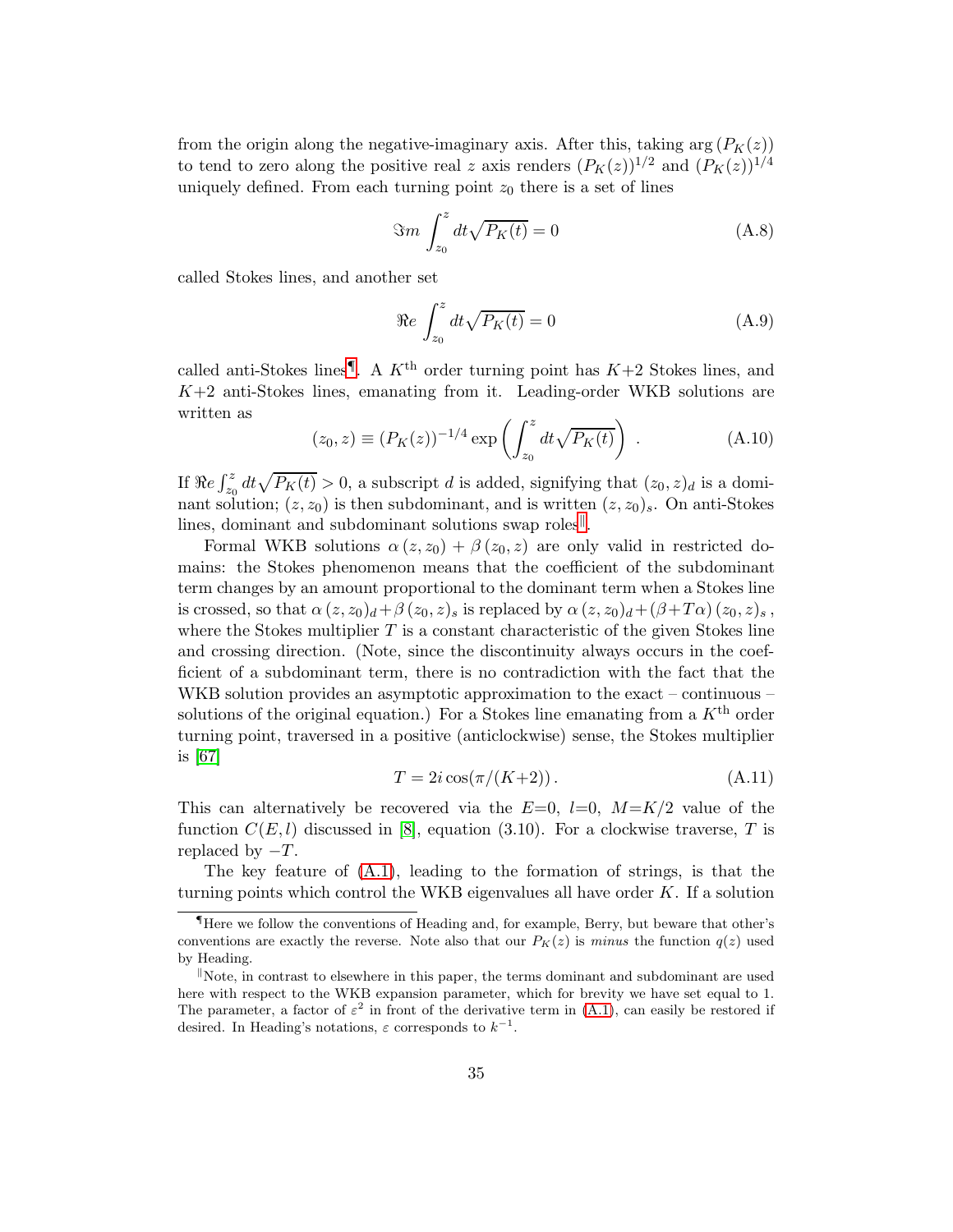from the origin along the negative-imaginary axis. After this, taking  $\arg(P_K(z))$ to tend to zero along the positive real z axis renders  $(P_K(z))^{1/2}$  and  $(P_K(z))^{1/4}$ uniquely defined. From each turning point  $z_0$  there is a set of lines

$$
\Im m \int_{z_0}^{z} dt \sqrt{P_K(t)} = 0 \tag{A.8}
$$

called Stokes lines, and another set

$$
\Re e \int_{z_0}^{z} dt \sqrt{P_K(t)} = 0 \tag{A.9}
$$

called anti-Stokes lines<sup>[¶](#page-35-0)</sup>. A  $K<sup>th</sup>$  order turning point has  $K+2$  Stokes lines, and  $K+2$  anti-Stokes lines, emanating from it. Leading-order WKB solutions are written as

$$
(z_0, z) \equiv (P_K(z))^{-1/4} \exp\left(\int_{z_0}^z dt \sqrt{P_K(t)}\right) .
$$
 (A.10)

If  $\Re e \int_{z_0}^z dt \sqrt{P_K(t)} > 0$ , a subscript d is added, signifying that  $(z_0, z)_d$  is a dominant solution;  $(z, z_0)$  is then subdominant, and is written  $(z, z_0)_s$ . On anti-Stokes lines, dominant and subdominant solutions swap roles<sup>||</sup>.

<span id="page-36-0"></span>Formal WKB solutions  $\alpha(z, z_0) + \beta(z_0, z)$  are only valid in restricted domains: the Stokes phenomenon means that the coefficient of the subdominant term changes by an amount proportional to the dominant term when a Stokes line is crossed, so that  $\alpha(z,z_0)<sub>d</sub>+\beta(z_0,z)<sub>s</sub>$  is replaced by  $\alpha(z,z_0)<sub>d</sub>+(\beta+T\alpha)(z_0,z)<sub>s</sub>$ , where the Stokes multiplier  $T$  is a constant characteristic of the given Stokes line and crossing direction. (Note, since the discontinuity always occurs in the coefficient of a subdominant term, there is no contradiction with the fact that the WKB solution provides an asymptotic approximation to the exact – continuous – solutions of the original equation.) For a Stokes line emanating from a  $K<sup>th</sup>$  order turning point, traversed in a positive (anticlockwise) sense, the Stokes multiplier is [\[67\]](#page-49-0)

$$
T = 2i\cos(\pi/(K+2)).\tag{A.11}
$$

This can alternatively be recovered via the  $E=0$ ,  $l=0$ ,  $M=K/2$  value of the function  $C(E, l)$  discussed in [\[8\]](#page-45-1), equation (3.10). For a clockwise traverse, T is replaced by  $-T$ .

The key feature of [\(A.1\)](#page-33-3), leading to the formation of strings, is that the turning points which control the WKB eigenvalues all have order  $K$ . If a solution

<sup>¶</sup>Here we follow the conventions of Heading and, for example, Berry, but beware that other's conventions are exactly the reverse. Note also that our  $P_K(z)$  is minus the function  $q(z)$  used by Heading.

Note, in contrast to elsewhere in this paper, the terms dominant and subdominant are used here with respect to the WKB expansion parameter, which for brevity we have set equal to 1. The parameter, a factor of  $\varepsilon^2$  in front of the derivative term in [\(A.1\)](#page-33-3), can easily be restored if desired. In Heading's notations,  $\varepsilon$  corresponds to  $k^{-1}$ .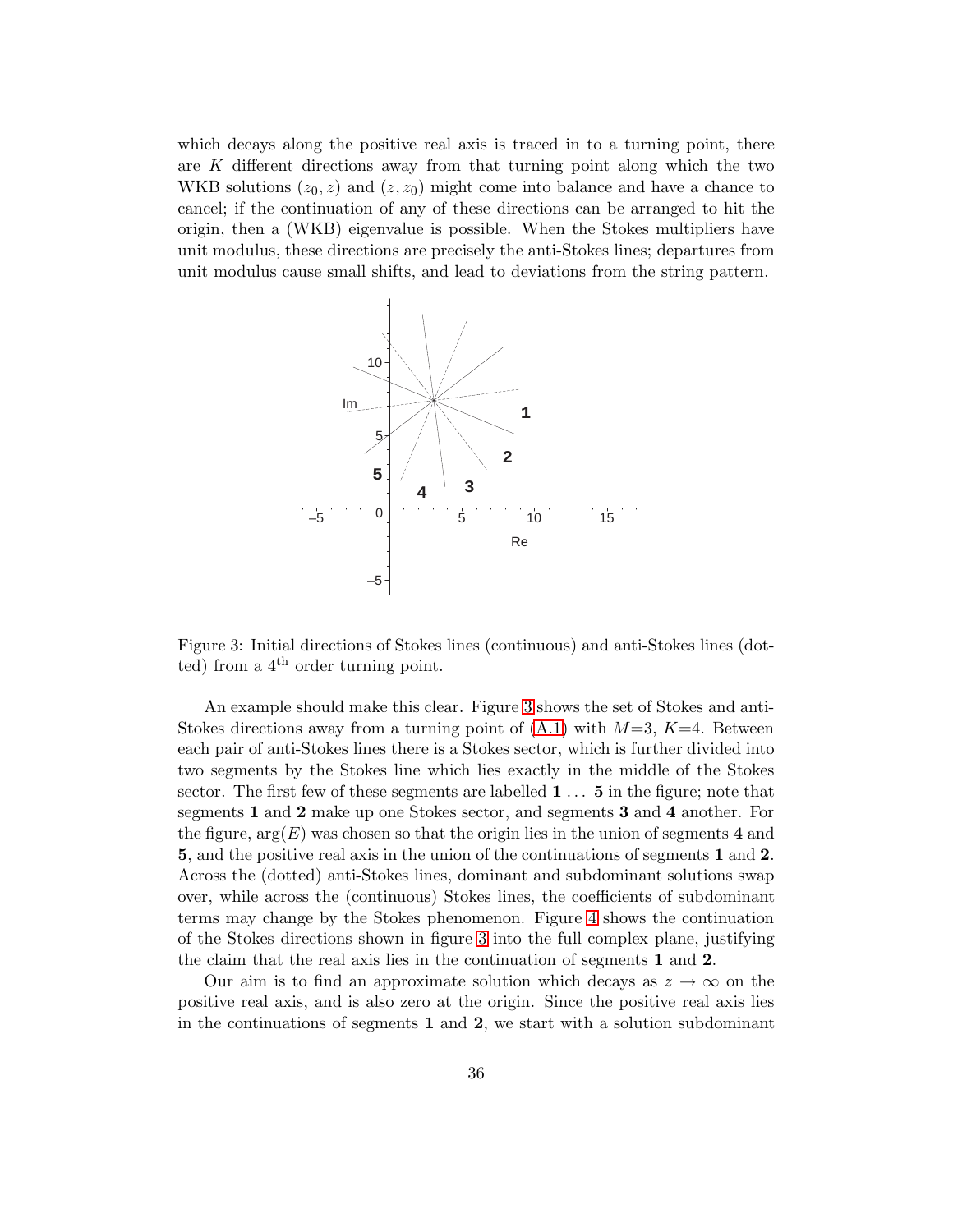which decays along the positive real axis is traced in to a turning point, there are  $K$  different directions away from that turning point along which the two WKB solutions  $(z_0, z)$  and  $(z, z_0)$  might come into balance and have a chance to cancel; if the continuation of any of these directions can be arranged to hit the origin, then a (WKB) eigenvalue is possible. When the Stokes multipliers have unit modulus, these directions are precisely the anti-Stokes lines; departures from unit modulus cause small shifts, and lead to deviations from the string pattern.

<span id="page-37-0"></span>

Figure 3: Initial directions of Stokes lines (continuous) and anti-Stokes lines (dotted) from a  $4^{\text{th}}$  order turning point.

An example should make this clear. Figure [3](#page-36-0) shows the set of Stokes and anti-Stokes directions away from a turning point of  $(A.1)$  with  $M=3$ ,  $K=4$ . Between each pair of anti-Stokes lines there is a Stokes sector, which is further divided into two segments by the Stokes line which lies exactly in the middle of the Stokes sector. The first few of these segments are labelled 1 ... 5 in the figure; note that segments 1 and 2 make up one Stokes sector, and segments 3 and 4 another. For the figure,  $arg(E)$  was chosen so that the origin lies in the union of segments 4 and 5, and the positive real axis in the union of the continuations of segments 1 and 2. Across the (dotted) anti-Stokes lines, dominant and subdominant solutions swap over, while across the (continuous) Stokes lines, the coefficients of subdominant terms may change by the Stokes phenomenon. Figure [4](#page-37-0) shows the continuation of the Stokes directions shown in figure [3](#page-36-0) into the full complex plane, justifying the claim that the real axis lies in the continuation of segments 1 and 2.

<span id="page-37-1"></span>Our aim is to find an approximate solution which decays as  $z \to \infty$  on the positive real axis, and is also zero at the origin. Since the positive real axis lies in the continuations of segments 1 and 2, we start with a solution subdominant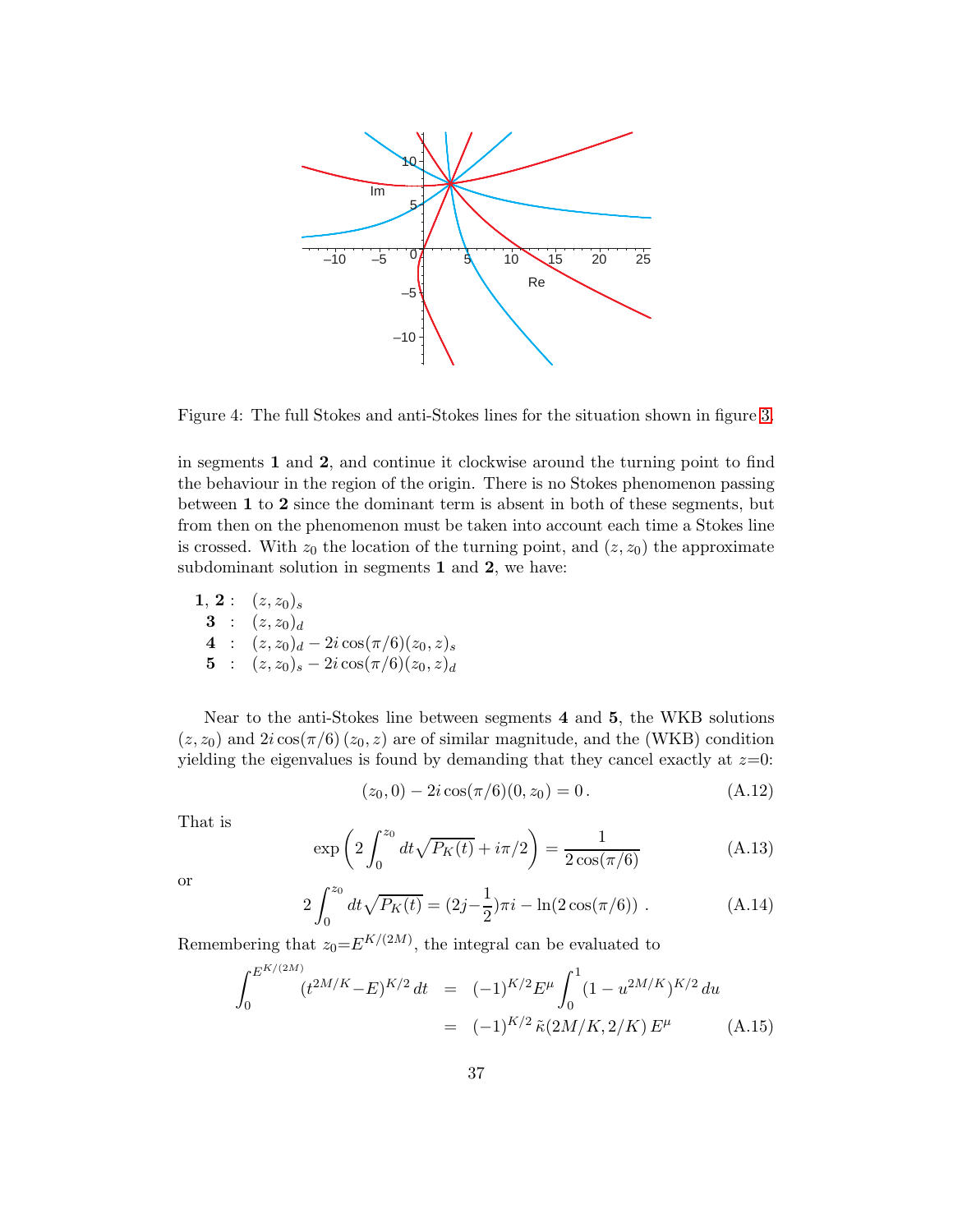<span id="page-38-1"></span>

Figure 4: The full Stokes and anti-Stokes lines for the situation shown in figure [3.](#page-36-0)

in segments 1 and 2, and continue it clockwise around the turning point to find the behaviour in the region of the origin. There is no Stokes phenomenon passing between 1 to 2 since the dominant term is absent in both of these segments, but from then on the phenomenon must be taken into account each time a Stokes line is crossed. With  $z_0$  the location of the turning point, and  $(z, z_0)$  the approximate subdominant solution in segments 1 and 2, we have:

<span id="page-38-0"></span>**1**, **2**: 
$$
(z, z_0)_s
$$
  
\n**3**:  $(z, z_0)_d$   
\n**4**:  $(z, z_0)_d - 2i \cos(\pi/6)(z_0, z)_s$   
\n**5**:  $(z, z_0)_s - 2i \cos(\pi/6)(z_0, z)_d$ 

Near to the anti-Stokes line between segments 4 and 5, the WKB solutions  $(z, z_0)$  and  $2i \cos(\pi/6) (z_0, z)$  are of similar magnitude, and the (WKB) condition yielding the eigenvalues is found by demanding that they cancel exactly at  $z=0$ :

$$
(z_0, 0) - 2i\cos(\pi/6)(0, z_0) = 0.
$$
 (A.12)

That is

$$
\exp\left(2\int_0^{z_0} dt \sqrt{P_K(t)} + i\pi/2\right) = \frac{1}{2\cos(\pi/6)}\tag{A.13}
$$

or

$$
2\int_0^{z_0} dt \sqrt{P_K(t)} = (2j - \frac{1}{2})\pi i - \ln(2\cos(\pi/6)) . \tag{A.14}
$$

Remembering that  $z_0 = E^{K/(2M)}$ , the integral can be evaluated to

$$
\int_0^{E^{K/(2M)}} (t^{2M/K} - E)^{K/2} dt = (-1)^{K/2} E^{\mu} \int_0^1 (1 - u^{2M/K})^{K/2} du
$$
  
= 
$$
(-1)^{K/2} \tilde{\kappa}(2M/K, 2/K) E^{\mu}
$$
 (A.15)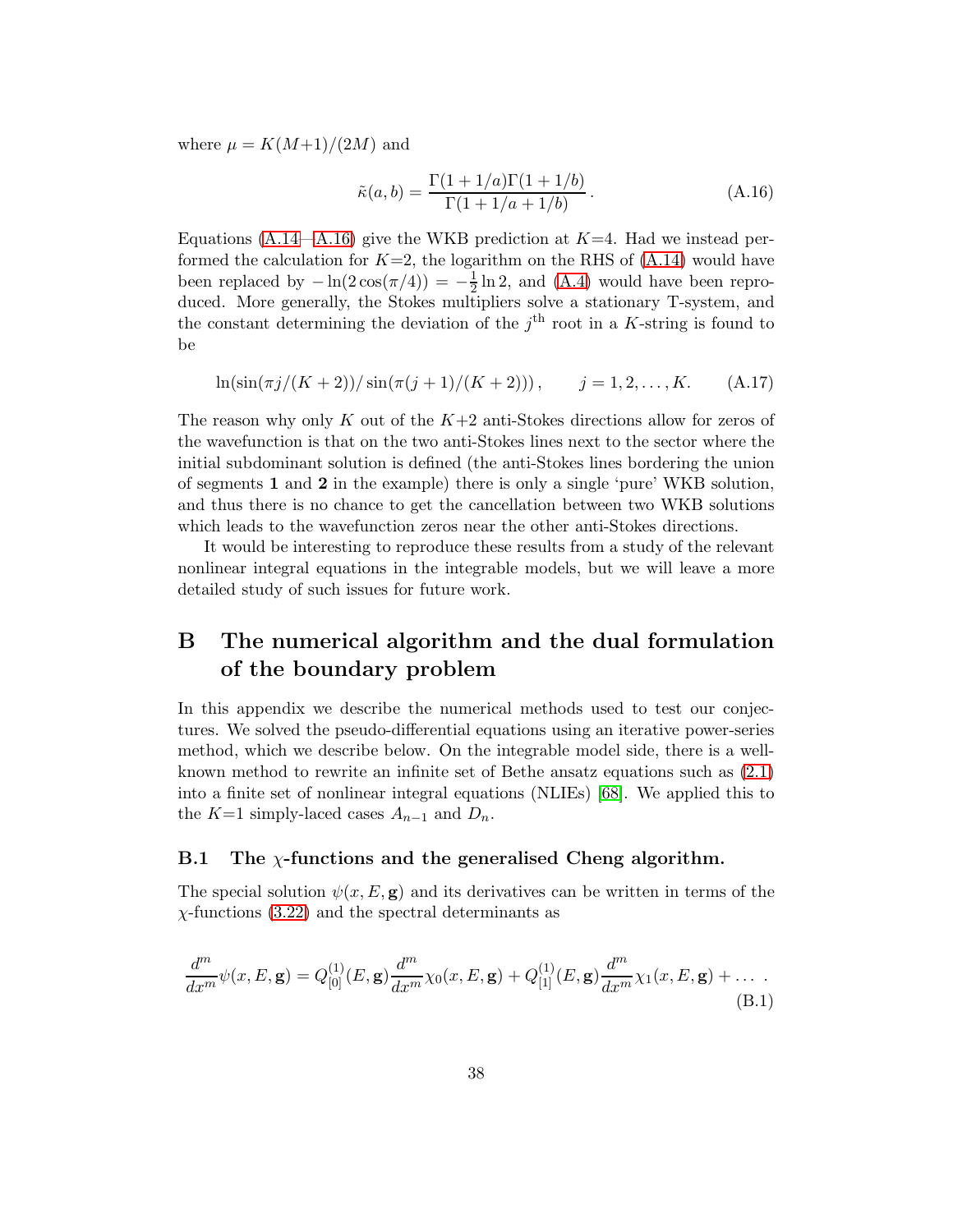where  $\mu = K(M+1)/(2M)$  and

<span id="page-39-0"></span>
$$
\tilde{\kappa}(a,b) = \frac{\Gamma(1+1/a)\Gamma(1+1/b)}{\Gamma(1+1/a+1/b)}.
$$
\n(A.16)

Equations [\(A.14—](#page-37-1)[A.16\)](#page-38-1) give the WKB prediction at  $K=4$ . Had we instead performed the calculation for  $K=2$ , the logarithm on the RHS of  $(A.14)$  would have been replaced by  $-\ln(2\cos(\pi/4)) = -\frac{1}{2}$  $\frac{1}{2} \ln 2$ , and [\(A.4\)](#page-33-2) would have been reproduced. More generally, the Stokes multipliers solve a stationary T-system, and the constant determining the deviation of the  $j<sup>th</sup>$  root in a K-string is found to be

<span id="page-39-2"></span><span id="page-39-1"></span>
$$
\ln(\sin(\pi j/(K+2))/\sin(\pi(j+1)/(K+2))), \qquad j=1,2,\ldots,K. \tag{A.17}
$$

The reason why only K out of the  $K+2$  anti-Stokes directions allow for zeros of the wavefunction is that on the two anti-Stokes lines next to the sector where the initial subdominant solution is defined (the anti-Stokes lines bordering the union of segments 1 and 2 in the example) there is only a single 'pure' WKB solution, and thus there is no chance to get the cancellation between two WKB solutions which leads to the wavefunction zeros near the other anti-Stokes directions.

It would be interesting to reproduce these results from a study of the relevant nonlinear integral equations in the integrable models, but we will leave a more detailed study of such issues for future work.

#### B The numerical algorithm and the dual formulation of the boundary problem

In this appendix we describe the numerical methods used to test our conjectures. We solved the pseudo-differential equations using an iterative power-series method, which we describe below. On the integrable model side, there is a wellknown method to rewrite an infinite set of Bethe ansatz equations such as [\(2.1\)](#page-2-2) into a finite set of nonlinear integral equations (NLIEs) [\[68\]](#page-49-1). We applied this to the K=1 simply-laced cases  $A_{n-1}$  and  $D_n$ .

#### <span id="page-39-3"></span>B.1 The  $\chi$ -functions and the generalised Cheng algorithm.

The special solution  $\psi(x, E, \mathbf{g})$  and its derivatives can be written in terms of the  $\chi$ -functions [\(3.22\)](#page-5-5) and the spectral determinants as

$$
\frac{d^m}{dx^m}\psi(x,E,\mathbf{g}) = Q_{[0]}^{(1)}(E,\mathbf{g})\frac{d^m}{dx^m}\chi_0(x,E,\mathbf{g}) + Q_{[1]}^{(1)}(E,\mathbf{g})\frac{d^m}{dx^m}\chi_1(x,E,\mathbf{g}) + \dots \tag{B.1}
$$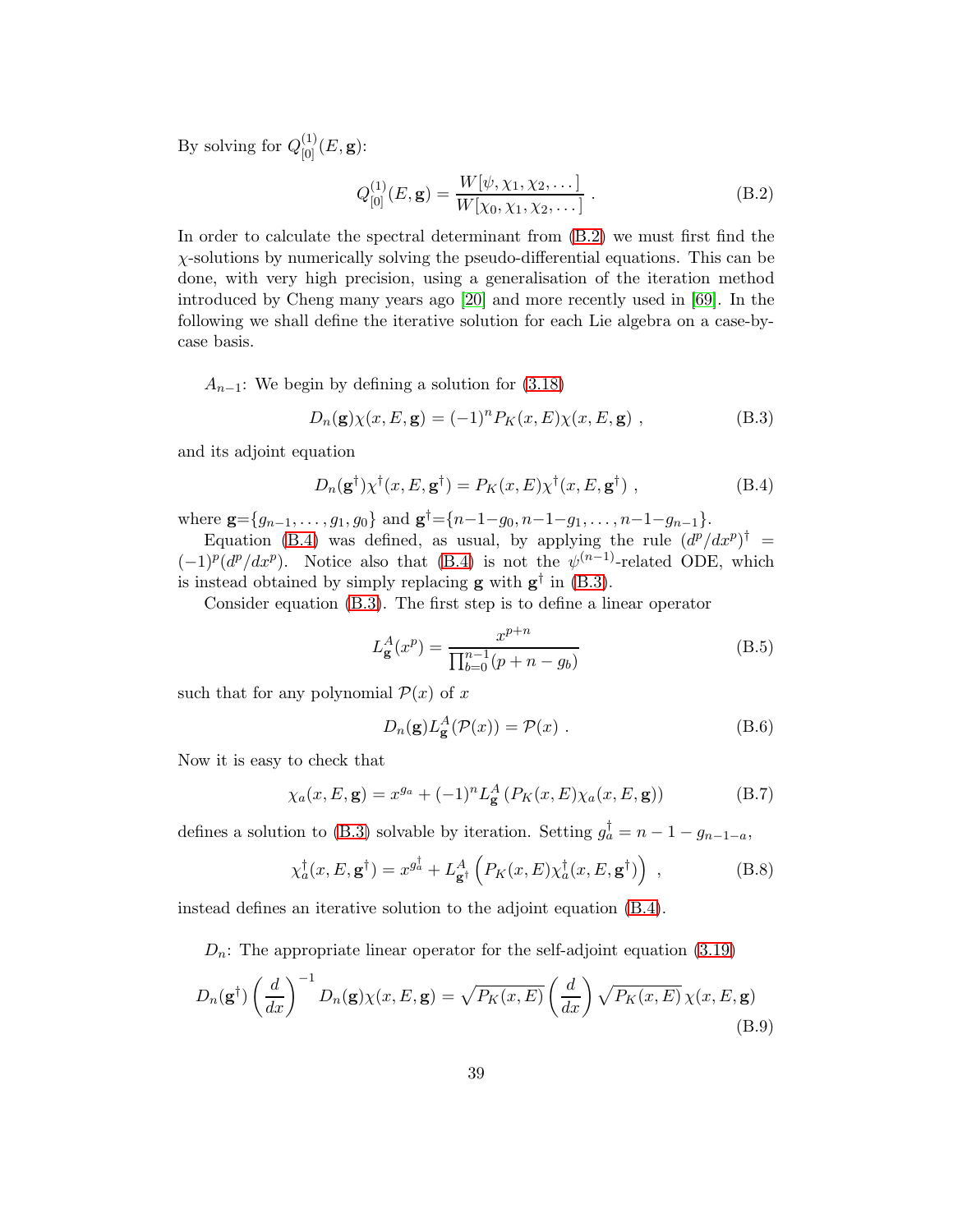By solving for  $Q_{[0]}^{(1)}(E, \mathbf{g})$ :

$$
Q_{[0]}^{(1)}(E, \mathbf{g}) = \frac{W[\psi, \chi_1, \chi_2, \dots]}{W[\chi_0, \chi_1, \chi_2, \dots]} \ . \tag{B.2}
$$

<span id="page-40-1"></span>In order to calculate the spectral determinant from [\(B.2\)](#page-39-0) we must first find the  $\chi$ -solutions by numerically solving the pseudo-differential equations. This can be done, with very high precision, using a generalisation of the iteration method introduced by Cheng many years ago [\[20\]](#page-45-13) and more recently used in [\[69\]](#page-49-2). In the following we shall define the iterative solution for each Lie algebra on a case-bycase basis.

 $A_{n-1}$ : We begin by defining a solution for [\(3.18\)](#page-5-0)

$$
D_n(\mathbf{g})\chi(x,E,\mathbf{g}) = (-1)^n P_K(x,E)\chi(x,E,\mathbf{g}) , \qquad (B.3)
$$

and its adjoint equation

$$
D_n(\mathbf{g}^\dagger)\chi^\dagger(x, E, \mathbf{g}^\dagger) = P_K(x, E)\chi^\dagger(x, E, \mathbf{g}^\dagger) , \qquad (B.4)
$$

where  $\mathbf{g} = \{g_{n-1}, \ldots, g_1, g_0\}$  and  $\mathbf{g}^{\dagger} = \{n-1-g_0, n-1-g_1, \ldots, n-1-g_{n-1}\}.$ 

Equation [\(B.4\)](#page-39-1) was defined, as usual, by applying the rule  $(d^p/dx^p)^{\dagger}$  =  $(-1)^p (d^p/dx^p)$ . Notice also that [\(B.4\)](#page-39-1) is not the  $\psi^{(n-1)}$ -related ODE, which is instead obtained by simply replacing **g** with  $g^{\dagger}$  in [\(B.3\)](#page-39-2).

<span id="page-40-0"></span>Consider equation [\(B.3\)](#page-39-2). The first step is to define a linear operator

$$
L_{\mathbf{g}}^{A}(x^{p}) = \frac{x^{p+n}}{\prod_{b=0}^{n-1}(p+n-g_{b})}
$$
(B.5)

such that for any polynomial  $\mathcal{P}(x)$  of x

$$
D_n(\mathbf{g}) L_{\mathbf{g}}^A(\mathcal{P}(x)) = \mathcal{P}(x) .
$$
 (B.6)

Now it is easy to check that

$$
\chi_a(x, E, \mathbf{g}) = x^{g_a} + (-1)^n L_{\mathbf{g}}^A \left( P_K(x, E) \chi_a(x, E, \mathbf{g}) \right) \tag{B.7}
$$

defines a solution to [\(B.3\)](#page-39-2) solvable by iteration. Setting  $g_a^{\dagger} = n - 1 - g_{n-1-a}$ ,

$$
\chi_a^{\dagger}(x, E, \mathbf{g}^{\dagger}) = x^{g_a^{\dagger}} + L_{\mathbf{g}^{\dagger}}^A \left( P_K(x, E) \chi_a^{\dagger}(x, E, \mathbf{g}^{\dagger}) \right) , \qquad (B.8)
$$

instead defines an iterative solution to the adjoint equation [\(B.4\)](#page-39-1).

<span id="page-40-2"></span> $D_n$ : The appropriate linear operator for the self-adjoint equation [\(3.19\)](#page-5-3)

$$
D_n(\mathbf{g}^\dagger) \left(\frac{d}{dx}\right)^{-1} D_n(\mathbf{g}) \chi(x, E, \mathbf{g}) = \sqrt{P_K(x, E)} \left(\frac{d}{dx}\right) \sqrt{P_K(x, E)} \chi(x, E, \mathbf{g})
$$
\n(B.9)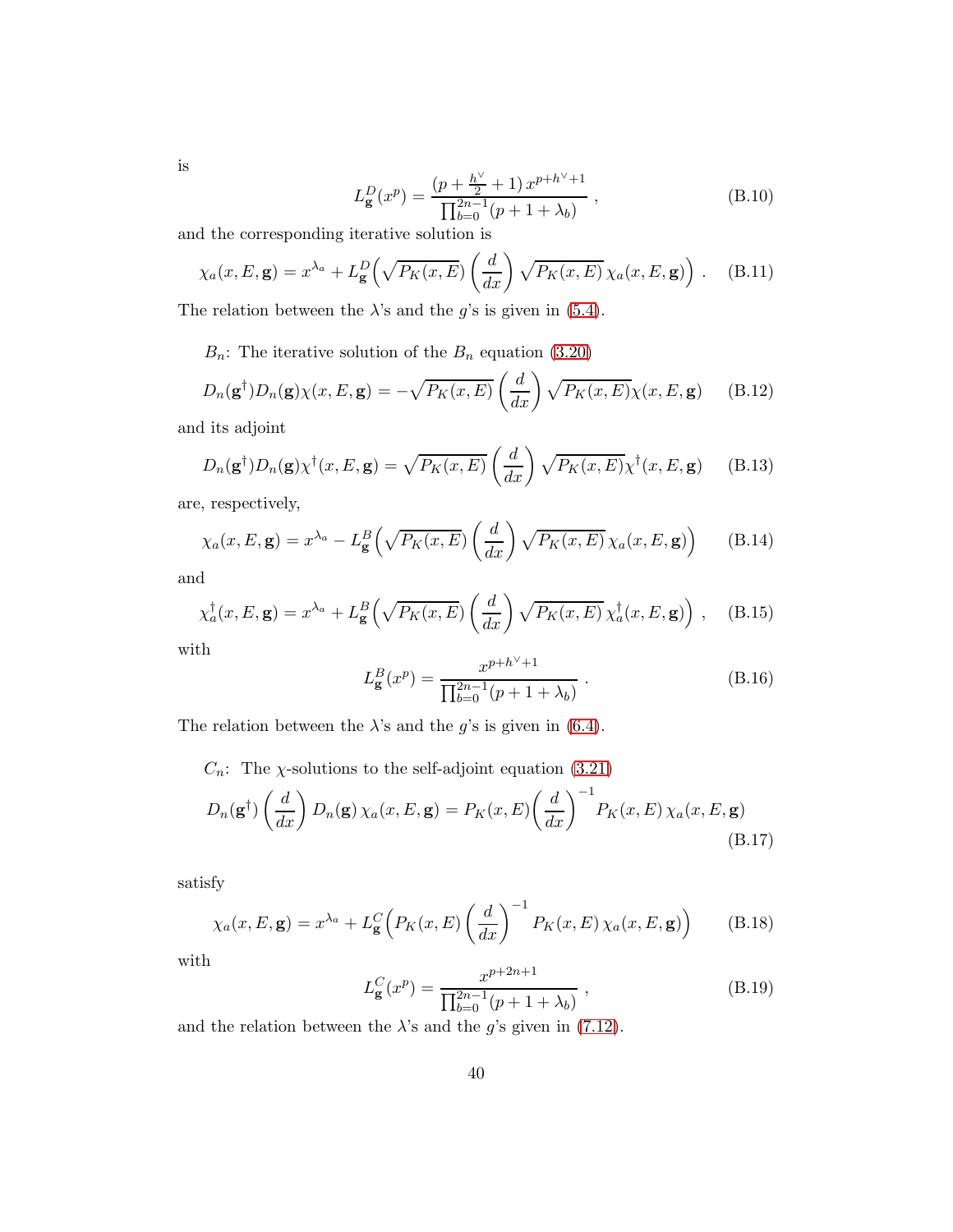is

$$
L_{\mathbf{g}}^{D}(x^{p}) = \frac{\left(p + \frac{h^{\vee}}{2} + 1\right) x^{p + h^{\vee} + 1}}{\prod_{b=0}^{2n - 1} (p + 1 + \lambda_{b})},
$$
\n(B.10)

and the corresponding iterative solution is

$$
\chi_a(x, E, \mathbf{g}) = x^{\lambda_a} + L^D_{\mathbf{g}} \left( \sqrt{P_K(x, E)} \left( \frac{d}{dx} \right) \sqrt{P_K(x, E)} \chi_a(x, E, \mathbf{g}) \right). \tag{B.11}
$$

The relation between the  $\lambda$ 's and the g's is given in [\(5.4\)](#page-16-0).

<span id="page-41-0"></span> $B_n$ : The iterative solution of the  $B_n$  equation [\(3.20\)](#page-5-4)

$$
D_n(\mathbf{g}^\dagger)D_n(\mathbf{g})\chi(x,E,\mathbf{g}) = -\sqrt{P_K(x,E)}\left(\frac{d}{dx}\right)\sqrt{P_K(x,E)}\chi(x,E,\mathbf{g})\tag{B.12}
$$

and its adjoint

$$
D_n(\mathbf{g}^\dagger)D_n(\mathbf{g})\chi^\dagger(x,E,\mathbf{g}) = \sqrt{P_K(x,E)}\left(\frac{d}{dx}\right)\sqrt{P_K(x,E)}\chi^\dagger(x,E,\mathbf{g})\tag{B.13}
$$

are, respectively,

$$
\chi_a(x, E, \mathbf{g}) = x^{\lambda_a} - L_{\mathbf{g}}^B \left( \sqrt{P_K(x, E)} \left( \frac{d}{dx} \right) \sqrt{P_K(x, E)} \chi_a(x, E, \mathbf{g}) \right) \tag{B.14}
$$

and

$$
\chi_a^{\dagger}(x, E, \mathbf{g}) = x^{\lambda_a} + L_{\mathbf{g}}^B \left( \sqrt{P_K(x, E)} \left( \frac{d}{dx} \right) \sqrt{P_K(x, E)} \chi_a^{\dagger}(x, E, \mathbf{g}) \right) , \quad \text{(B.15)}
$$

with

<span id="page-41-1"></span>
$$
L_{\mathbf{g}}^{B}(x^{p}) = \frac{x^{p+h^{\vee}+1}}{\prod_{b=0}^{2n-1} (p+1+\lambda_{b})} .
$$
 (B.16)

The relation between the  $\lambda$ 's and the g's is given in [\(6.4\)](#page-23-1).

<span id="page-41-4"></span> $C_n$ : The  $\chi$ -solutions to the self-adjoint equation [\(3.21\)](#page-5-1)

$$
D_n(\mathbf{g}^\dagger) \left(\frac{d}{dx}\right) D_n(\mathbf{g}) \chi_a(x, E, \mathbf{g}) = P_K(x, E) \left(\frac{d}{dx}\right)^{-1} P_K(x, E) \chi_a(x, E, \mathbf{g})
$$
\n(B.17)

<span id="page-41-2"></span>satisfy

$$
\chi_a(x, E, \mathbf{g}) = x^{\lambda_a} + L_{\mathbf{g}}^C \left( P_K(x, E) \left( \frac{d}{dx} \right)^{-1} P_K(x, E) \chi_a(x, E, \mathbf{g}) \right) \tag{B.18}
$$

with

<span id="page-41-3"></span>
$$
L_{\mathbf{g}}^{C}(x^{p}) = \frac{x^{p+2n+1}}{\prod_{b=0}^{2n-1} (p+1+\lambda_{b})},
$$
\n(B.19)

and the relation between the  $\lambda$ 's and the g's given in [\(7.12\)](#page-27-2).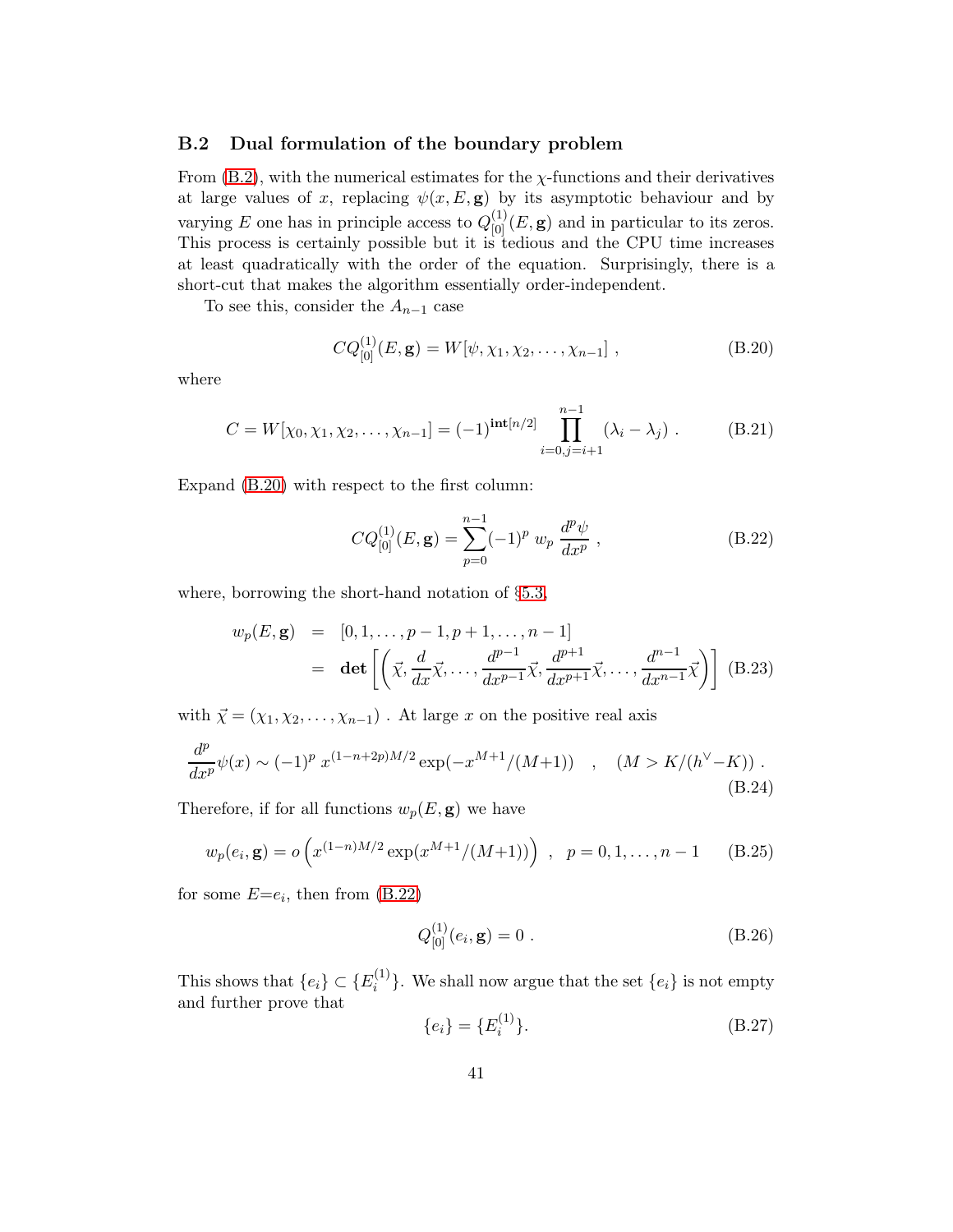#### B.2 Dual formulation of the boundary problem

From  $(B.2)$ , with the numerical estimates for the  $\chi$ -functions and their derivatives at large values of x, replacing  $\psi(x, E, g)$  by its asymptotic behaviour and by varying E one has in principle access to  $Q_{[0]}^{(1)}(E, \mathbf{g})$  and in particular to its zeros. This process is certainly possible but it is tedious and the CPU time increases at least quadratically with the order of the equation. Surprisingly, there is a short-cut that makes the algorithm essentially order-independent.

<span id="page-42-0"></span>To see this, consider the  $A_{n-1}$  case

$$
CQ_{[0]}^{(1)}(E, \mathbf{g}) = W[\psi, \chi_1, \chi_2, \dots, \chi_{n-1}], \qquad (B.20)
$$

where

$$
C = W[\chi_0, \chi_1, \chi_2, \dots, \chi_{n-1}] = (-1)^{\text{int}[n/2]} \prod_{i=0, j=i+1}^{n-1} (\lambda_i - \lambda_j) . \tag{B.21}
$$

Expand [\(B.20\)](#page-41-0) with respect to the first column:

<span id="page-42-5"></span>
$$
CQ_{[0]}^{(1)}(E, \mathbf{g}) = \sum_{p=0}^{n-1} (-1)^p w_p \frac{d^p \psi}{dx^p}, \qquad (B.22)
$$

where, borrowing the short-hand notation of §[5.3,](#page-20-0)

<span id="page-42-4"></span>
$$
w_p(E, \mathbf{g}) = [0, 1, \dots, p-1, p+1, \dots, n-1]
$$
  
= det  $\left[ \left( \vec{\chi}, \frac{d}{dx} \vec{\chi}, \dots, \frac{d^{p-1}}{dx^{p-1}} \vec{\chi}, \frac{d^{p+1}}{dx^{p+1}} \vec{\chi}, \dots, \frac{d^{n-1}}{dx^{n-1}} \vec{\chi} \right) \right]$  (B.23)

with  $\vec{\chi} = (\chi_1, \chi_2, \ldots, \chi_{n-1})$ . At large x on the positive real axis

<span id="page-42-1"></span>
$$
\frac{d^p}{dx^p}\psi(x) \sim (-1)^p \, x^{(1-n+2p)M/2} \exp(-x^{M+1}/(M+1)) \quad , \quad (M > K/(h^{\vee} - K)) \; . \tag{B.24}
$$

Therefore, if for all functions  $w_p(E, \mathbf{g})$  we have

<span id="page-42-2"></span>
$$
w_p(e_i, \mathbf{g}) = o\left(x^{(1-n)M/2} \exp(x^{M+1}/(M+1))\right) , \quad p = 0, 1, \dots, n-1 \quad (B.25)
$$

for some  $E=$ e<sub>i</sub>, then from  $(B.22)$ 

$$
Q_{[0]}^{(1)}(e_i, \mathbf{g}) = 0.
$$
 (B.26)

This shows that  $\{e_i\} \subset \{E_i^{(1)}\}$  $\{e_i\}$ . We shall now argue that the set  $\{e_i\}$  is not empty and further prove that

<span id="page-42-3"></span>
$$
\{e_i\} = \{E_i^{(1)}\}.
$$
 (B.27)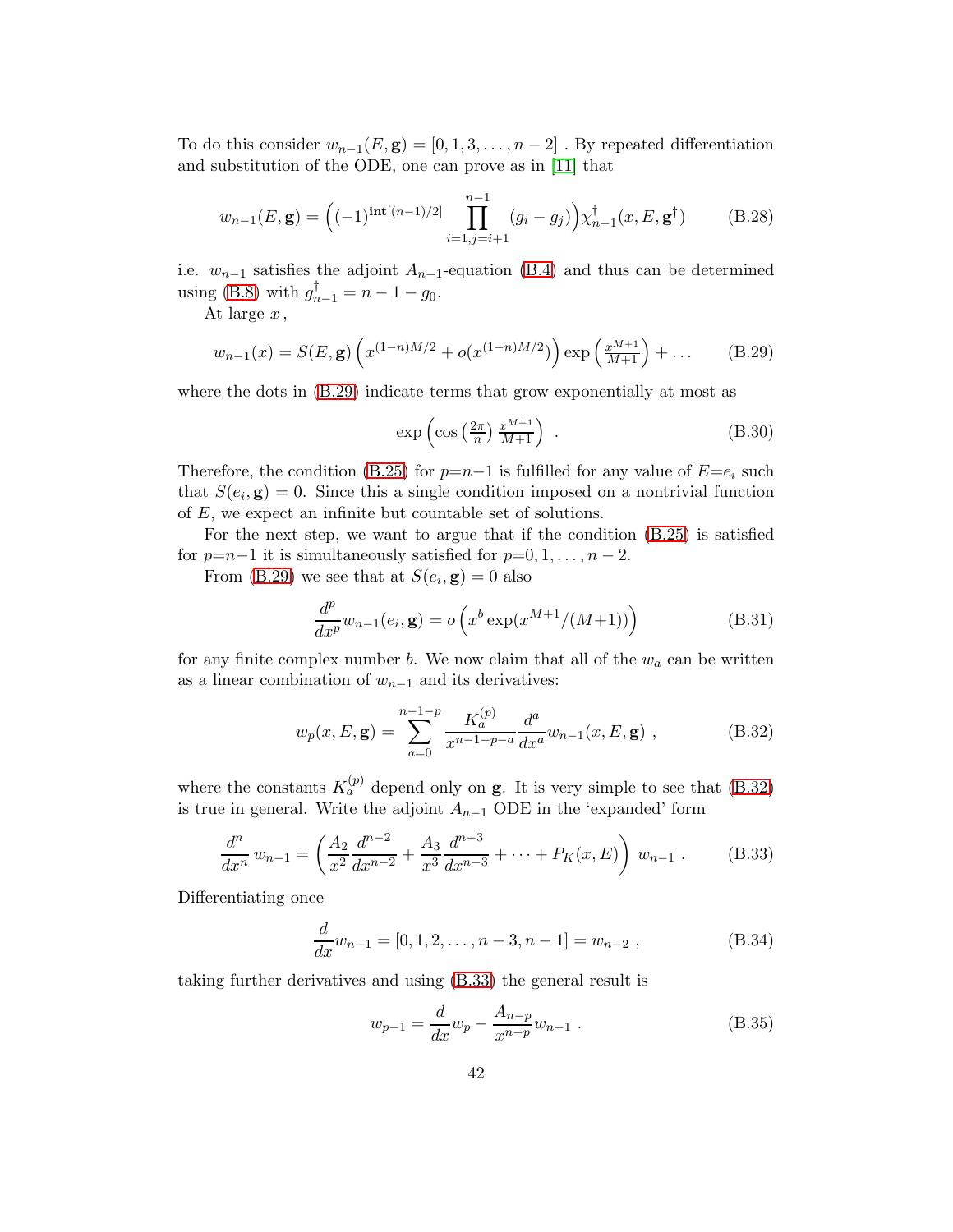To do this consider  $w_{n-1}(E, \mathbf{g}) = [0, 1, 3, \ldots, n-2]$ . By repeated differentiation and substitution of the ODE, one can prove as in [\[11\]](#page-45-4) that

$$
w_{n-1}(E, \mathbf{g}) = \left( (-1)^{\text{int}[(n-1)/2]} \prod_{i=1, j=i+1}^{n-1} (g_i - g_j) \right) \chi_{n-1}^{\dagger}(x, E, \mathbf{g}^{\dagger}) \tag{B.28}
$$

i.e.  $w_{n-1}$  satisfies the adjoint  $A_{n-1}$ -equation [\(B.4\)](#page-39-1) and thus can be determined using [\(B.8\)](#page-39-3) with  $g_{n-1}^{\dagger} = n - 1 - g_0$ .

At large  $x$ ,

$$
w_{n-1}(x) = S(E, \mathbf{g}) \left( x^{(1-n)M/2} + o(x^{(1-n)M/2}) \right) \exp\left( \frac{x^{M+1}}{M+1} \right) + \dots \tag{B.29}
$$

where the dots in [\(B.29\)](#page-42-0) indicate terms that grow exponentially at most as

$$
\exp\left(\cos\left(\frac{2\pi}{n}\right)\frac{x^{M+1}}{M+1}\right) \tag{B.30}
$$

Therefore, the condition [\(B.25\)](#page-41-2) for  $p=n-1$  is fulfilled for any value of  $E=e_i$  such that  $S(e_i, \mathbf{g}) = 0$ . Since this a single condition imposed on a nontrivial function of E, we expect an infinite but countable set of solutions.

For the next step, we want to argue that if the condition [\(B.25\)](#page-41-2) is satisfied for  $p=n-1$  it is simultaneously satisfied for  $p=0, 1, \ldots, n-2$ .

From [\(B.29\)](#page-42-0) we see that at  $S(e_i, \mathbf{g}) = 0$  also

$$
\frac{d^p}{dx^p}w_{n-1}(e_i, \mathbf{g}) = o\left(x^b \exp(x^{M+1}/(M+1))\right)
$$
\n(B.31)

for any finite complex number b. We now claim that all of the  $w_a$  can be written as a linear combination of  $w_{n-1}$  and its derivatives:

$$
w_p(x, E, \mathbf{g}) = \sum_{a=0}^{n-1-p} \frac{K_a^{(p)}}{x^{n-1-p-a}} \frac{d^a}{dx^a} w_{n-1}(x, E, \mathbf{g}) , \qquad (B.32)
$$

<span id="page-43-0"></span>where the constants  $K_a^{(p)}$  depend only on **g**. It is very simple to see that [\(B.32\)](#page-42-1) is true in general. Write the adjoint  $A_{n-1}$  ODE in the 'expanded' form

$$
\frac{d^n}{dx^n} w_{n-1} = \left(\frac{A_2}{x^2} \frac{d^{n-2}}{dx^{n-2}} + \frac{A_3}{x^3} \frac{d^{n-3}}{dx^{n-3}} + \dots + P_K(x, E)\right) w_{n-1} .
$$
 (B.33)

Differentiating once

$$
\frac{d}{dx}w_{n-1} = [0, 1, 2, \dots, n-3, n-1] = w_{n-2},
$$
\n(B.34)

taking further derivatives and using [\(B.33\)](#page-42-2) the general result is

$$
w_{p-1} = \frac{d}{dx} w_p - \frac{A_{n-p}}{x^{n-p}} w_{n-1} .
$$
 (B.35)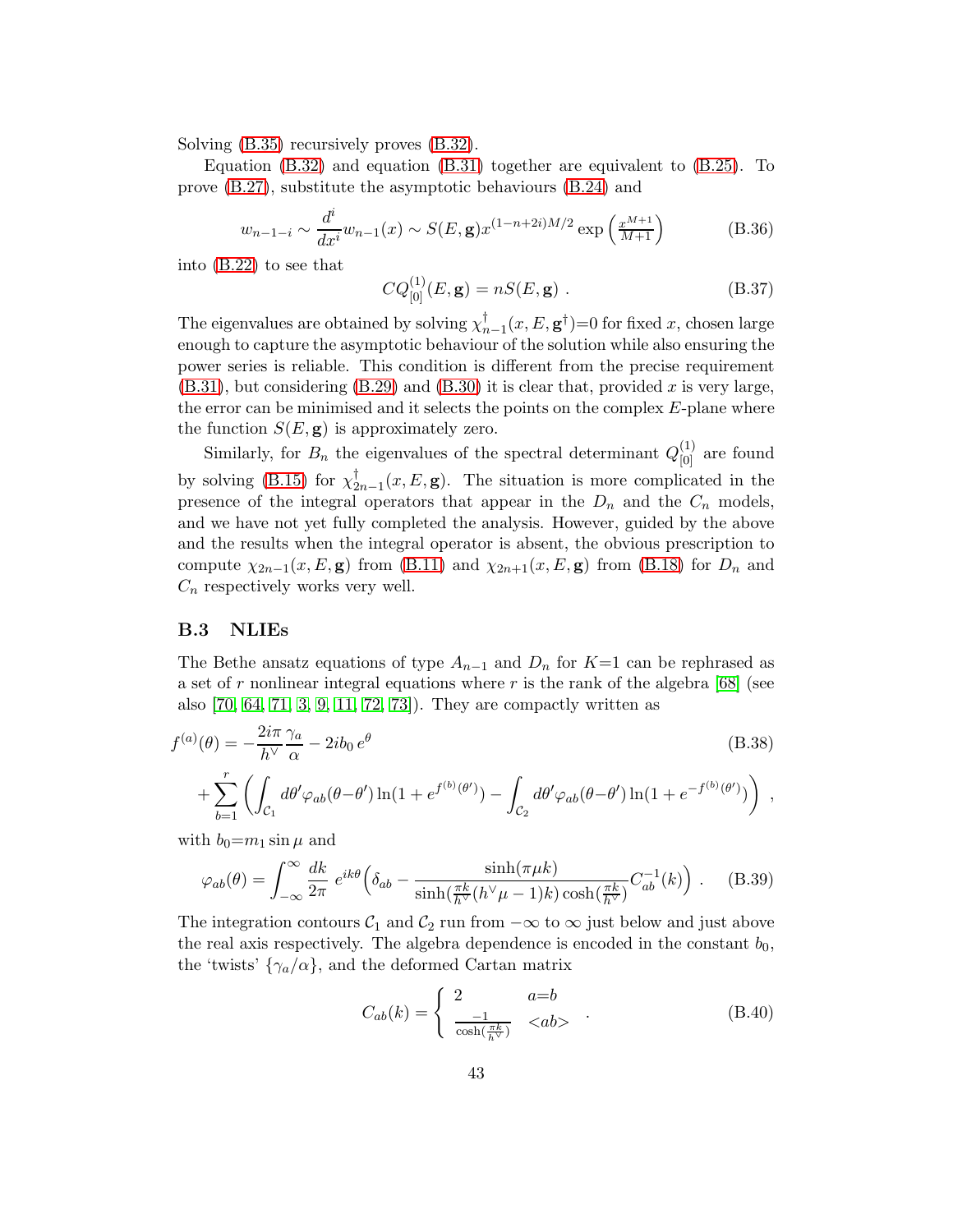Solving [\(B.35\)](#page-42-3) recursively proves [\(B.32\)](#page-42-1).

Equation  $(B.32)$  and equation  $(B.31)$  together are equivalent to  $(B.25)$ . To prove [\(B.27\)](#page-41-3), substitute the asymptotic behaviours [\(B.24\)](#page-41-4) and

$$
w_{n-1-i} \sim \frac{d^i}{dx^i} w_{n-1}(x) \sim S(E, \mathbf{g}) x^{(1-n+2i)M/2} \exp\left(\frac{x^{M+1}}{M+1}\right)
$$
(B.36)

into [\(B.22\)](#page-41-1) to see that

$$
CQ_{[0]}^{(1)}(E, \mathbf{g}) = nS(E, \mathbf{g}) . \tag{B.37}
$$

The eigenvalues are obtained by solving  $\chi_{n-1}^{\dagger}(x, E, \mathbf{g}^{\dagger}) = 0$  for fixed x, chosen large enough to capture the asymptotic behaviour of the solution while also ensuring the power series is reliable. This condition is different from the precise requirement  $(B.31)$ , but considering  $(B.29)$  and  $(B.30)$  it is clear that, provided x is very large, the error can be minimised and it selects the points on the complex  $E$ -plane where the function  $S(E, \mathbf{g})$  is approximately zero.

<span id="page-44-0"></span>Similarly, for  $B_n$  the eigenvalues of the spectral determinant  $Q_{[0]}^{(1)}$  are found by solving [\(B.15\)](#page-40-0) for  $\chi^{\dagger}_{2n-1}(x,E,\mathbf{g})$ . The situation is more complicated in the presence of the integral operators that appear in the  $D_n$  and the  $C_n$  models, and we have not yet fully completed the analysis. However, guided by the above and the results when the integral operator is absent, the obvious prescription to compute  $\chi_{2n-1}(x,E,\mathbf{g})$  from [\(B.11\)](#page-40-1) and  $\chi_{2n+1}(x,E,\mathbf{g})$  from [\(B.18\)](#page-40-2) for  $D_n$  and  $C_n$  respectively works very well.

#### <span id="page-44-1"></span>B.3 NLIEs

<span id="page-44-2"></span>The Bethe ansatz equations of type  $A_{n-1}$  and  $D_n$  for K=1 can be rephrased as a set of r nonlinear integral equations where r is the rank of the algebra  $[68]$  (see also [\[70,](#page-49-3) [64,](#page-48-11) [71,](#page-49-4) [3,](#page-44-2) [9,](#page-45-2) [11,](#page-45-4) [72,](#page-49-5) [73\]](#page-49-6)). They are compactly written as

<span id="page-44-4"></span><span id="page-44-3"></span>
$$
f^{(a)}(\theta) = -\frac{2i\pi}{h^{\vee}} \frac{\gamma_a}{\alpha} - 2ib_0 e^{\theta}
$$
  
+ 
$$
\sum_{b=1}^{r} \left( \int_{C_1} d\theta' \varphi_{ab}(\theta - \theta') \ln(1 + e^{f^{(b)}(\theta')}) - \int_{C_2} d\theta' \varphi_{ab}(\theta - \theta') \ln(1 + e^{-f^{(b)}(\theta')}) \right) ,
$$
 (B.38)

with  $b_0=m_1 \sin \mu$  and

$$
\varphi_{ab}(\theta) = \int_{-\infty}^{\infty} \frac{dk}{2\pi} e^{ik\theta} \left( \delta_{ab} - \frac{\sinh(\pi\mu k)}{\sinh(\frac{\pi k}{h^{\vee}}(h^{\vee}\mu - 1)k)\cosh(\frac{\pi k}{h^{\vee}})} C_{ab}^{-1}(k) \right) . \tag{B.39}
$$

<span id="page-44-5"></span>The integration contours  $\mathcal{C}_1$  and  $\mathcal{C}_2$  run from  $-\infty$  to  $\infty$  just below and just above the real axis respectively. The algebra dependence is encoded in the constant  $b_0$ , the 'twists'  $\{\gamma_a/\alpha\}$ , and the deformed Cartan matrix

$$
C_{ab}(k) = \begin{cases} 2 & a = b \\ \frac{-1}{\cosh\left(\frac{\pi k}{h}\right)} & < ab > \end{cases} \tag{B.40}
$$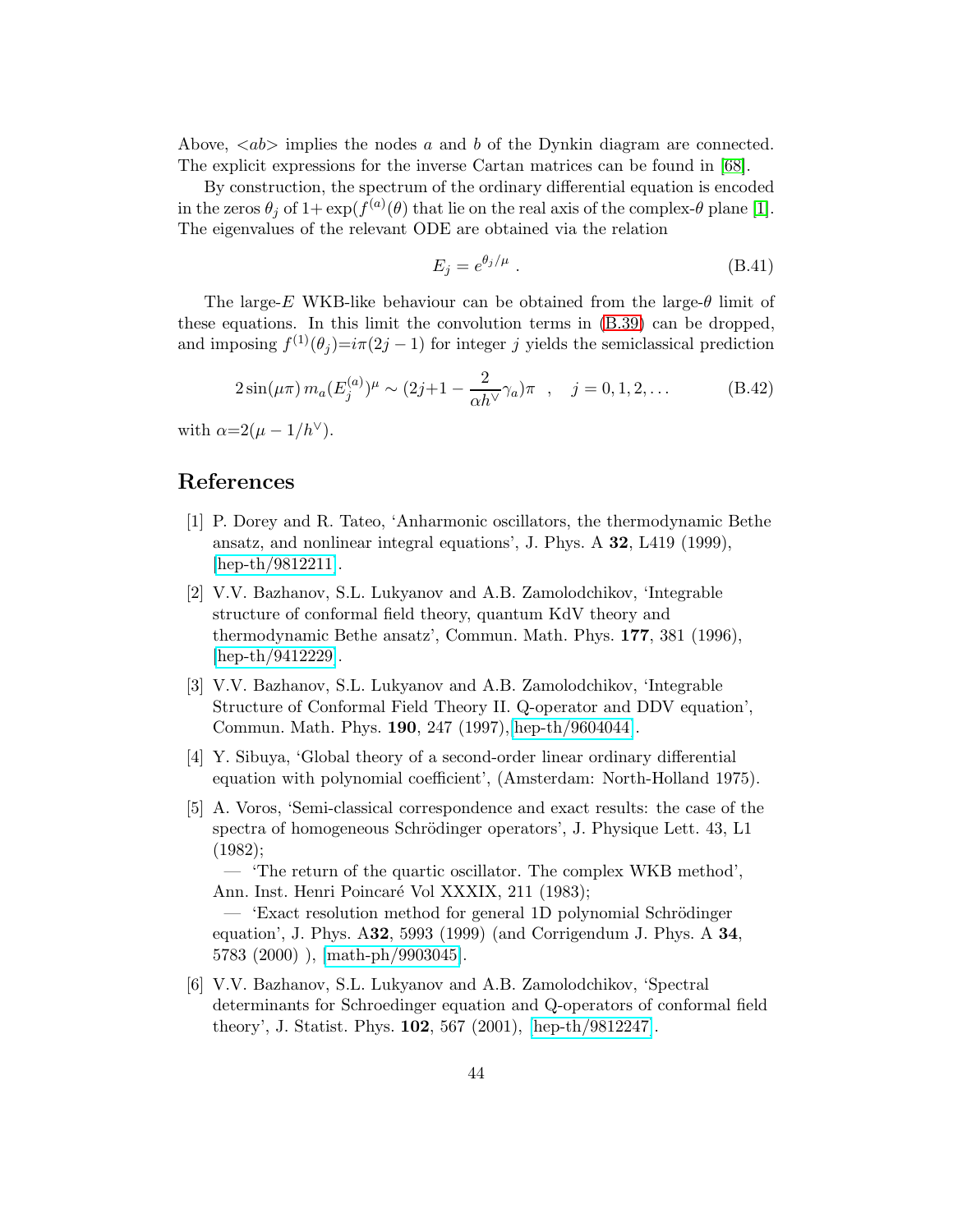<span id="page-45-0"></span>Above,  $\langle ab \rangle$  implies the nodes a and b of the Dynkin diagram are connected. The explicit expressions for the inverse Cartan matrices can be found in [\[68\]](#page-49-1).

<span id="page-45-2"></span><span id="page-45-1"></span>By construction, the spectrum of the ordinary differential equation is encoded in the zeros  $\theta_j$  of  $1 + \exp(f^{(a)}(\theta))$  that lie on the real axis of the complex- $\theta$  plane [\[1\]](#page-44-0). The eigenvalues of the relevant ODE are obtained via the relation

$$
E_j = e^{\theta_j/\mu} \tag{B.41}
$$

<span id="page-45-3"></span>The large-E WKB-like behaviour can be obtained from the large- $\theta$  limit of these equations. In this limit the convolution terms in [\(B.39\)](#page-43-0) can be dropped, and imposing  $f^{(1)}(\theta_j)=i\pi(2j-1)$  for integer j yields the semiclassical prediction

$$
2\sin(\mu\pi) m_a (E_j^{(a)})^{\mu} \sim (2j+1 - \frac{2}{\alpha h^{\vee}} \gamma_a) \pi , \quad j = 0, 1, 2, ...
$$
 (B.42)

<span id="page-45-5"></span><span id="page-45-4"></span>with  $\alpha=2(\mu-1/h^{\vee}).$ 

#### <span id="page-45-6"></span>References

- <span id="page-45-7"></span>[1] P. Dorey and R. Tateo, 'Anharmonic oscillators, the thermodynamic Bethe ansatz, and nonlinear integral equations', J. Phys. A 32, L419 (1999), [\[hep-th/9812211\]](http://arXiv.org/abs/hep-th/9812211).
- <span id="page-45-8"></span>[2] V.V. Bazhanov, S.L. Lukyanov and A.B. Zamolodchikov, 'Integrable structure of conformal field theory, quantum KdV theory and thermodynamic Bethe ansatz', Commun. Math. Phys. 177, 381 (1996), [\[hep-th/9412229\]](http://arXiv.org/abs/hep-th/9412229).
- [3] V.V. Bazhanov, S.L. Lukyanov and A.B. Zamolodchikov, 'Integrable Structure of Conformal Field Theory II. Q-operator and DDV equation', Commun. Math. Phys. 190, 247 (1997),[\[hep-th/9604044\]](http://arXiv.org/abs/hep-th/9604044).
- <span id="page-45-10"></span><span id="page-45-9"></span>[4] Y. Sibuya, 'Global theory of a second-order linear ordinary differential equation with polynomial coefficient', (Amsterdam: North-Holland 1975).
- <span id="page-45-11"></span>[5] A. Voros, 'Semi-classical correspondence and exact results: the case of the spectra of homogeneous Schrödinger operators', J. Physique Lett. 43, L1 (1982);

<span id="page-45-12"></span>— 'The return of the quartic oscillator. The complex WKB method', Ann. Inst. Henri Poincaré Vol XXXIX, 211 (1983);

<span id="page-45-13"></span>— 'Exact resolution method for general 1D polynomial Schrödinger equation', J. Phys. A32, 5993 (1999) (and Corrigendum J. Phys. A 34, 5783 (2000) ), [\[math-ph/9903045\]](http://arXiv.org/abs/math-ph/9903045).

<span id="page-45-14"></span>[6] V.V. Bazhanov, S.L. Lukyanov and A.B. Zamolodchikov, 'Spectral determinants for Schroedinger equation and Q-operators of conformal field theory', J. Statist. Phys. 102, 567 (2001), [\[hep-th/9812247\]](http://arXiv.org/abs/hep-th/9812247).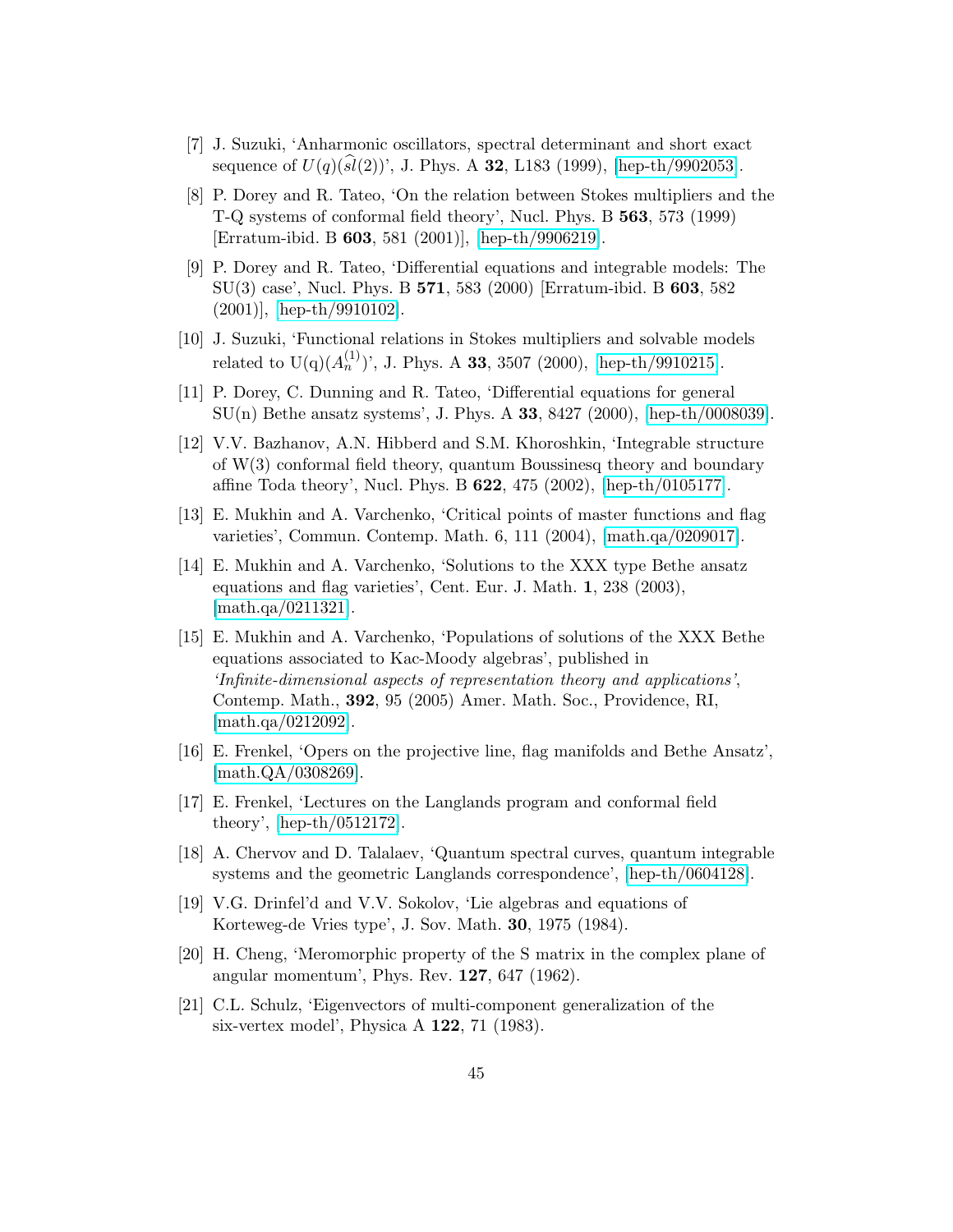- <span id="page-46-0"></span>[7] J. Suzuki, 'Anharmonic oscillators, spectral determinant and short exact sequence of  $U(q)(sl(2))'$ , J. Phys. A 32, L183 (1999), [\[hep-th/9902053\]](http://arXiv.org/abs/hep-th/9902053).
- <span id="page-46-1"></span>[8] P. Dorey and R. Tateo, 'On the relation between Stokes multipliers and the T-Q systems of conformal field theory', Nucl. Phys. B 563, 573 (1999) [Erratum-ibid. B 603, 581 (2001)], [\[hep-th/9906219\]](http://arXiv.org/abs/hep-th/9906219).
- <span id="page-46-2"></span>[9] P. Dorey and R. Tateo, 'Differential equations and integrable models: The SU(3) case', Nucl. Phys. B 571, 583 (2000) [Erratum-ibid. B 603, 582 (2001)], [\[hep-th/9910102\]](http://arXiv.org/abs/hep-th/9910102).
- <span id="page-46-3"></span>[10] J. Suzuki, 'Functional relations in Stokes multipliers and solvable models related to  $U(q)(A_n^{(1)})'$ , J. Phys. A 33, 3507 (2000), [\[hep-th/9910215\]](http://arXiv.org/abs/hep-th/9910215).
- <span id="page-46-4"></span>[11] P. Dorey, C. Dunning and R. Tateo, 'Differential equations for general SU(n) Bethe ansatz systems', J. Phys. A 33, 8427 (2000), [\[hep-th/0008039\]](http://arXiv.org/abs/hep-th/0008039).
- <span id="page-46-5"></span>[12] V.V. Bazhanov, A.N. Hibberd and S.M. Khoroshkin, 'Integrable structure of W(3) conformal field theory, quantum Boussinesq theory and boundary affine Toda theory', Nucl. Phys. B 622, 475 (2002), [\[hep-th/0105177\]](http://arXiv.org/abs/hep-th/0105177).
- <span id="page-46-6"></span>[13] E. Mukhin and A. Varchenko, 'Critical points of master functions and flag varieties', Commun. Contemp. Math. 6, 111 (2004), [\[math.qa/0209017\]](http://arXiv.org/abs/math/0209017).
- <span id="page-46-7"></span>[14] E. Mukhin and A. Varchenko, 'Solutions to the XXX type Bethe ansatz equations and flag varieties', Cent. Eur. J. Math. 1, 238 (2003), [\[math.qa/0211321\]](http://arXiv.org/abs/math/0211321).
- <span id="page-46-9"></span><span id="page-46-8"></span>[15] E. Mukhin and A. Varchenko, 'Populations of solutions of the XXX Bethe equations associated to Kac-Moody algebras', published in 'Infinite-dimensional aspects of representation theory and applications', Contemp. Math., 392, 95 (2005) Amer. Math. Soc., Providence, RI, [\[math.qa/0212092\]](http://arXiv.org/abs/math/0212092).
- <span id="page-46-10"></span>[16] E. Frenkel, 'Opers on the projective line, flag manifolds and Bethe Ansatz', [\[math.QA/0308269\]](http://arXiv.org/abs/math/0308269).
- <span id="page-46-11"></span>[17] E. Frenkel, 'Lectures on the Langlands program and conformal field theory', [\[hep-th/0512172\]](http://arXiv.org/abs/hep-th/0512172).
- <span id="page-46-12"></span>[18] A. Chervov and D. Talalaev, 'Quantum spectral curves, quantum integrable systems and the geometric Langlands correspondence', [\[hep-th/0604128\]](http://arXiv.org/abs/hep-th/0604128).
- <span id="page-46-13"></span>[19] V.G. Drinfel'd and V.V. Sokolov, 'Lie algebras and equations of Korteweg-de Vries type', J. Sov. Math. 30, 1975 (1984).
- <span id="page-46-14"></span>[20] H. Cheng, 'Meromorphic property of the S matrix in the complex plane of angular momentum', Phys. Rev. 127, 647 (1962).
- [21] C.L. Schulz, 'Eigenvectors of multi-component generalization of the six-vertex model', Physica A 122, 71 (1983).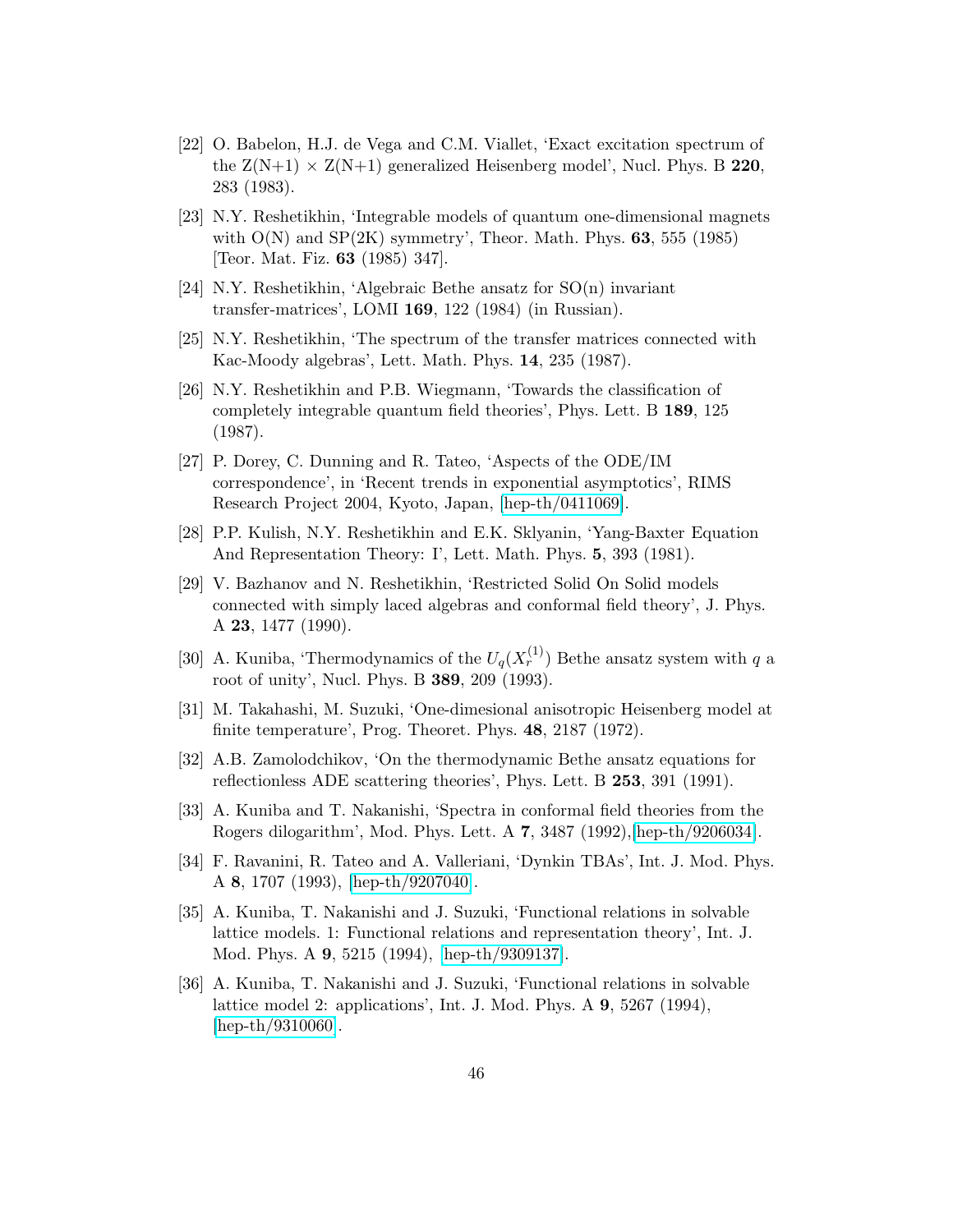- <span id="page-47-0"></span>[22] O. Babelon, H.J. de Vega and C.M. Viallet, 'Exact excitation spectrum of the  $Z(N+1) \times Z(N+1)$  generalized Heisenberg model', Nucl. Phys. B 220, 283 (1983).
- <span id="page-47-2"></span><span id="page-47-1"></span>[23] N.Y. Reshetikhin, 'Integrable models of quantum one-dimensional magnets with  $O(N)$  and  $SP(2K)$  symmetry', Theor. Math. Phys. 63, 555 (1985) [Teor. Mat. Fiz. 63 (1985) 347].
- <span id="page-47-3"></span>[24] N.Y. Reshetikhin, 'Algebraic Bethe ansatz for SO(n) invariant transfer-matrices', LOMI 169, 122 (1984) (in Russian).
- <span id="page-47-4"></span>[25] N.Y. Reshetikhin, 'The spectrum of the transfer matrices connected with Kac-Moody algebras', Lett. Math. Phys. 14, 235 (1987).
- <span id="page-47-5"></span>[26] N.Y. Reshetikhin and P.B. Wiegmann, 'Towards the classification of completely integrable quantum field theories', Phys. Lett. B 189, 125 (1987).
- <span id="page-47-6"></span>[27] P. Dorey, C. Dunning and R. Tateo, 'Aspects of the ODE/IM correspondence', in 'Recent trends in exponential asymptotics', RIMS Research Project 2004, Kyoto, Japan, [\[hep-th/0411069\]](http://arXiv.org/abs/hep-th/0411069).
- <span id="page-47-8"></span><span id="page-47-7"></span>[28] P.P. Kulish, N.Y. Reshetikhin and E.K. Sklyanin, 'Yang-Baxter Equation And Representation Theory: I', Lett. Math. Phys. 5, 393 (1981).
- <span id="page-47-9"></span>[29] V. Bazhanov and N. Reshetikhin, 'Restricted Solid On Solid models connected with simply laced algebras and conformal field theory', J. Phys. A 23, 1477 (1990).
- <span id="page-47-10"></span>[30] A. Kuniba, 'Thermodynamics of the  $U_q(X_r^{(1)})$  Bethe ansatz system with q a root of unity', Nucl. Phys. B 389, 209 (1993).
- <span id="page-47-11"></span>[31] M. Takahashi, M. Suzuki, 'One-dimesional anisotropic Heisenberg model at finite temperature', Prog. Theoret. Phys. 48, 2187 (1972).
- <span id="page-47-12"></span>[32] A.B. Zamolodchikov, 'On the thermodynamic Bethe ansatz equations for reflectionless ADE scattering theories', Phys. Lett. B 253, 391 (1991).
- [33] A. Kuniba and T. Nakanishi, 'Spectra in conformal field theories from the Rogers dilogarithm', Mod. Phys. Lett. A 7, 3487 (1992),[\[hep-th/9206034\]](http://arXiv.org/abs/hep-th/9206034).
- <span id="page-47-13"></span>[34] F. Ravanini, R. Tateo and A. Valleriani, 'Dynkin TBAs', Int. J. Mod. Phys. A 8, 1707 (1993), [\[hep-th/9207040\]](http://arXiv.org/abs/hep-th/9207040).
- <span id="page-47-14"></span>[35] A. Kuniba, T. Nakanishi and J. Suzuki, 'Functional relations in solvable lattice models. 1: Functional relations and representation theory', Int. J. Mod. Phys. A 9, 5215 (1994), [\[hep-th/9309137\]](http://arXiv.org/abs/hep-th/9309137).
- <span id="page-47-15"></span>[36] A. Kuniba, T. Nakanishi and J. Suzuki, 'Functional relations in solvable lattice model 2: applications', Int. J. Mod. Phys. A 9, 5267 (1994), [\[hep-th/9310060\]](http://arXiv.org/abs/hep-th/9310060).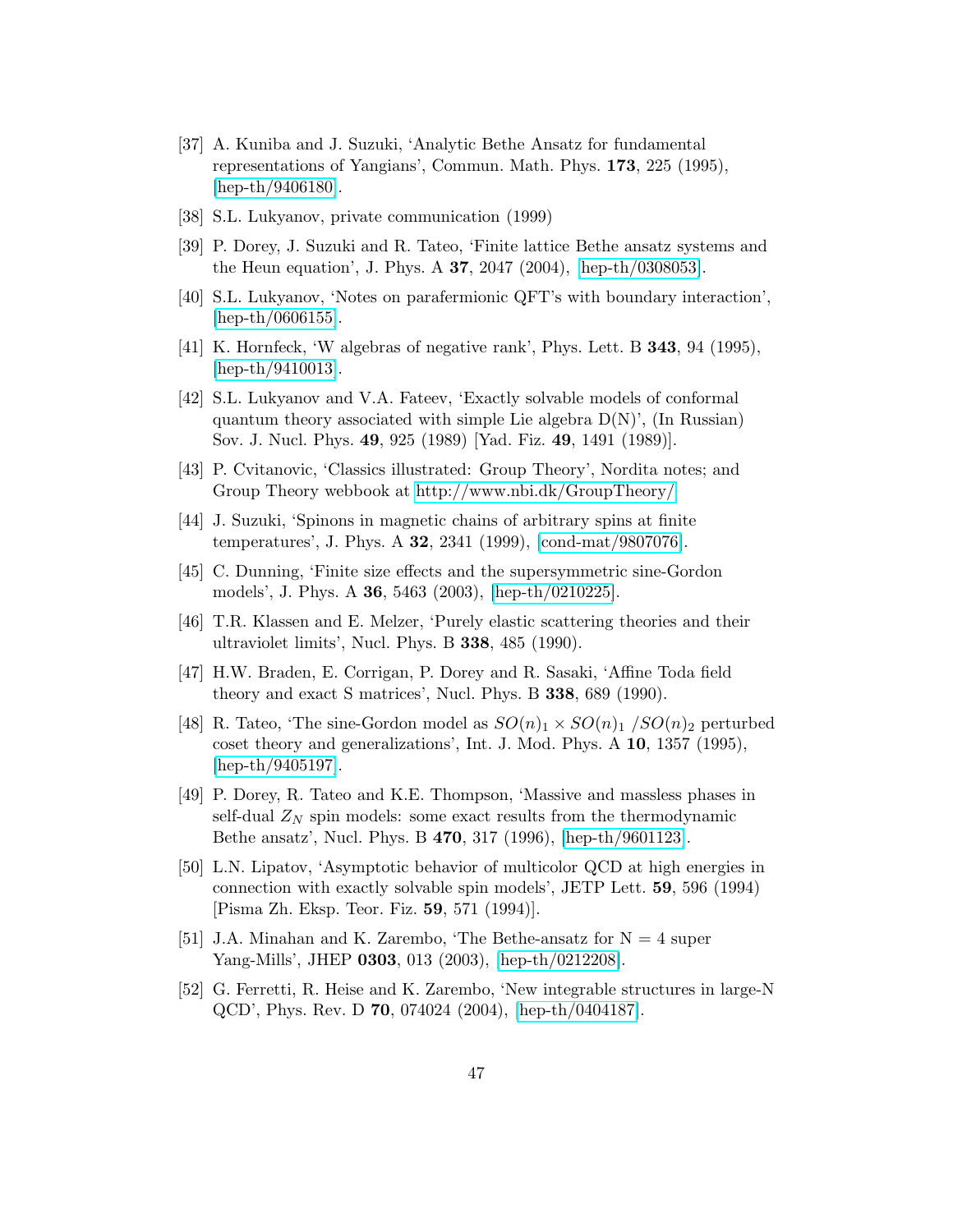- <span id="page-48-0"></span>[37] A. Kuniba and J. Suzuki, 'Analytic Bethe Ansatz for fundamental representations of Yangians', Commun. Math. Phys. 173, 225 (1995), [\[hep-th/9406180\]](http://arXiv.org/abs/hep-th/9406180).
- <span id="page-48-1"></span>[38] S.L. Lukyanov, private communication (1999)
- [39] P. Dorey, J. Suzuki and R. Tateo, 'Finite lattice Bethe ansatz systems and the Heun equation', J. Phys. A 37, 2047 (2004), [\[hep-th/0308053\]](http://arXiv.org/abs/hep-th/0308053).
- <span id="page-48-2"></span>[40] S.L. Lukyanov, 'Notes on parafermionic QFT's with boundary interaction', [\[hep-th/0606155\]](http://arXiv.org/abs/hep-th/0606155).
- <span id="page-48-3"></span>[41] K. Hornfeck, 'W algebras of negative rank', Phys. Lett. B **343**, 94 (1995), [\[hep-th/9410013\]](http://arXiv.org/abs/hep-th/9410013).
- <span id="page-48-4"></span>[42] S.L. Lukyanov and V.A. Fateev, 'Exactly solvable models of conformal quantum theory associated with simple Lie algebra  $D(N)$ <sup>'</sup>, (In Russian) Sov. J. Nucl. Phys. 49, 925 (1989) [Yad. Fiz. 49, 1491 (1989)].
- <span id="page-48-5"></span>[43] P. Cvitanovic, 'Classics illustrated: Group Theory', Nordita notes; and Group Theory webbook at<http://www.nbi.dk/GroupTheory/>
- [44] J. Suzuki, 'Spinons in magnetic chains of arbitrary spins at finite temperatures', J. Phys. A 32, 2341 (1999), [\[cond-mat/9807076\]](http://arXiv.org/abs/cond-mat/9807076).
- <span id="page-48-6"></span>[45] C. Dunning, 'Finite size effects and the supersymmetric sine-Gordon models', J. Phys. A 36, 5463 (2003), [\[hep-th/0210225\]](http://arXiv.org/abs/hep-th/0210225).
- <span id="page-48-7"></span>[46] T.R. Klassen and E. Melzer, 'Purely elastic scattering theories and their ultraviolet limits', Nucl. Phys. B 338, 485 (1990).
- <span id="page-48-8"></span>[47] H.W. Braden, E. Corrigan, P. Dorey and R. Sasaki, 'Affine Toda field theory and exact S matrices', Nucl. Phys. B 338, 689 (1990).
- [48] R. Tateo, 'The sine-Gordon model as  $SO(n)_1 \times SO(n)_1 / SO(n)_2$  perturbed coset theory and generalizations', Int. J. Mod. Phys. A 10, 1357 (1995), [\[hep-th/9405197\]](http://arXiv.org/abs/hep-th/9405197).
- <span id="page-48-10"></span><span id="page-48-9"></span>[49] P. Dorey, R. Tateo and K.E. Thompson, 'Massive and massless phases in self-dual  $Z_N$  spin models: some exact results from the thermodynamic Bethe ansatz', Nucl. Phys. B 470, 317 (1996), [\[hep-th/9601123\]](http://arXiv.org/abs/hep-th/9601123).
- <span id="page-48-11"></span>[50] L.N. Lipatov, 'Asymptotic behavior of multicolor QCD at high energies in connection with exactly solvable spin models', JETP Lett. 59, 596 (1994) [Pisma Zh. Eksp. Teor. Fiz. 59, 571 (1994)].
- <span id="page-48-12"></span>[51] J.A. Minahan and K. Zarembo, 'The Bethe-ansatz for  $N = 4$  super Yang-Mills', JHEP 0303, 013 (2003), [\[hep-th/0212208\]](http://arXiv.org/abs/hep-th/0212208).
- <span id="page-48-13"></span>[52] G. Ferretti, R. Heise and K. Zarembo, 'New integrable structures in large-N QCD', Phys. Rev. D 70, 074024 (2004), [\[hep-th/0404187\]](http://arXiv.org/abs/hep-th/0404187).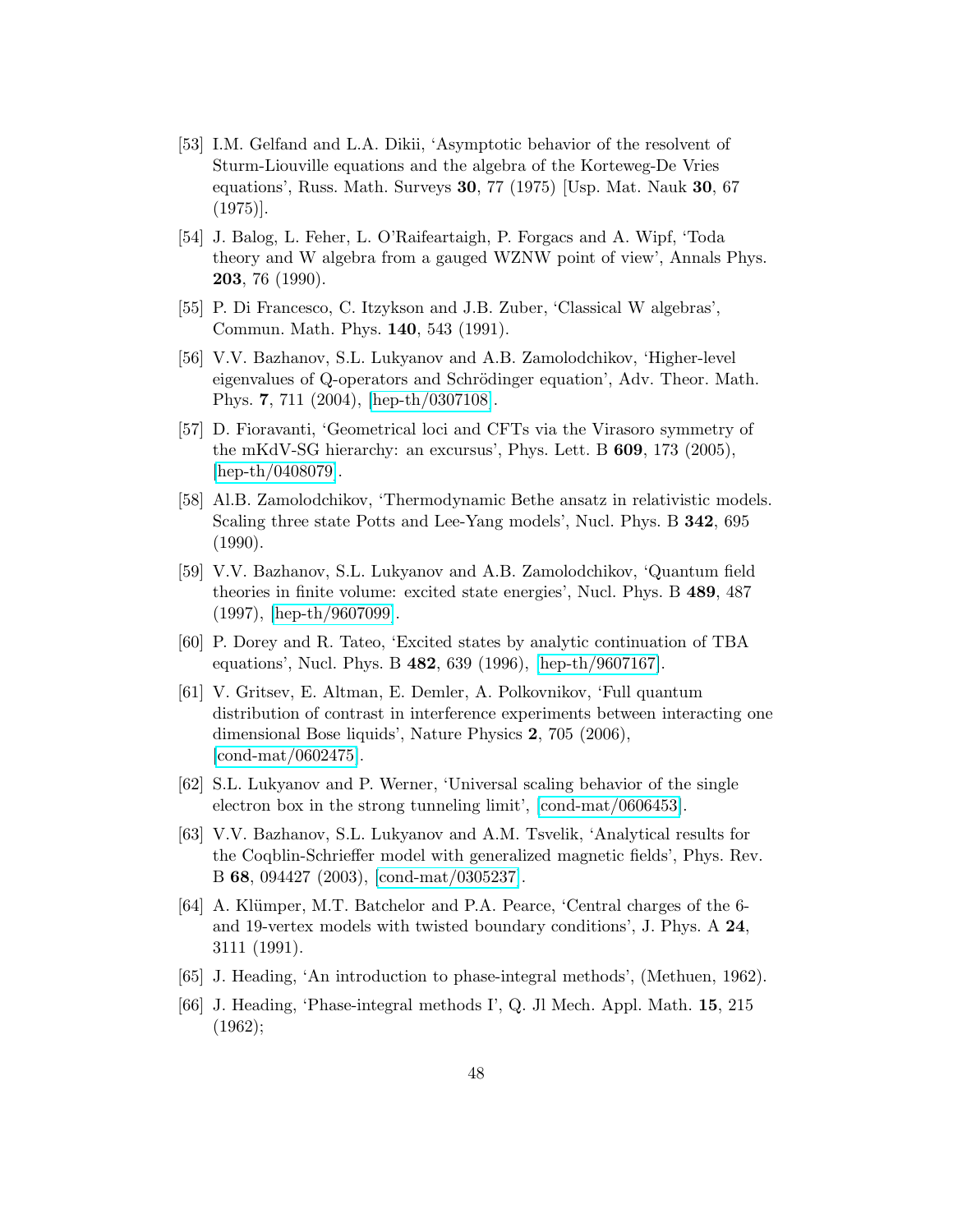- <span id="page-49-0"></span>[53] I.M. Gelfand and L.A. Dikii, 'Asymptotic behavior of the resolvent of Sturm-Liouville equations and the algebra of the Korteweg-De Vries equations', Russ. Math. Surveys 30, 77 (1975) [Usp. Mat. Nauk 30, 67 (1975)].
- <span id="page-49-1"></span>[54] J. Balog, L. Feher, L. O'Raifeartaigh, P. Forgacs and A. Wipf, 'Toda theory and W algebra from a gauged WZNW point of view', Annals Phys. 203, 76 (1990).
- <span id="page-49-2"></span>[55] P. Di Francesco, C. Itzykson and J.B. Zuber, 'Classical W algebras', Commun. Math. Phys. 140, 543 (1991).
- <span id="page-49-3"></span>[56] V.V. Bazhanov, S.L. Lukyanov and A.B. Zamolodchikov, 'Higher-level eigenvalues of Q-operators and Schrödinger equation', Adv. Theor. Math. Phys. 7, 711 (2004), [\[hep-th/0307108\]](http://arXiv.org/abs/hep-th/0307108).
- <span id="page-49-4"></span>[57] D. Fioravanti, 'Geometrical loci and CFTs via the Virasoro symmetry of the mKdV-SG hierarchy: an excursus', Phys. Lett. B 609, 173 (2005), [\[hep-th/0408079\]](http://arXiv.org/abs/hep-th/0408079).
- <span id="page-49-5"></span>[58] Al.B. Zamolodchikov, 'Thermodynamic Bethe ansatz in relativistic models. Scaling three state Potts and Lee-Yang models', Nucl. Phys. B 342, 695 (1990).
- <span id="page-49-6"></span>[59] V.V. Bazhanov, S.L. Lukyanov and A.B. Zamolodchikov, 'Quantum field theories in finite volume: excited state energies', Nucl. Phys. B 489, 487 (1997), [\[hep-th/9607099\]](http://arXiv.org/abs/hep-th/9607099).
- [60] P. Dorey and R. Tateo, 'Excited states by analytic continuation of TBA equations', Nucl. Phys. B 482, 639 (1996), [\[hep-th/9607167\]](http://arXiv.org/abs/hep-th/9607167).
- [61] V. Gritsev, E. Altman, E. Demler, A. Polkovnikov, 'Full quantum distribution of contrast in interference experiments between interacting one dimensional Bose liquids', Nature Physics 2, 705 (2006), [\[cond-mat/0602475\]](http://arXiv.org/abs/cond-mat/0602475).
- [62] S.L. Lukyanov and P. Werner, 'Universal scaling behavior of the single electron box in the strong tunneling limit', [\[cond-mat/0606453\]](http://arXiv.org/abs/cond-mat/0606453).
- [63] V.V. Bazhanov, S.L. Lukyanov and A.M. Tsvelik, 'Analytical results for the Coqblin-Schrieffer model with generalized magnetic fields', Phys. Rev. B 68, 094427 (2003), [\[cond-mat/0305237\]](http://arXiv.org/abs/cond-mat/0305237).
- [64] A. Klümper, M.T. Batchelor and P.A. Pearce, 'Central charges of the 6and 19-vertex models with twisted boundary conditions', J. Phys. A 24, 3111 (1991).
- [65] J. Heading, 'An introduction to phase-integral methods', (Methuen, 1962).
- [66] J. Heading, 'Phase-integral methods I', Q. Jl Mech. Appl. Math. 15, 215 (1962);